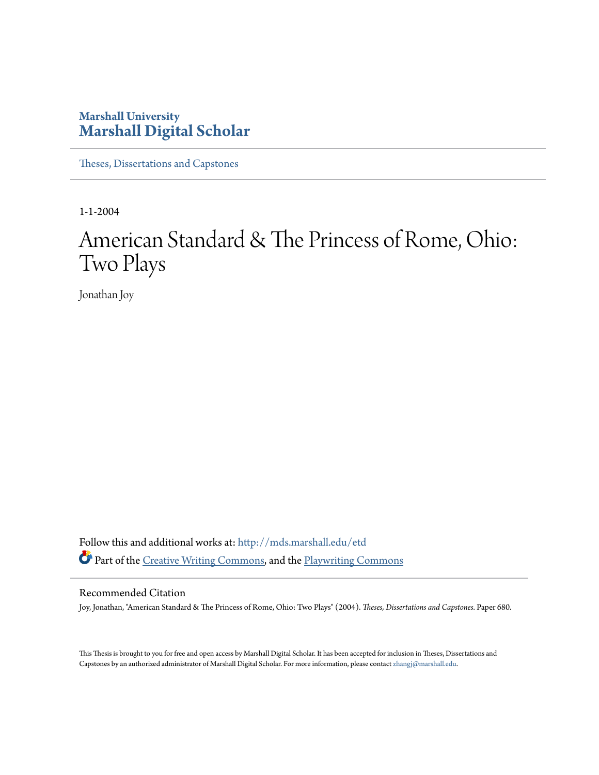## **Marshall University [Marshall Digital Scholar](http://mds.marshall.edu?utm_source=mds.marshall.edu%2Fetd%2F680&utm_medium=PDF&utm_campaign=PDFCoverPages)**

[Theses, Dissertations and Capstones](http://mds.marshall.edu/etd?utm_source=mds.marshall.edu%2Fetd%2F680&utm_medium=PDF&utm_campaign=PDFCoverPages)

1-1-2004

# American Standard & The Princess of Rome, Ohio: Two Plays

Jonathan Joy

Follow this and additional works at: [http://mds.marshall.edu/etd](http://mds.marshall.edu/etd?utm_source=mds.marshall.edu%2Fetd%2F680&utm_medium=PDF&utm_campaign=PDFCoverPages) Part of the [Creative Writing Commons](http://network.bepress.com/hgg/discipline/574?utm_source=mds.marshall.edu%2Fetd%2F680&utm_medium=PDF&utm_campaign=PDFCoverPages), and the [Playwriting Commons](http://network.bepress.com/hgg/discipline/557?utm_source=mds.marshall.edu%2Fetd%2F680&utm_medium=PDF&utm_campaign=PDFCoverPages)

## Recommended Citation

Joy, Jonathan, "American Standard & The Princess of Rome, Ohio: Two Plays" (2004). *Theses, Dissertations and Capstones.* Paper 680.

This Thesis is brought to you for free and open access by Marshall Digital Scholar. It has been accepted for inclusion in Theses, Dissertations and Capstones by an authorized administrator of Marshall Digital Scholar. For more information, please contact [zhangj@marshall.edu.](mailto:zhangj@marshall.edu)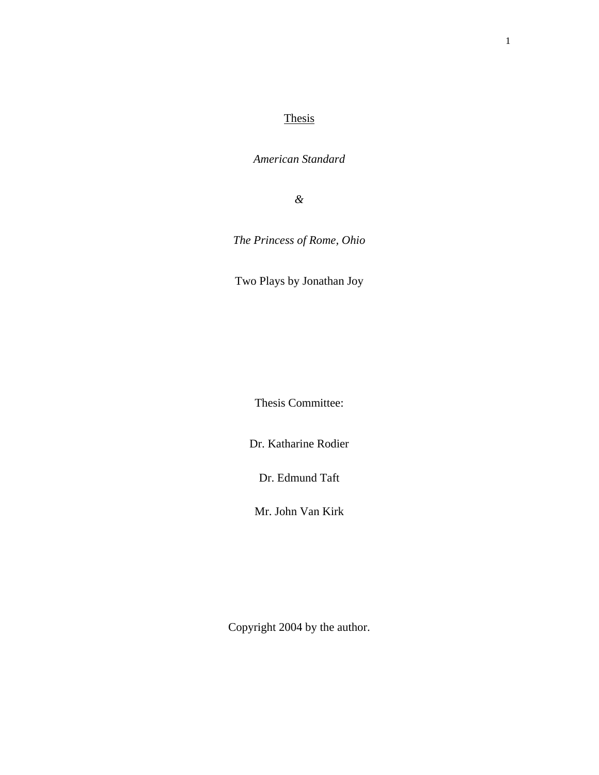## **Thesis**

*American Standard* 

*&* 

*The Princess of Rome, Ohio* 

Two Plays by Jonathan Joy

Thesis Committee:

Dr. Katharine Rodier

Dr. Edmund Taft

Mr. John Van Kirk

Copyright 2004 by the author.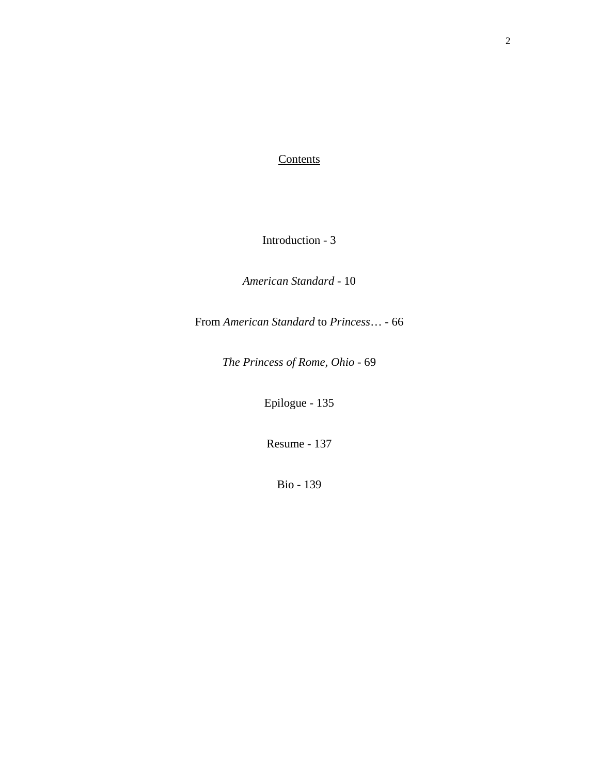## **Contents**

Introduction - 3

*American Standard* - 10

From *American Standard* to *Princess*… - 66

*The Princess of Rome, Ohio* - 69

Epilogue - 135

Resume - 137

Bio - 139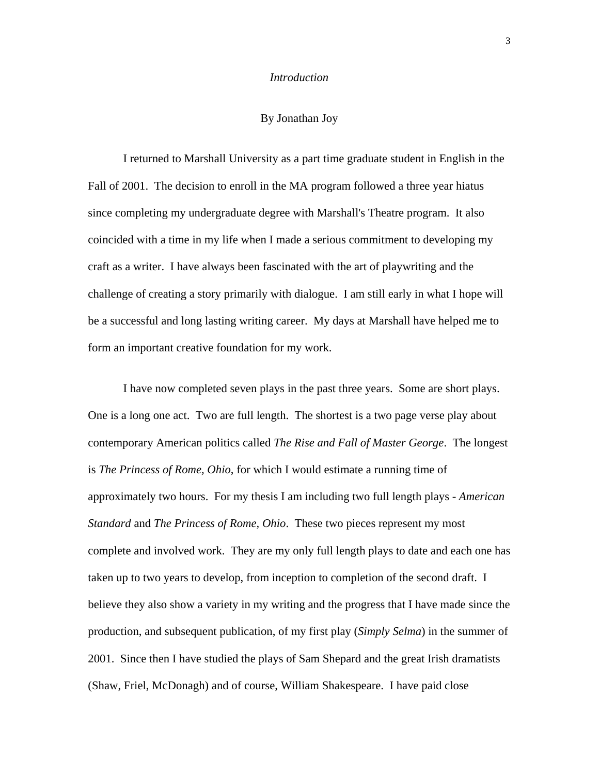### *Introduction*

## By Jonathan Joy

I returned to Marshall University as a part time graduate student in English in the Fall of 2001. The decision to enroll in the MA program followed a three year hiatus since completing my undergraduate degree with Marshall's Theatre program. It also coincided with a time in my life when I made a serious commitment to developing my craft as a writer. I have always been fascinated with the art of playwriting and the challenge of creating a story primarily with dialogue. I am still early in what I hope will be a successful and long lasting writing career. My days at Marshall have helped me to form an important creative foundation for my work.

I have now completed seven plays in the past three years. Some are short plays. One is a long one act. Two are full length. The shortest is a two page verse play about contemporary American politics called *The Rise and Fall of Master George*. The longest is *The Princess of Rome, Ohio*, for which I would estimate a running time of approximately two hours. For my thesis I am including two full length plays - *American Standard* and *The Princess of Rome, Ohio*. These two pieces represent my most complete and involved work. They are my only full length plays to date and each one has taken up to two years to develop, from inception to completion of the second draft. I believe they also show a variety in my writing and the progress that I have made since the production, and subsequent publication, of my first play (*Simply Selma*) in the summer of 2001. Since then I have studied the plays of Sam Shepard and the great Irish dramatists (Shaw, Friel, McDonagh) and of course, William Shakespeare. I have paid close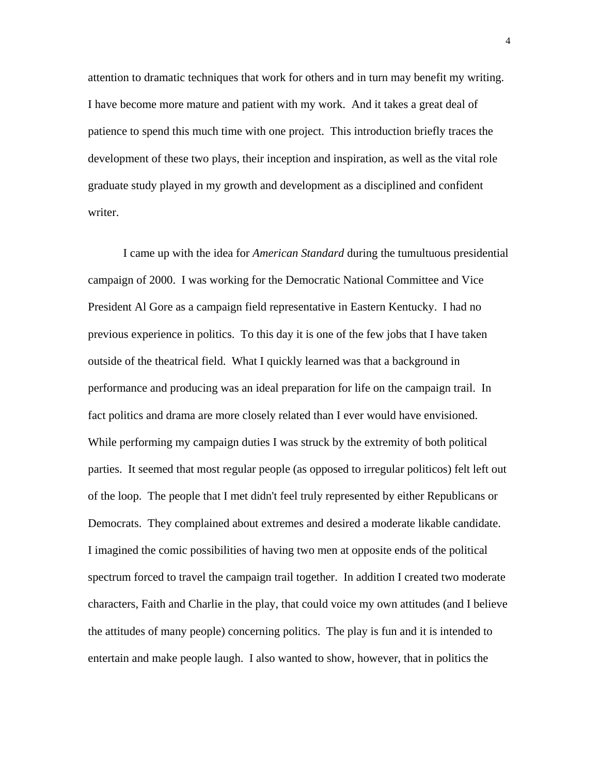attention to dramatic techniques that work for others and in turn may benefit my writing. I have become more mature and patient with my work. And it takes a great deal of patience to spend this much time with one project. This introduction briefly traces the development of these two plays, their inception and inspiration, as well as the vital role graduate study played in my growth and development as a disciplined and confident writer.

I came up with the idea for *American Standard* during the tumultuous presidential campaign of 2000. I was working for the Democratic National Committee and Vice President Al Gore as a campaign field representative in Eastern Kentucky. I had no previous experience in politics. To this day it is one of the few jobs that I have taken outside of the theatrical field. What I quickly learned was that a background in performance and producing was an ideal preparation for life on the campaign trail. In fact politics and drama are more closely related than I ever would have envisioned. While performing my campaign duties I was struck by the extremity of both political parties. It seemed that most regular people (as opposed to irregular politicos) felt left out of the loop. The people that I met didn't feel truly represented by either Republicans or Democrats. They complained about extremes and desired a moderate likable candidate. I imagined the comic possibilities of having two men at opposite ends of the political spectrum forced to travel the campaign trail together. In addition I created two moderate characters, Faith and Charlie in the play, that could voice my own attitudes (and I believe the attitudes of many people) concerning politics. The play is fun and it is intended to entertain and make people laugh. I also wanted to show, however, that in politics the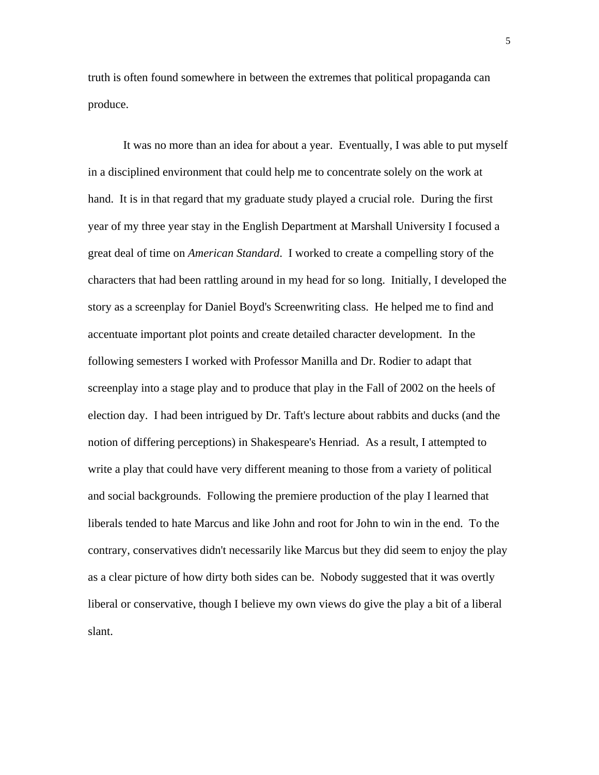truth is often found somewhere in between the extremes that political propaganda can produce.

It was no more than an idea for about a year. Eventually, I was able to put myself in a disciplined environment that could help me to concentrate solely on the work at hand. It is in that regard that my graduate study played a crucial role. During the first year of my three year stay in the English Department at Marshall University I focused a great deal of time on *American Standard*. I worked to create a compelling story of the characters that had been rattling around in my head for so long. Initially, I developed the story as a screenplay for Daniel Boyd's Screenwriting class. He helped me to find and accentuate important plot points and create detailed character development. In the following semesters I worked with Professor Manilla and Dr. Rodier to adapt that screenplay into a stage play and to produce that play in the Fall of 2002 on the heels of election day. I had been intrigued by Dr. Taft's lecture about rabbits and ducks (and the notion of differing perceptions) in Shakespeare's Henriad. As a result, I attempted to write a play that could have very different meaning to those from a variety of political and social backgrounds. Following the premiere production of the play I learned that liberals tended to hate Marcus and like John and root for John to win in the end. To the contrary, conservatives didn't necessarily like Marcus but they did seem to enjoy the play as a clear picture of how dirty both sides can be. Nobody suggested that it was overtly liberal or conservative, though I believe my own views do give the play a bit of a liberal slant.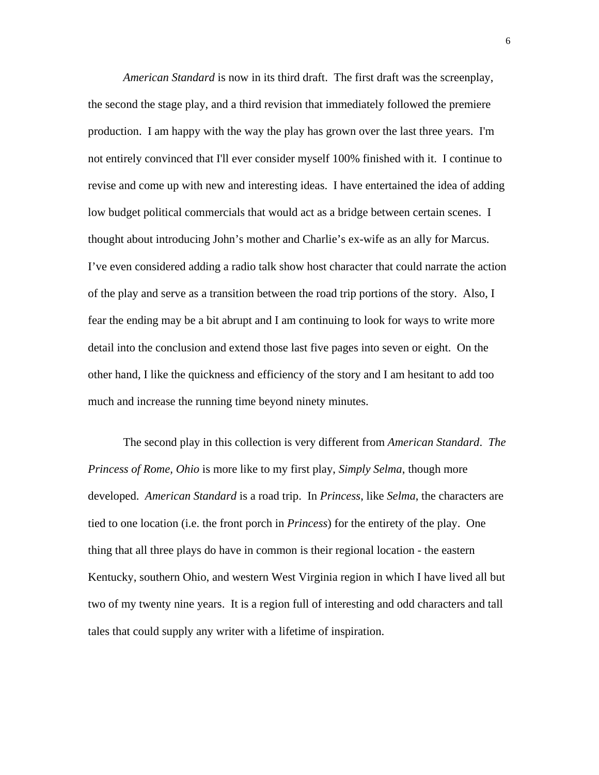*American Standard* is now in its third draft. The first draft was the screenplay, the second the stage play, and a third revision that immediately followed the premiere production. I am happy with the way the play has grown over the last three years. I'm not entirely convinced that I'll ever consider myself 100% finished with it. I continue to revise and come up with new and interesting ideas. I have entertained the idea of adding low budget political commercials that would act as a bridge between certain scenes. I thought about introducing John's mother and Charlie's ex-wife as an ally for Marcus. I've even considered adding a radio talk show host character that could narrate the action of the play and serve as a transition between the road trip portions of the story. Also, I fear the ending may be a bit abrupt and I am continuing to look for ways to write more detail into the conclusion and extend those last five pages into seven or eight. On the other hand, I like the quickness and efficiency of the story and I am hesitant to add too much and increase the running time beyond ninety minutes.

The second play in this collection is very different from *American Standard*. *The Princess of Rome, Ohio* is more like to my first play, *Simply Selma*, though more developed. *American Standard* is a road trip. In *Princess*, like *Selma*, the characters are tied to one location (i.e. the front porch in *Princess*) for the entirety of the play. One thing that all three plays do have in common is their regional location - the eastern Kentucky, southern Ohio, and western West Virginia region in which I have lived all but two of my twenty nine years. It is a region full of interesting and odd characters and tall tales that could supply any writer with a lifetime of inspiration.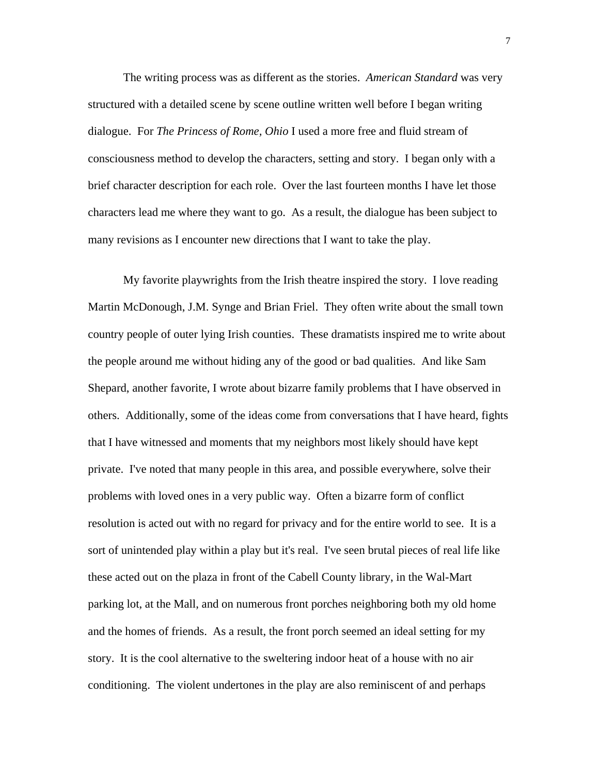The writing process was as different as the stories. *American Standard* was very structured with a detailed scene by scene outline written well before I began writing dialogue. For *The Princess of Rome, Ohio* I used a more free and fluid stream of consciousness method to develop the characters, setting and story. I began only with a brief character description for each role. Over the last fourteen months I have let those characters lead me where they want to go. As a result, the dialogue has been subject to many revisions as I encounter new directions that I want to take the play.

My favorite playwrights from the Irish theatre inspired the story. I love reading Martin McDonough, J.M. Synge and Brian Friel. They often write about the small town country people of outer lying Irish counties. These dramatists inspired me to write about the people around me without hiding any of the good or bad qualities. And like Sam Shepard, another favorite, I wrote about bizarre family problems that I have observed in others. Additionally, some of the ideas come from conversations that I have heard, fights that I have witnessed and moments that my neighbors most likely should have kept private. I've noted that many people in this area, and possible everywhere, solve their problems with loved ones in a very public way. Often a bizarre form of conflict resolution is acted out with no regard for privacy and for the entire world to see. It is a sort of unintended play within a play but it's real. I've seen brutal pieces of real life like these acted out on the plaza in front of the Cabell County library, in the Wal-Mart parking lot, at the Mall, and on numerous front porches neighboring both my old home and the homes of friends. As a result, the front porch seemed an ideal setting for my story. It is the cool alternative to the sweltering indoor heat of a house with no air conditioning. The violent undertones in the play are also reminiscent of and perhaps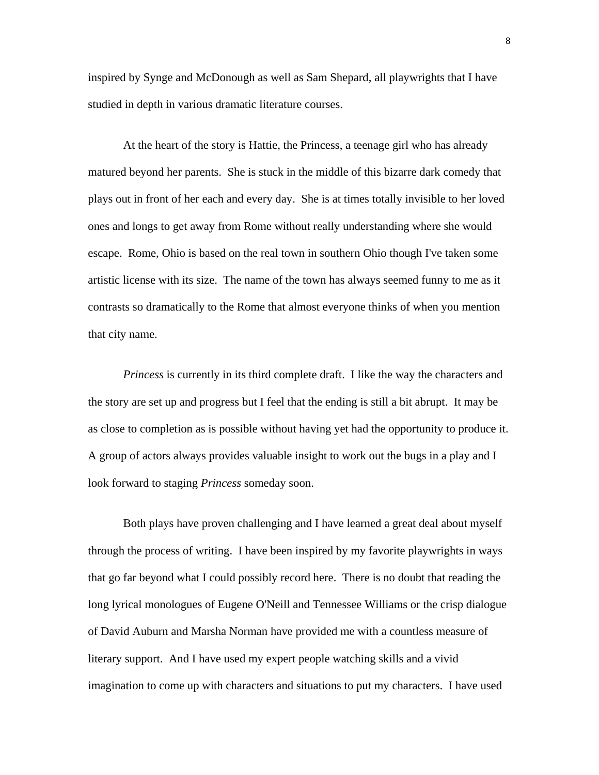inspired by Synge and McDonough as well as Sam Shepard, all playwrights that I have studied in depth in various dramatic literature courses.

At the heart of the story is Hattie, the Princess, a teenage girl who has already matured beyond her parents. She is stuck in the middle of this bizarre dark comedy that plays out in front of her each and every day. She is at times totally invisible to her loved ones and longs to get away from Rome without really understanding where she would escape. Rome, Ohio is based on the real town in southern Ohio though I've taken some artistic license with its size. The name of the town has always seemed funny to me as it contrasts so dramatically to the Rome that almost everyone thinks of when you mention that city name.

*Princess* is currently in its third complete draft. I like the way the characters and the story are set up and progress but I feel that the ending is still a bit abrupt. It may be as close to completion as is possible without having yet had the opportunity to produce it. A group of actors always provides valuable insight to work out the bugs in a play and I look forward to staging *Princess* someday soon.

Both plays have proven challenging and I have learned a great deal about myself through the process of writing. I have been inspired by my favorite playwrights in ways that go far beyond what I could possibly record here. There is no doubt that reading the long lyrical monologues of Eugene O'Neill and Tennessee Williams or the crisp dialogue of David Auburn and Marsha Norman have provided me with a countless measure of literary support. And I have used my expert people watching skills and a vivid imagination to come up with characters and situations to put my characters. I have used

8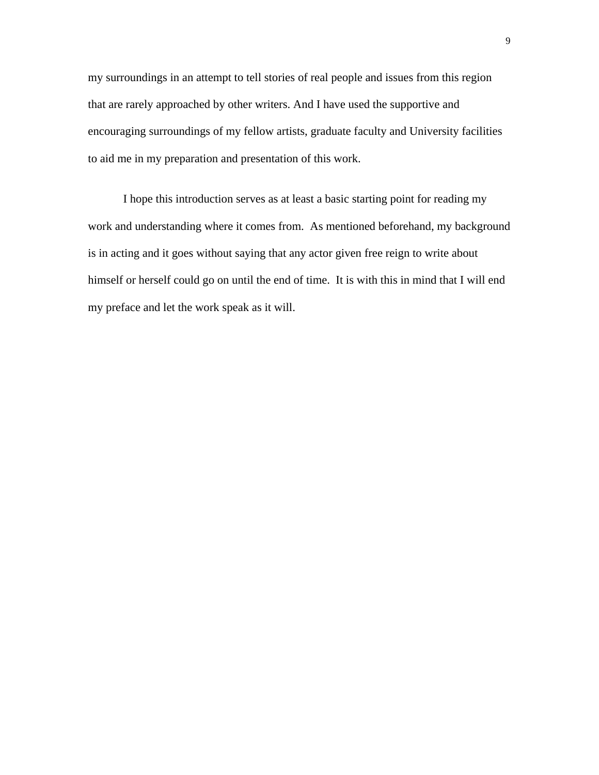my surroundings in an attempt to tell stories of real people and issues from this region that are rarely approached by other writers. And I have used the supportive and encouraging surroundings of my fellow artists, graduate faculty and University facilities to aid me in my preparation and presentation of this work.

I hope this introduction serves as at least a basic starting point for reading my work and understanding where it comes from. As mentioned beforehand, my background is in acting and it goes without saying that any actor given free reign to write about himself or herself could go on until the end of time. It is with this in mind that I will end my preface and let the work speak as it will.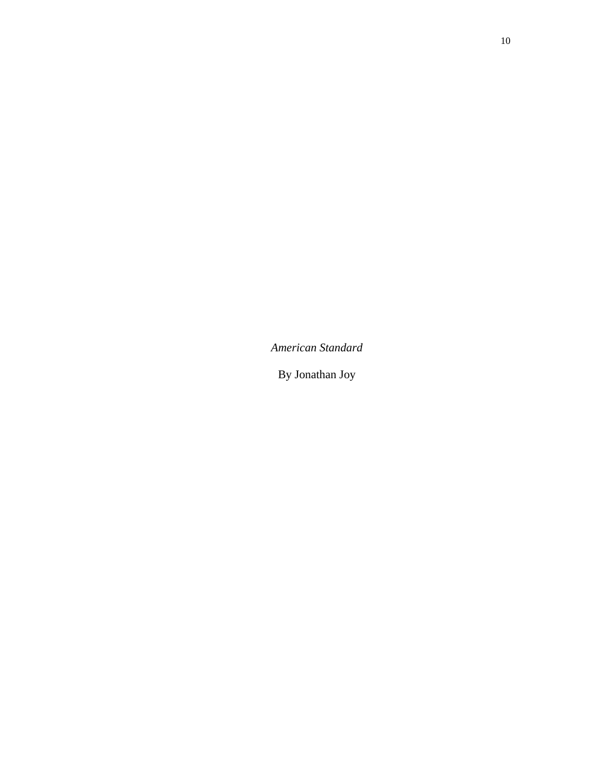*American Standard* 

By Jonathan Joy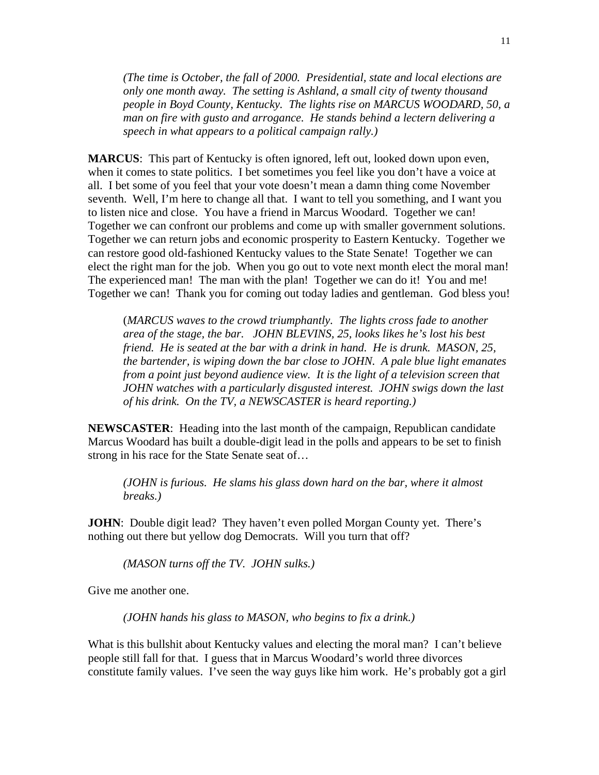*(The time is October, the fall of 2000. Presidential, state and local elections are only one month away. The setting is Ashland, a small city of twenty thousand people in Boyd County, Kentucky. The lights rise on MARCUS WOODARD, 50, a man on fire with gusto and arrogance. He stands behind a lectern delivering a speech in what appears to a political campaign rally.)* 

**MARCUS**: This part of Kentucky is often ignored, left out, looked down upon even, when it comes to state politics. I bet sometimes you feel like you don't have a voice at all. I bet some of you feel that your vote doesn't mean a damn thing come November seventh. Well, I'm here to change all that. I want to tell you something, and I want you to listen nice and close. You have a friend in Marcus Woodard. Together we can! Together we can confront our problems and come up with smaller government solutions. Together we can return jobs and economic prosperity to Eastern Kentucky. Together we can restore good old-fashioned Kentucky values to the State Senate! Together we can elect the right man for the job. When you go out to vote next month elect the moral man! The experienced man! The man with the plan! Together we can do it! You and me! Together we can! Thank you for coming out today ladies and gentleman. God bless you!

(*MARCUS waves to the crowd triumphantly. The lights cross fade to another area of the stage, the bar. JOHN BLEVINS, 25, looks likes he's lost his best friend. He is seated at the bar with a drink in hand. He is drunk. MASON, 25, the bartender, is wiping down the bar close to JOHN. A pale blue light emanates from a point just beyond audience view. It is the light of a television screen that JOHN watches with a particularly disgusted interest. JOHN swigs down the last of his drink. On the TV, a NEWSCASTER is heard reporting.)*

**NEWSCASTER**: Heading into the last month of the campaign, Republican candidate Marcus Woodard has built a double-digit lead in the polls and appears to be set to finish strong in his race for the State Senate seat of…

*(JOHN is furious. He slams his glass down hard on the bar, where it almost breaks.)* 

**JOHN**: Double digit lead? They haven't even polled Morgan County yet. There's nothing out there but yellow dog Democrats. Will you turn that off?

*(MASON turns off the TV. JOHN sulks.)* 

Give me another one.

*(JOHN hands his glass to MASON, who begins to fix a drink.)* 

What is this bullshit about Kentucky values and electing the moral man? I can't believe people still fall for that. I guess that in Marcus Woodard's world three divorces constitute family values. I've seen the way guys like him work. He's probably got a girl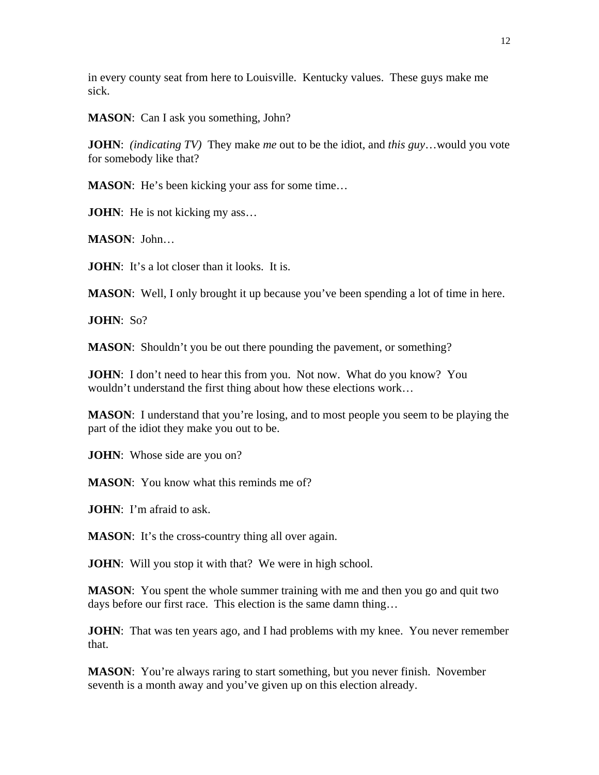in every county seat from here to Louisville. Kentucky values. These guys make me sick.

**MASON**: Can I ask you something, John?

**JOHN**: *(indicating TV)* They make *me* out to be the idiot, and *this guy*…would you vote for somebody like that?

**MASON:** He's been kicking your ass for some time...

**JOHN**: He is not kicking my ass...

**MASON**: John…

**JOHN**: It's a lot closer than it looks. It is.

**MASON**: Well, I only brought it up because you've been spending a lot of time in here.

**JOHN**: So?

**MASON:** Shouldn't you be out there pounding the pavement, or something?

**JOHN**: I don't need to hear this from you. Not now. What do you know? You wouldn't understand the first thing about how these elections work…

**MASON**: I understand that you're losing, and to most people you seem to be playing the part of the idiot they make you out to be.

**JOHN**: Whose side are you on?

**MASON:** You know what this reminds me of?

**JOHN**: I'm afraid to ask.

**MASON:** It's the cross-country thing all over again.

**JOHN**: Will you stop it with that? We were in high school.

**MASON**: You spent the whole summer training with me and then you go and quit two days before our first race. This election is the same damn thing…

**JOHN**: That was ten years ago, and I had problems with my knee. You never remember that.

**MASON**: You're always raring to start something, but you never finish. November seventh is a month away and you've given up on this election already.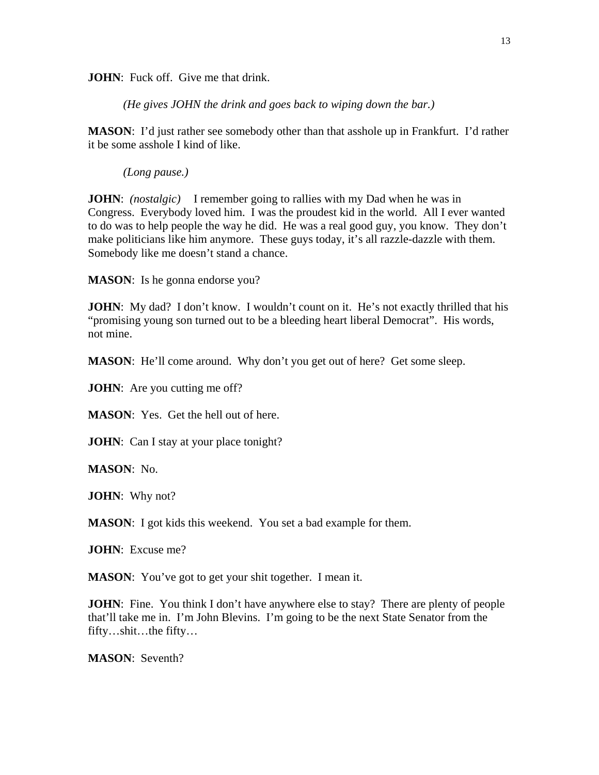**JOHN**: Fuck off. Give me that drink.

*(He gives JOHN the drink and goes back to wiping down the bar.)*

**MASON**: I'd just rather see somebody other than that asshole up in Frankfurt. I'd rather it be some asshole I kind of like.

*(Long pause.)* 

**JOHN**: *(nostalgic)* I remember going to rallies with my Dad when he was in Congress. Everybody loved him. I was the proudest kid in the world. All I ever wanted to do was to help people the way he did. He was a real good guy, you know. They don't make politicians like him anymore. These guys today, it's all razzle-dazzle with them. Somebody like me doesn't stand a chance.

**MASON**: Is he gonna endorse you?

**JOHN**: My dad? I don't know. I wouldn't count on it. He's not exactly thrilled that his "promising young son turned out to be a bleeding heart liberal Democrat". His words, not mine.

**MASON**: He'll come around. Why don't you get out of here? Get some sleep.

**JOHN**: Are you cutting me off?

**MASON**: Yes. Get the hell out of here.

**JOHN**: Can I stay at your place tonight?

**MASON**: No.

**JOHN**: Why not?

**MASON**: I got kids this weekend. You set a bad example for them.

**JOHN**: Excuse me?

**MASON:** You've got to get your shit together. I mean it.

**JOHN**: Fine. You think I don't have anywhere else to stay? There are plenty of people that'll take me in. I'm John Blevins. I'm going to be the next State Senator from the fifty…shit…the fifty…

**MASON**: Seventh?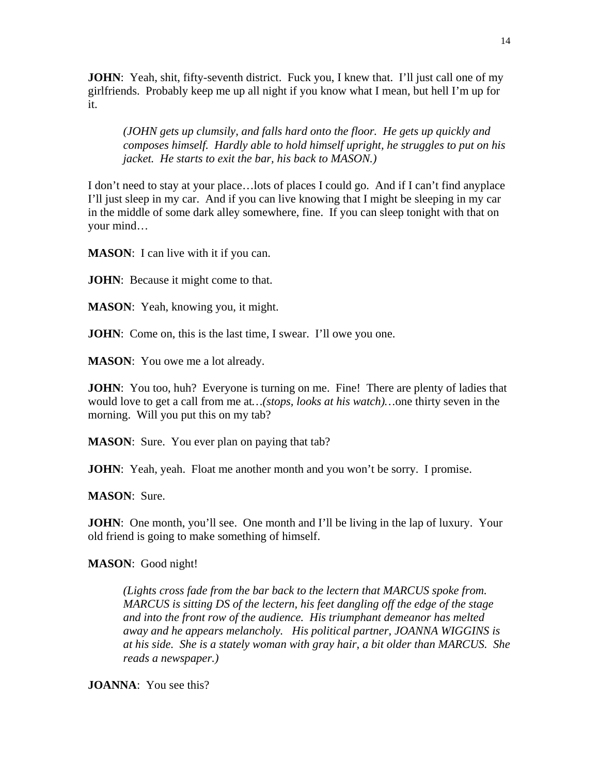**JOHN**: Yeah, shit, fifty-seventh district. Fuck you, I knew that. I'll just call one of my girlfriends. Probably keep me up all night if you know what I mean, but hell I'm up for it.

*(JOHN gets up clumsily, and falls hard onto the floor. He gets up quickly and composes himself. Hardly able to hold himself upright, he struggles to put on his jacket. He starts to exit the bar, his back to MASON.)* 

I don't need to stay at your place…lots of places I could go. And if I can't find anyplace I'll just sleep in my car. And if you can live knowing that I might be sleeping in my car in the middle of some dark alley somewhere, fine. If you can sleep tonight with that on your mind…

**MASON:** I can live with it if you can.

**JOHN**: Because it might come to that.

**MASON**: Yeah, knowing you, it might.

**JOHN**: Come on, this is the last time, I swear. I'll owe you one.

**MASON**: You owe me a lot already.

**JOHN**: You too, huh? Everyone is turning on me. Fine! There are plenty of ladies that would love to get a call from me at*…(stops, looks at his watch)…*one thirty seven in the morning. Will you put this on my tab?

**MASON:** Sure. You ever plan on paying that tab?

**JOHN**: Yeah, yeah. Float me another month and you won't be sorry. I promise.

**MASON**: Sure.

**JOHN**: One month, you'll see. One month and I'll be living in the lap of luxury. Your old friend is going to make something of himself.

**MASON**: Good night!

*(Lights cross fade from the bar back to the lectern that MARCUS spoke from. MARCUS is sitting DS of the lectern, his feet dangling off the edge of the stage and into the front row of the audience. His triumphant demeanor has melted away and he appears melancholy. His political partner, JOANNA WIGGINS is at his side. She is a stately woman with gray hair, a bit older than MARCUS. She reads a newspaper.)* 

**JOANNA**: You see this?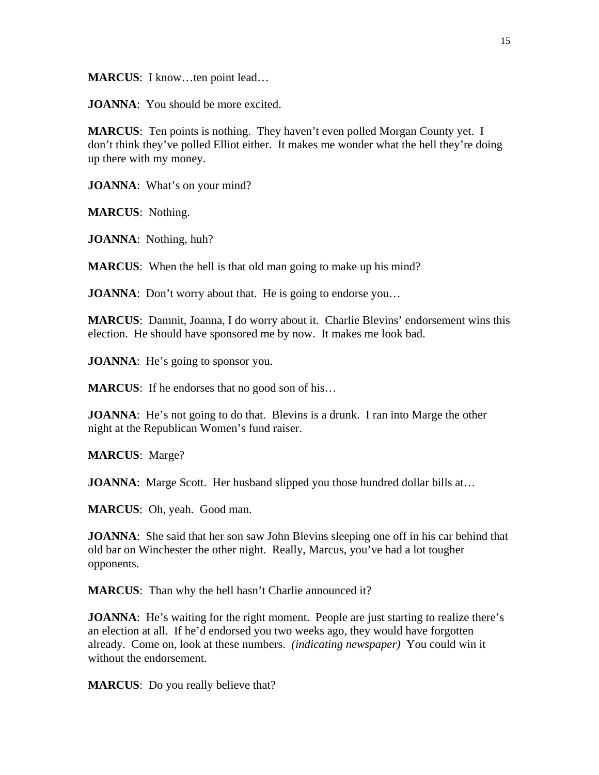**MARCUS**: I know…ten point lead…

**JOANNA**: You should be more excited.

**MARCUS**: Ten points is nothing. They haven't even polled Morgan County yet. I don't think they've polled Elliot either. It makes me wonder what the hell they're doing up there with my money.

**JOANNA**: What's on your mind?

**MARCUS**: Nothing.

**JOANNA**: Nothing, huh?

**MARCUS:** When the hell is that old man going to make up his mind?

**JOANNA**: Don't worry about that. He is going to endorse you...

**MARCUS**: Damnit, Joanna, I do worry about it. Charlie Blevins' endorsement wins this election. He should have sponsored me by now. It makes me look bad.

**JOANNA**: He's going to sponsor you.

**MARCUS:** If he endorses that no good son of his...

**JOANNA**: He's not going to do that. Blevins is a drunk. I ran into Marge the other night at the Republican Women's fund raiser.

**MARCUS**: Marge?

**JOANNA**: Marge Scott. Her husband slipped you those hundred dollar bills at...

**MARCUS**: Oh, yeah. Good man.

**JOANNA**: She said that her son saw John Blevins sleeping one off in his car behind that old bar on Winchester the other night. Really, Marcus, you've had a lot tougher opponents.

**MARCUS:** Than why the hell hasn't Charlie announced it?

**JOANNA**: He's waiting for the right moment. People are just starting to realize there's an election at all. If he'd endorsed you two weeks ago, they would have forgotten already. Come on, look at these numbers. *(indicating newspaper)* You could win it without the endorsement.

**MARCUS**: Do you really believe that?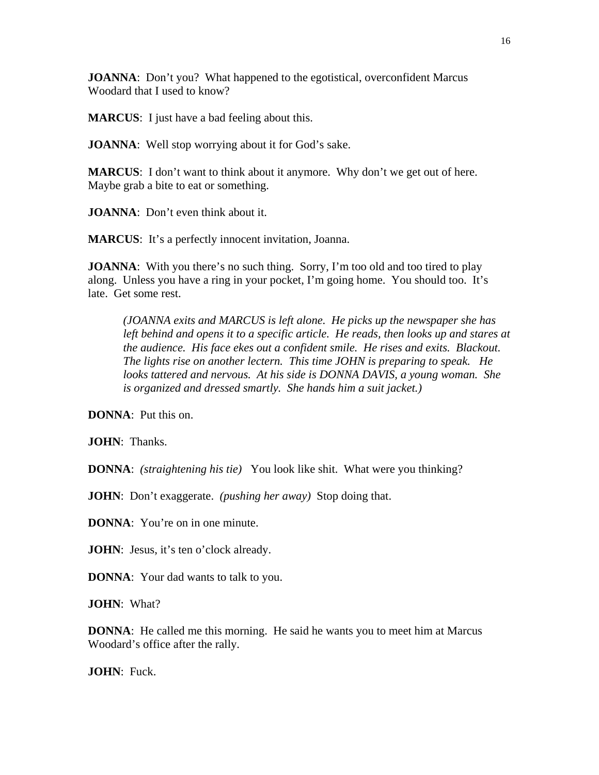**JOANNA**: Don't you? What happened to the egotistical, overconfident Marcus Woodard that I used to know?

**MARCUS**: I just have a bad feeling about this.

**JOANNA**: Well stop worrying about it for God's sake.

**MARCUS**: I don't want to think about it anymore. Why don't we get out of here. Maybe grab a bite to eat or something.

**JOANNA**: Don't even think about it.

**MARCUS**: It's a perfectly innocent invitation, Joanna.

**JOANNA**: With you there's no such thing. Sorry, I'm too old and too tired to play along. Unless you have a ring in your pocket, I'm going home. You should too. It's late. Get some rest.

*(JOANNA exits and MARCUS is left alone. He picks up the newspaper she has left behind and opens it to a specific article. He reads, then looks up and stares at the audience. His face ekes out a confident smile. He rises and exits. Blackout. The lights rise on another lectern. This time JOHN is preparing to speak. He looks tattered and nervous. At his side is DONNA DAVIS, a young woman. She is organized and dressed smartly. She hands him a suit jacket.)* 

**DONNA**: Put this on.

**JOHN**: Thanks.

**DONNA**: *(straightening his tie)* You look like shit. What were you thinking?

**JOHN**: Don't exaggerate. *(pushing her away)* Stop doing that.

**DONNA**: You're on in one minute.

**JOHN**: Jesus, it's ten o'clock already.

**DONNA**: Your dad wants to talk to you.

**JOHN**: What?

**DONNA**: He called me this morning. He said he wants you to meet him at Marcus Woodard's office after the rally.

**JOHN**: Fuck.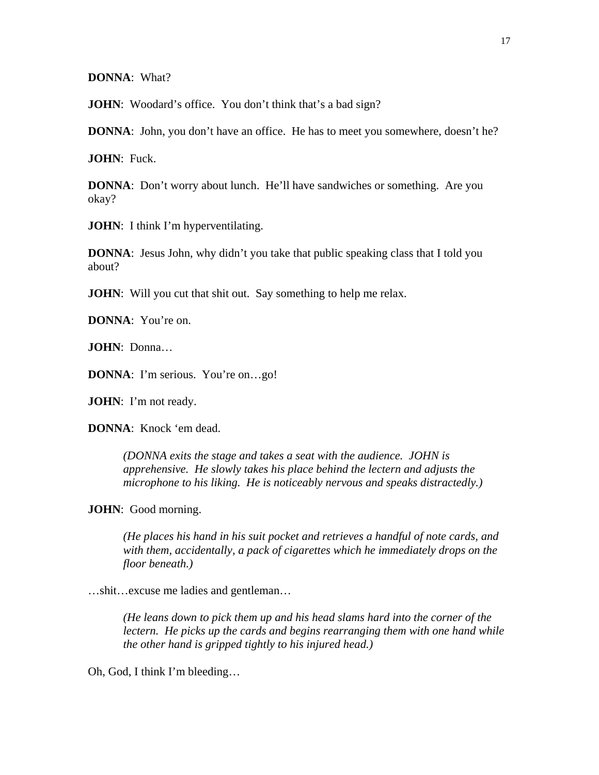**DONNA**: What?

**JOHN**: Woodard's office. You don't think that's a bad sign?

**DONNA**: John, you don't have an office. He has to meet you somewhere, doesn't he?

**JOHN**: Fuck.

**DONNA**: Don't worry about lunch. He'll have sandwiches or something. Are you okay?

**JOHN**: I think I'm hyperventilating.

**DONNA**: Jesus John, why didn't you take that public speaking class that I told you about?

**JOHN**: Will you cut that shit out. Say something to help me relax.

**DONNA**: You're on.

**JOHN**: Donna…

**DONNA**: I'm serious. You're on...go!

**JOHN**: I'm not ready.

**DONNA**: Knock 'em dead.

*(DONNA exits the stage and takes a seat with the audience. JOHN is apprehensive. He slowly takes his place behind the lectern and adjusts the microphone to his liking. He is noticeably nervous and speaks distractedly.)* 

**JOHN**: Good morning.

*(He places his hand in his suit pocket and retrieves a handful of note cards, and with them, accidentally, a pack of cigarettes which he immediately drops on the floor beneath.)* 

…shit…excuse me ladies and gentleman…

*(He leans down to pick them up and his head slams hard into the corner of the lectern. He picks up the cards and begins rearranging them with one hand while the other hand is gripped tightly to his injured head.)* 

Oh, God, I think I'm bleeding…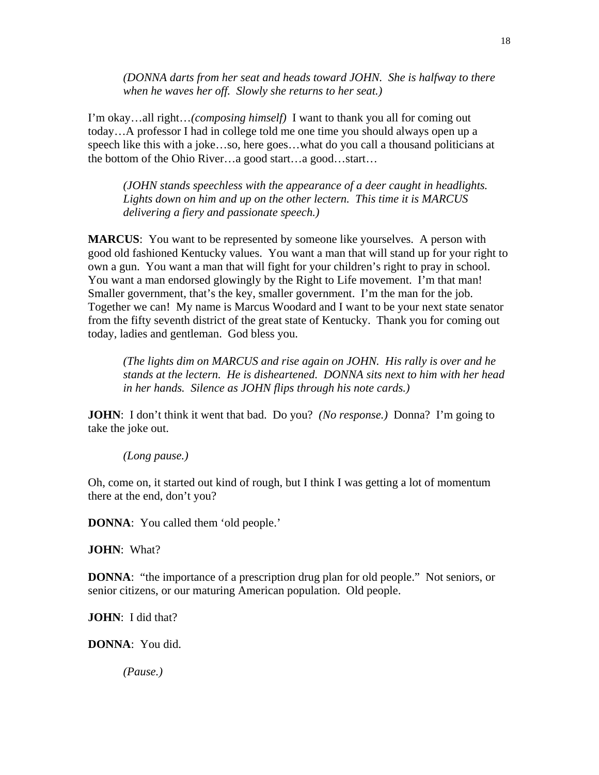*(DONNA darts from her seat and heads toward JOHN. She is halfway to there when he waves her off. Slowly she returns to her seat.)* 

I'm okay…all right…*(composing himself)* I want to thank you all for coming out today…A professor I had in college told me one time you should always open up a speech like this with a joke…so, here goes…what do you call a thousand politicians at the bottom of the Ohio River…a good start…a good…start…

*(JOHN stands speechless with the appearance of a deer caught in headlights. Lights down on him and up on the other lectern. This time it is MARCUS delivering a fiery and passionate speech.)* 

**MARCUS**: You want to be represented by someone like yourselves. A person with good old fashioned Kentucky values. You want a man that will stand up for your right to own a gun. You want a man that will fight for your children's right to pray in school. You want a man endorsed glowingly by the Right to Life movement. I'm that man! Smaller government, that's the key, smaller government. I'm the man for the job. Together we can! My name is Marcus Woodard and I want to be your next state senator from the fifty seventh district of the great state of Kentucky. Thank you for coming out today, ladies and gentleman. God bless you.

*(The lights dim on MARCUS and rise again on JOHN. His rally is over and he stands at the lectern. He is disheartened. DONNA sits next to him with her head in her hands. Silence as JOHN flips through his note cards.)* 

**JOHN**: I don't think it went that bad. Do you? *(No response.)* Donna? I'm going to take the joke out.

### *(Long pause.)*

Oh, come on, it started out kind of rough, but I think I was getting a lot of momentum there at the end, don't you?

**DONNA**: You called them 'old people.'

**JOHN**: What?

**DONNA:** "the importance of a prescription drug plan for old people." Not seniors, or senior citizens, or our maturing American population. Old people.

**JOHN**: I did that?

**DONNA**: You did.

*(Pause.)*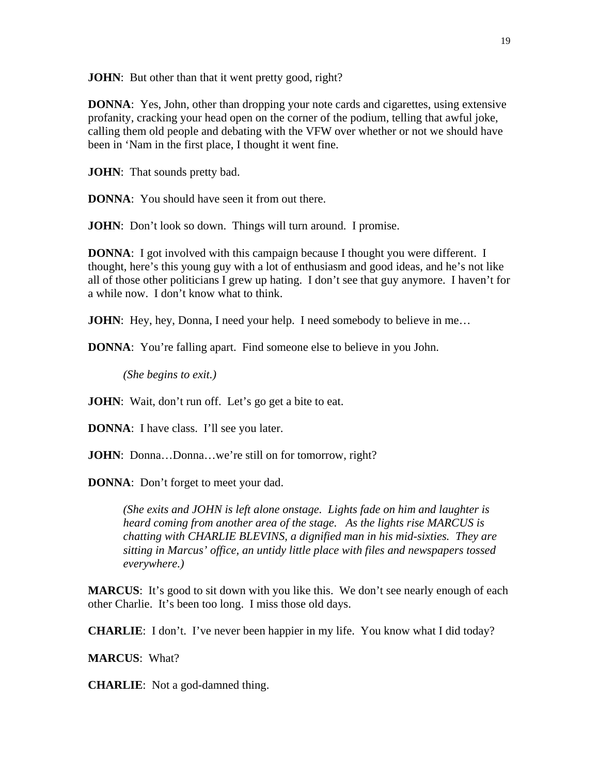**JOHN**: But other than that it went pretty good, right?

**DONNA**: Yes, John, other than dropping your note cards and cigarettes, using extensive profanity, cracking your head open on the corner of the podium, telling that awful joke, calling them old people and debating with the VFW over whether or not we should have been in 'Nam in the first place, I thought it went fine.

**JOHN**: That sounds pretty bad.

**DONNA**: You should have seen it from out there.

**JOHN**: Don't look so down. Things will turn around. I promise.

**DONNA**: I got involved with this campaign because I thought you were different. I thought, here's this young guy with a lot of enthusiasm and good ideas, and he's not like all of those other politicians I grew up hating. I don't see that guy anymore. I haven't for a while now. I don't know what to think.

**JOHN**: Hey, hey, Donna, I need your help. I need somebody to believe in me...

**DONNA**: You're falling apart. Find someone else to believe in you John.

*(She begins to exit.)* 

**JOHN**: Wait, don't run off. Let's go get a bite to eat.

**DONNA**: I have class. I'll see you later.

**JOHN**: Donna...Donna...we're still on for tomorrow, right?

**DONNA**: Don't forget to meet your dad.

*(She exits and JOHN is left alone onstage. Lights fade on him and laughter is heard coming from another area of the stage. As the lights rise MARCUS is chatting with CHARLIE BLEVINS, a dignified man in his mid-sixties. They are sitting in Marcus' office, an untidy little place with files and newspapers tossed everywhere.)* 

**MARCUS**: It's good to sit down with you like this. We don't see nearly enough of each other Charlie. It's been too long. I miss those old days.

**CHARLIE**: I don't. I've never been happier in my life. You know what I did today?

**MARCUS**: What?

**CHARLIE**: Not a god-damned thing.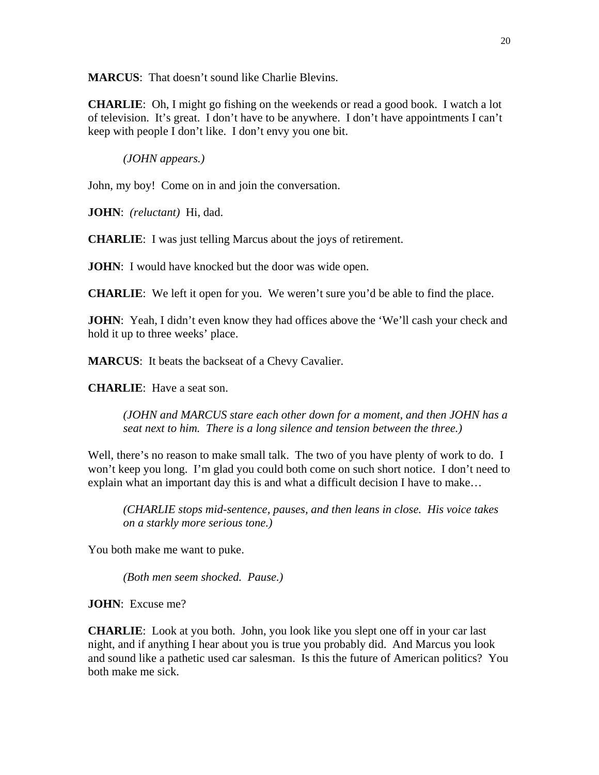**MARCUS:** That doesn't sound like Charlie Blevins.

**CHARLIE**: Oh, I might go fishing on the weekends or read a good book. I watch a lot of television. It's great. I don't have to be anywhere. I don't have appointments I can't keep with people I don't like. I don't envy you one bit.

*(JOHN appears.)* 

John, my boy! Come on in and join the conversation.

**JOHN**: *(reluctant)* Hi, dad.

**CHARLIE**: I was just telling Marcus about the joys of retirement.

**JOHN**: I would have knocked but the door was wide open.

**CHARLIE**: We left it open for you. We weren't sure you'd be able to find the place.

**JOHN**: Yeah, I didn't even know they had offices above the 'We'll cash your check and hold it up to three weeks' place.

**MARCUS**: It beats the backseat of a Chevy Cavalier.

**CHARLIE**: Have a seat son.

*(JOHN and MARCUS stare each other down for a moment, and then JOHN has a seat next to him. There is a long silence and tension between the three.)* 

Well, there's no reason to make small talk. The two of you have plenty of work to do. I won't keep you long. I'm glad you could both come on such short notice. I don't need to explain what an important day this is and what a difficult decision I have to make…

*(CHARLIE stops mid-sentence, pauses, and then leans in close. His voice takes on a starkly more serious tone.)* 

You both make me want to puke.

*(Both men seem shocked. Pause.)* 

**JOHN**: Excuse me?

**CHARLIE**: Look at you both. John, you look like you slept one off in your car last night, and if anything I hear about you is true you probably did. And Marcus you look and sound like a pathetic used car salesman. Is this the future of American politics? You both make me sick.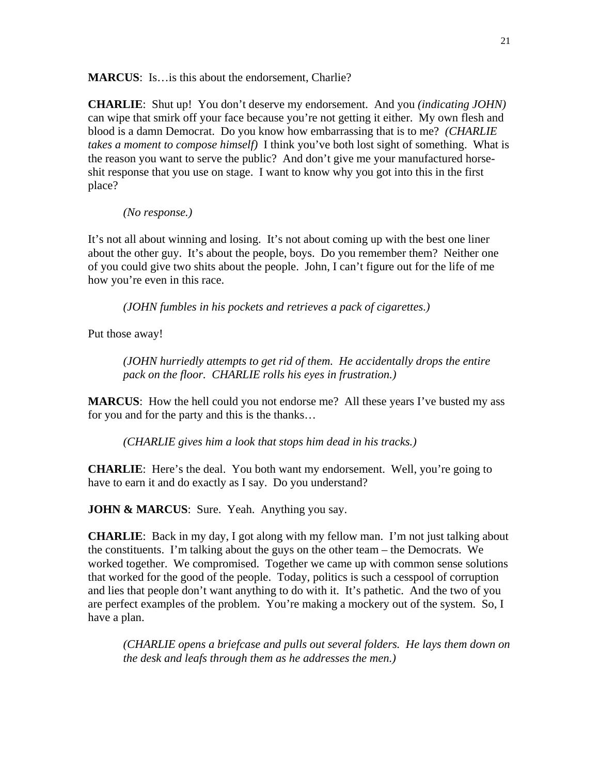**MARCUS**: Is…is this about the endorsement, Charlie?

**CHARLIE**: Shut up! You don't deserve my endorsement. And you *(indicating JOHN)* can wipe that smirk off your face because you're not getting it either. My own flesh and blood is a damn Democrat. Do you know how embarrassing that is to me? *(CHARLIE takes a moment to compose himself)* I think you've both lost sight of something. What is the reason you want to serve the public? And don't give me your manufactured horseshit response that you use on stage. I want to know why you got into this in the first place?

*(No response.)* 

It's not all about winning and losing. It's not about coming up with the best one liner about the other guy. It's about the people, boys. Do you remember them? Neither one of you could give two shits about the people. John, I can't figure out for the life of me how you're even in this race.

 *(JOHN fumbles in his pockets and retrieves a pack of cigarettes.)* 

Put those away!

*(JOHN hurriedly attempts to get rid of them. He accidentally drops the entire pack on the floor. CHARLIE rolls his eyes in frustration.)* 

**MARCUS**: How the hell could you not endorse me? All these years I've busted my ass for you and for the party and this is the thanks…

*(CHARLIE gives him a look that stops him dead in his tracks.)* 

**CHARLIE:** Here's the deal. You both want my endorsement. Well, you're going to have to earn it and do exactly as I say. Do you understand?

**JOHN & MARCUS**: Sure. Yeah. Anything you say.

**CHARLIE**: Back in my day, I got along with my fellow man. I'm not just talking about the constituents. I'm talking about the guys on the other team – the Democrats. We worked together. We compromised. Together we came up with common sense solutions that worked for the good of the people. Today, politics is such a cesspool of corruption and lies that people don't want anything to do with it. It's pathetic. And the two of you are perfect examples of the problem. You're making a mockery out of the system. So, I have a plan.

*(CHARLIE opens a briefcase and pulls out several folders. He lays them down on the desk and leafs through them as he addresses the men.)*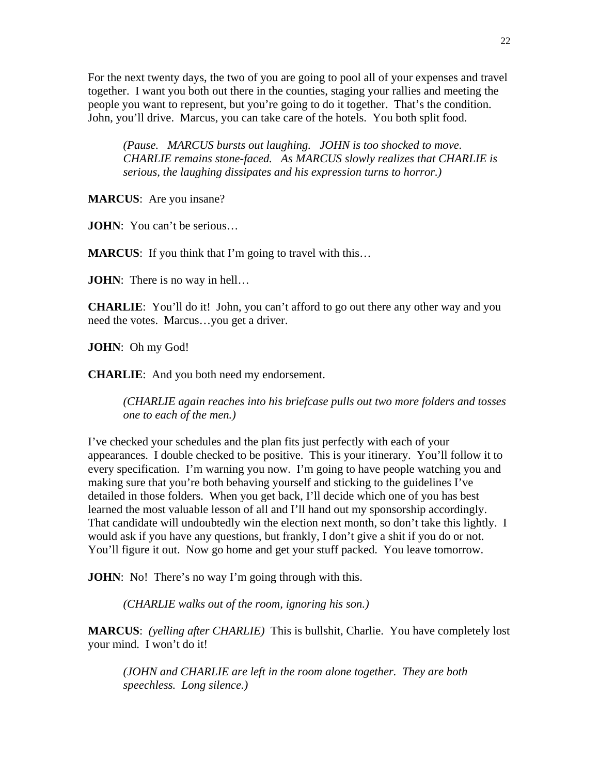For the next twenty days, the two of you are going to pool all of your expenses and travel together. I want you both out there in the counties, staging your rallies and meeting the people you want to represent, but you're going to do it together. That's the condition. John, you'll drive. Marcus, you can take care of the hotels. You both split food.

*(Pause. MARCUS bursts out laughing. JOHN is too shocked to move. CHARLIE remains stone-faced. As MARCUS slowly realizes that CHARLIE is serious, the laughing dissipates and his expression turns to horror.)* 

**MARCUS**: Are you insane?

**JOHN**: You can't be serious...

**MARCUS:** If you think that I'm going to travel with this...

**JOHN**: There is no way in hell...

**CHARLIE**: You'll do it! John, you can't afford to go out there any other way and you need the votes. Marcus…you get a driver.

**JOHN**: Oh my God!

**CHARLIE**: And you both need my endorsement.

*(CHARLIE again reaches into his briefcase pulls out two more folders and tosses one to each of the men.)* 

I've checked your schedules and the plan fits just perfectly with each of your appearances. I double checked to be positive. This is your itinerary. You'll follow it to every specification. I'm warning you now. I'm going to have people watching you and making sure that you're both behaving yourself and sticking to the guidelines I've detailed in those folders. When you get back, I'll decide which one of you has best learned the most valuable lesson of all and I'll hand out my sponsorship accordingly. That candidate will undoubtedly win the election next month, so don't take this lightly. I would ask if you have any questions, but frankly, I don't give a shit if you do or not. You'll figure it out. Now go home and get your stuff packed. You leave tomorrow.

**JOHN**: No! There's no way I'm going through with this.

*(CHARLIE walks out of the room, ignoring his son.)* 

**MARCUS**: *(yelling after CHARLIE)* This is bullshit, Charlie. You have completely lost your mind. I won't do it!

*(JOHN and CHARLIE are left in the room alone together. They are both speechless. Long silence.)*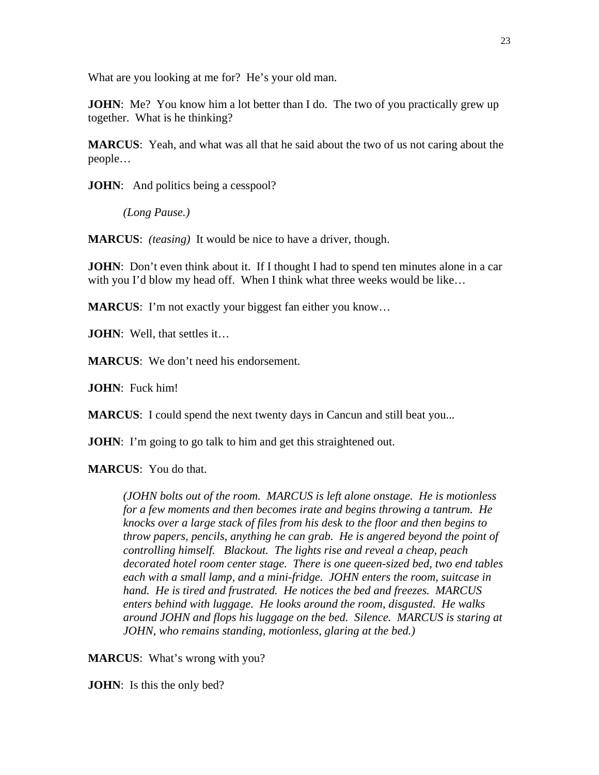What are you looking at me for? He's your old man.

**JOHN**: Me? You know him a lot better than I do. The two of you practically grew up together. What is he thinking?

**MARCUS**: Yeah, and what was all that he said about the two of us not caring about the people…

**JOHN**: And politics being a cesspool?

*(Long Pause.)* 

**MARCUS**: *(teasing)* It would be nice to have a driver, though.

**JOHN**: Don't even think about it. If I thought I had to spend ten minutes alone in a car with you I'd blow my head off. When I think what three weeks would be like...

**MARCUS:** I'm not exactly your biggest fan either you know...

**JOHN**: Well, that settles it...

**MARCUS**: We don't need his endorsement.

**JOHN**: Fuck him!

**MARCUS**: I could spend the next twenty days in Cancun and still beat you...

**JOHN**: I'm going to go talk to him and get this straightened out.

**MARCUS**: You do that.

*(JOHN bolts out of the room. MARCUS is left alone onstage. He is motionless for a few moments and then becomes irate and begins throwing a tantrum. He knocks over a large stack of files from his desk to the floor and then begins to throw papers, pencils, anything he can grab. He is angered beyond the point of controlling himself. Blackout. The lights rise and reveal a cheap, peach decorated hotel room center stage. There is one queen-sized bed, two end tables each with a small lamp, and a mini-fridge. JOHN enters the room, suitcase in hand. He is tired and frustrated. He notices the bed and freezes. MARCUS enters behind with luggage. He looks around the room, disgusted. He walks around JOHN and flops his luggage on the bed. Silence. MARCUS is staring at JOHN, who remains standing, motionless, glaring at the bed.)* 

**MARCUS**: What's wrong with you?

**JOHN**: Is this the only bed?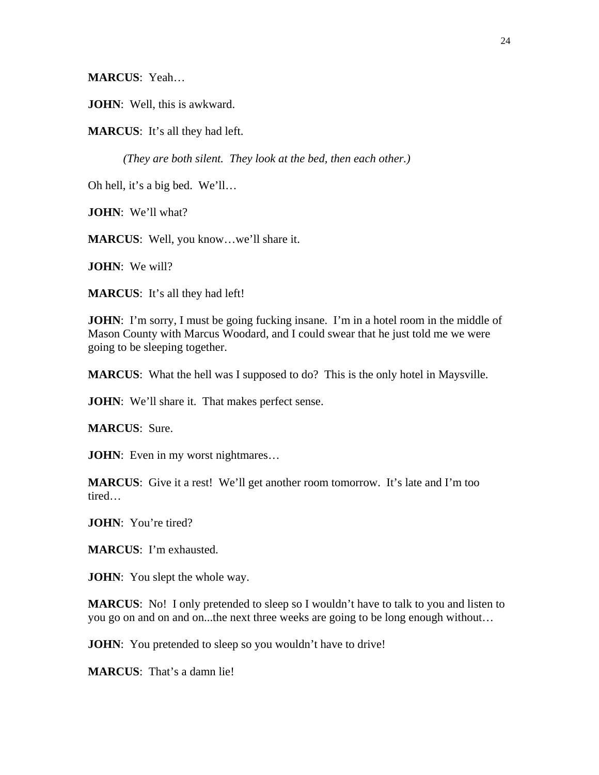**MARCUS**: Yeah…

**JOHN**: Well, this is awkward.

**MARCUS**: It's all they had left.

*(They are both silent. They look at the bed, then each other.)* 

Oh hell, it's a big bed. We'll…

**JOHN**: We'll what?

**MARCUS**: Well, you know…we'll share it.

**JOHN**: We will?

**MARCUS**: It's all they had left!

**JOHN**: I'm sorry, I must be going fucking insane. I'm in a hotel room in the middle of Mason County with Marcus Woodard, and I could swear that he just told me we were going to be sleeping together.

**MARCUS**: What the hell was I supposed to do? This is the only hotel in Maysville.

**JOHN**: We'll share it. That makes perfect sense.

**MARCUS**: Sure.

**JOHN**: Even in my worst nightmares...

**MARCUS**: Give it a rest! We'll get another room tomorrow. It's late and I'm too tired…

**JOHN**: You're tired?

**MARCUS**: I'm exhausted.

**JOHN**: You slept the whole way.

**MARCUS**: No! I only pretended to sleep so I wouldn't have to talk to you and listen to you go on and on and on...the next three weeks are going to be long enough without…

**JOHN**: You pretended to sleep so you wouldn't have to drive!

**MARCUS**: That's a damn lie!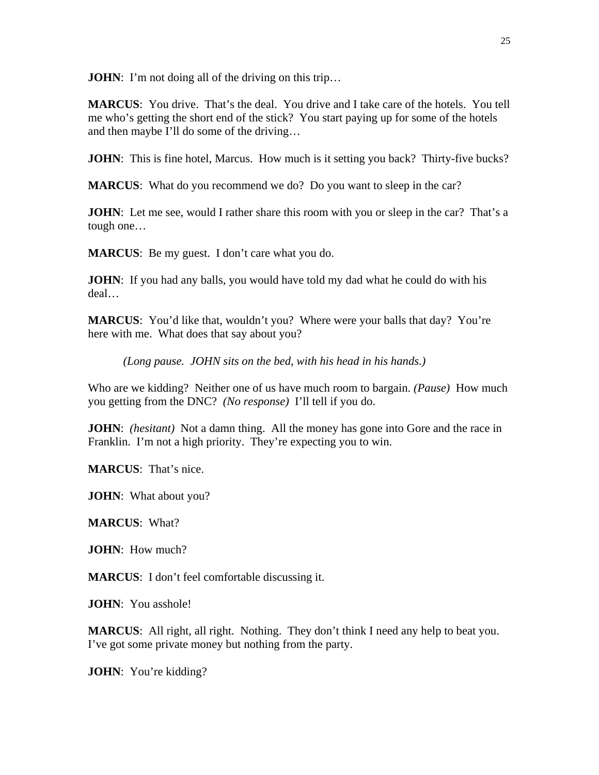**JOHN:** I'm not doing all of the driving on this trip...

**MARCUS**: You drive. That's the deal. You drive and I take care of the hotels. You tell me who's getting the short end of the stick? You start paying up for some of the hotels and then maybe I'll do some of the driving…

**JOHN**: This is fine hotel, Marcus. How much is it setting you back? Thirty-five bucks?

**MARCUS**: What do you recommend we do? Do you want to sleep in the car?

**JOHN**: Let me see, would I rather share this room with you or sleep in the car? That's a tough one…

**MARCUS**: Be my guest. I don't care what you do.

**JOHN**: If you had any balls, you would have told my dad what he could do with his deal…

**MARCUS**: You'd like that, wouldn't you? Where were your balls that day? You're here with me. What does that say about you?

*(Long pause. JOHN sits on the bed, with his head in his hands.)* 

Who are we kidding? Neither one of us have much room to bargain. *(Pause)* How much you getting from the DNC? *(No response)* I'll tell if you do.

**JOHN**: *(hesitant)* Not a damn thing. All the money has gone into Gore and the race in Franklin. I'm not a high priority. They're expecting you to win.

**MARCUS**: That's nice.

**JOHN**: What about you?

**MARCUS**: What?

**JOHN**: How much?

**MARCUS**: I don't feel comfortable discussing it.

**JOHN**: You asshole!

**MARCUS**: All right, all right. Nothing. They don't think I need any help to beat you. I've got some private money but nothing from the party.

**JOHN**: You're kidding?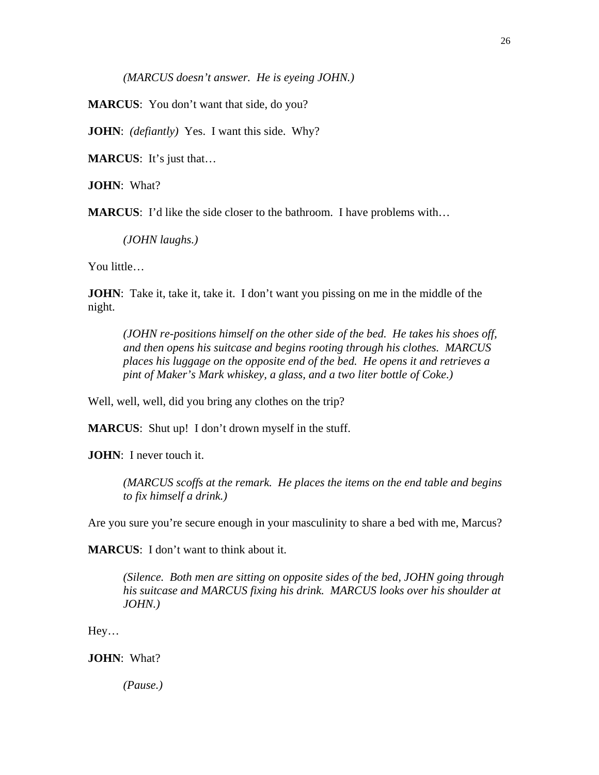*(MARCUS doesn't answer. He is eyeing JOHN.)* 

**MARCUS**: You don't want that side, do you?

**JOHN**: *(defiantly)* Yes. I want this side. Why?

**MARCUS**: It's just that…

**JOHN**: What?

**MARCUS**: I'd like the side closer to the bathroom. I have problems with…

*(JOHN laughs.)* 

You little…

**JOHN**: Take it, take it, take it. I don't want you pissing on me in the middle of the night.

*(JOHN re-positions himself on the other side of the bed. He takes his shoes off, and then opens his suitcase and begins rooting through his clothes. MARCUS places his luggage on the opposite end of the bed. He opens it and retrieves a pint of Maker's Mark whiskey, a glass, and a two liter bottle of Coke.)* 

Well, well, well, did you bring any clothes on the trip?

**MARCUS:** Shut up! I don't drown myself in the stuff.

**JOHN**: I never touch it.

*(MARCUS scoffs at the remark. He places the items on the end table and begins to fix himself a drink.)* 

Are you sure you're secure enough in your masculinity to share a bed with me, Marcus?

**MARCUS**: I don't want to think about it.

*(Silence. Both men are sitting on opposite sides of the bed, JOHN going through his suitcase and MARCUS fixing his drink. MARCUS looks over his shoulder at JOHN.)* 

Hey…

**JOHN**: What?

*(Pause.)*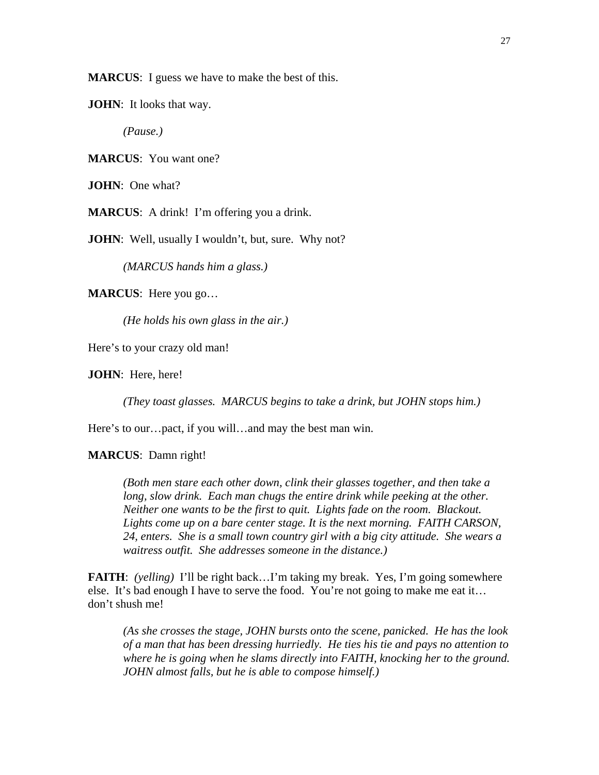**MARCUS**: I guess we have to make the best of this.

**JOHN**: It looks that way.

*(Pause.)* 

**MARCUS**: You want one?

**JOHN**: One what?

**MARCUS**: A drink! I'm offering you a drink.

**JOHN**: Well, usually I wouldn't, but, sure. Why not?

*(MARCUS hands him a glass.)* 

**MARCUS**: Here you go…

*(He holds his own glass in the air.)* 

Here's to your crazy old man!

**JOHN**: Here, here!

*(They toast glasses. MARCUS begins to take a drink, but JOHN stops him.)* 

Here's to our…pact, if you will…and may the best man win.

#### **MARCUS**: Damn right!

*(Both men stare each other down, clink their glasses together, and then take a*  long, slow drink. Each man chugs the entire drink while peeking at the other. *Neither one wants to be the first to quit. Lights fade on the room. Blackout. Lights come up on a bare center stage. It is the next morning. FAITH CARSON, 24, enters. She is a small town country girl with a big city attitude. She wears a waitress outfit. She addresses someone in the distance.)* 

**FAITH**: *(yelling)* I'll be right back…I'm taking my break. Yes, I'm going somewhere else. It's bad enough I have to serve the food. You're not going to make me eat it… don't shush me!

*(As she crosses the stage, JOHN bursts onto the scene, panicked. He has the look of a man that has been dressing hurriedly. He ties his tie and pays no attention to where he is going when he slams directly into FAITH, knocking her to the ground. JOHN almost falls, but he is able to compose himself.)*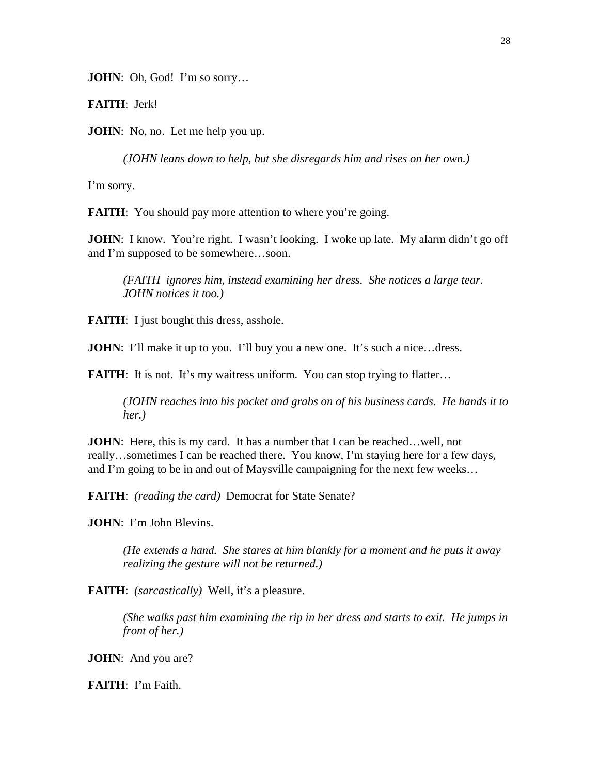**JOHN**: Oh, God! I'm so sorry...

**FAITH**: Jerk!

**JOHN**: No, no. Let me help you up.

*(JOHN leans down to help, but she disregards him and rises on her own.)* 

I'm sorry.

**FAITH:** You should pay more attention to where you're going.

**JOHN**: I know. You're right. I wasn't looking. I woke up late. My alarm didn't go off and I'm supposed to be somewhere…soon.

*(FAITH ignores him, instead examining her dress. She notices a large tear. JOHN notices it too.)* 

**FAITH:** I just bought this dress, asshole.

**JOHN**: I'll make it up to you. I'll buy you a new one. It's such a nice...dress.

**FAITH:** It is not. It's my waitress uniform. You can stop trying to flatter...

*(JOHN reaches into his pocket and grabs on of his business cards. He hands it to her.)* 

**JOHN**: Here, this is my card. It has a number that I can be reached... well, not really…sometimes I can be reached there. You know, I'm staying here for a few days, and I'm going to be in and out of Maysville campaigning for the next few weeks…

**FAITH**: *(reading the card)* Democrat for State Senate?

**JOHN**: I'm John Blevins.

*(He extends a hand. She stares at him blankly for a moment and he puts it away realizing the gesture will not be returned.)* 

**FAITH**: *(sarcastically)* Well, it's a pleasure.

*(She walks past him examining the rip in her dress and starts to exit. He jumps in front of her.)* 

**JOHN**: And you are?

**FAITH**: I'm Faith.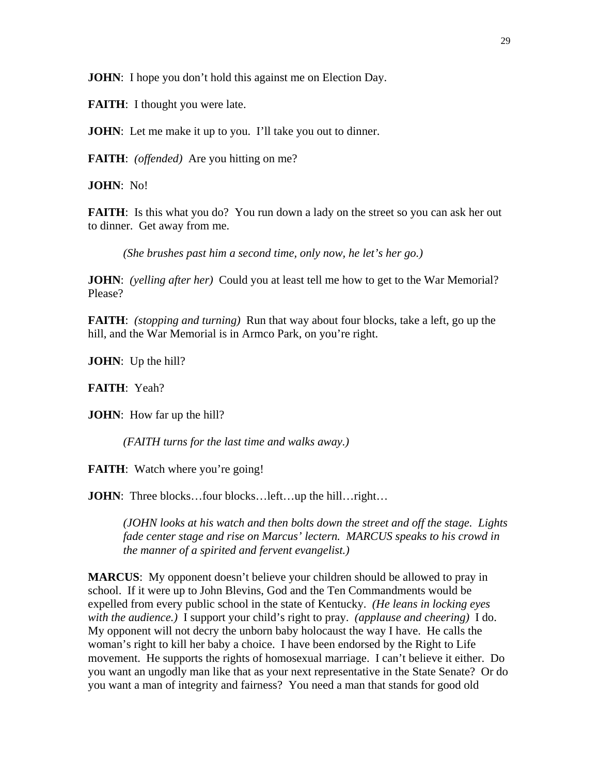**JOHN**: I hope you don't hold this against me on Election Day.

**FAITH:** I thought you were late.

**JOHN**: Let me make it up to you. I'll take you out to dinner.

**FAITH**: *(offended)* Are you hitting on me?

**JOHN**: No!

**FAITH:** Is this what you do? You run down a lady on the street so you can ask her out to dinner. Get away from me.

*(She brushes past him a second time, only now, he let's her go.)* 

**JOHN**: *(yelling after her)* Could you at least tell me how to get to the War Memorial? Please?

**FAITH**: *(stopping and turning)* Run that way about four blocks, take a left, go up the hill, and the War Memorial is in Armco Park, on you're right.

**JOHN**: Up the hill?

**FAITH**: Yeah?

**JOHN**: How far up the hill?

*(FAITH turns for the last time and walks away.)* 

**FAITH:** Watch where you're going!

**JOHN**: Three blocks...four blocks...left...up the hill...right...

*(JOHN looks at his watch and then bolts down the street and off the stage. Lights fade center stage and rise on Marcus' lectern. MARCUS speaks to his crowd in the manner of a spirited and fervent evangelist.)* 

**MARCUS:** My opponent doesn't believe your children should be allowed to pray in school. If it were up to John Blevins, God and the Ten Commandments would be expelled from every public school in the state of Kentucky. *(He leans in locking eyes with the audience.)* I support your child's right to pray. *(applause and cheering)* I do. My opponent will not decry the unborn baby holocaust the way I have. He calls the woman's right to kill her baby a choice. I have been endorsed by the Right to Life movement. He supports the rights of homosexual marriage. I can't believe it either. Do you want an ungodly man like that as your next representative in the State Senate? Or do you want a man of integrity and fairness? You need a man that stands for good old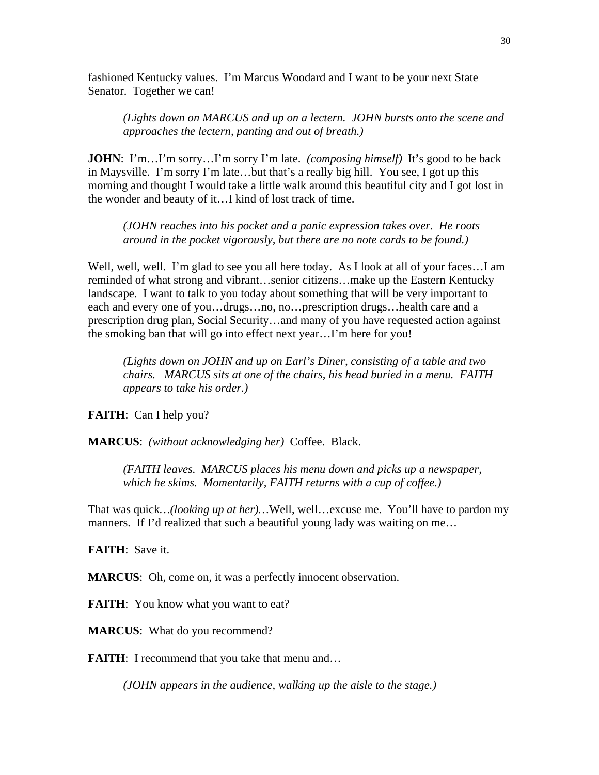fashioned Kentucky values. I'm Marcus Woodard and I want to be your next State Senator. Together we can!

*(Lights down on MARCUS and up on a lectern. JOHN bursts onto the scene and approaches the lectern, panting and out of breath.)* 

**JOHN**: I'm...I'm sorry...I'm sorry I'm late. *(composing himself)* It's good to be back in Maysville. I'm sorry I'm late…but that's a really big hill. You see, I got up this morning and thought I would take a little walk around this beautiful city and I got lost in the wonder and beauty of it…I kind of lost track of time.

*(JOHN reaches into his pocket and a panic expression takes over. He roots around in the pocket vigorously, but there are no note cards to be found.)* 

Well, well, well. I'm glad to see you all here today. As I look at all of your faces...I am reminded of what strong and vibrant…senior citizens…make up the Eastern Kentucky landscape. I want to talk to you today about something that will be very important to each and every one of you…drugs…no, no…prescription drugs…health care and a prescription drug plan, Social Security…and many of you have requested action against the smoking ban that will go into effect next year…I'm here for you!

*(Lights down on JOHN and up on Earl's Diner, consisting of a table and two chairs. MARCUS sits at one of the chairs, his head buried in a menu. FAITH appears to take his order.)* 

**FAITH**: Can I help you?

**MARCUS**: *(without acknowledging her)* Coffee. Black.

*(FAITH leaves. MARCUS places his menu down and picks up a newspaper, which he skims. Momentarily, FAITH returns with a cup of coffee.)* 

That was quick*…(looking up at her)…*Well, well…excuse me. You'll have to pardon my manners. If I'd realized that such a beautiful young lady was waiting on me...

**FAITH**: Save it.

**MARCUS:** Oh, come on, it was a perfectly innocent observation.

**FAITH:** You know what you want to eat?

**MARCUS**: What do you recommend?

**FAITH:** I recommend that you take that menu and...

*(JOHN appears in the audience, walking up the aisle to the stage.)*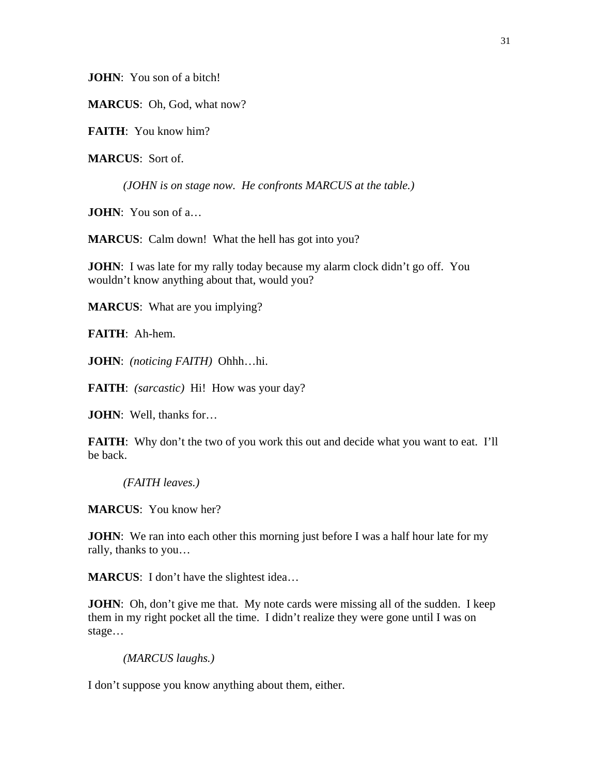**JOHN**: You son of a bitch!

**MARCUS**: Oh, God, what now?

**FAITH**: You know him?

**MARCUS**: Sort of.

*(JOHN is on stage now. He confronts MARCUS at the table.)* 

**JOHN**: You son of a…

**MARCUS**: Calm down! What the hell has got into you?

**JOHN**: I was late for my rally today because my alarm clock didn't go off. You wouldn't know anything about that, would you?

**MARCUS**: What are you implying?

**FAITH**: Ah-hem.

**JOHN**: *(noticing FAITH)* Ohhh…hi.

**FAITH**: *(sarcastic)* Hi! How was your day?

**JOHN**: Well, thanks for…

**FAITH:** Why don't the two of you work this out and decide what you want to eat. I'll be back.

*(FAITH leaves.)* 

**MARCUS**: You know her?

**JOHN**: We ran into each other this morning just before I was a half hour late for my rally, thanks to you…

**MARCUS**: I don't have the slightest idea…

**JOHN**: Oh, don't give me that. My note cards were missing all of the sudden. I keep them in my right pocket all the time. I didn't realize they were gone until I was on stage…

```
(MARCUS laughs.)
```
I don't suppose you know anything about them, either.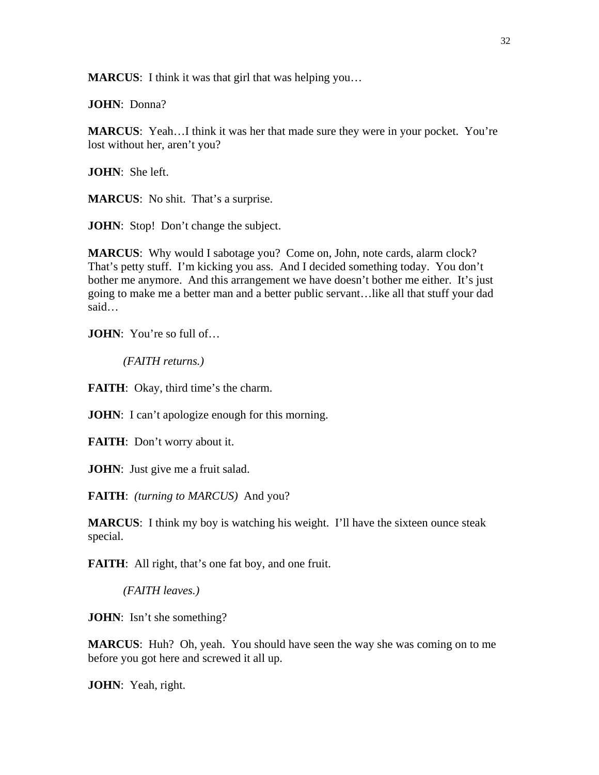**MARCUS**: I think it was that girl that was helping you…

**JOHN**: Donna?

**MARCUS**: Yeah…I think it was her that made sure they were in your pocket. You're lost without her, aren't you?

**JOHN**: She left.

**MARCUS**: No shit. That's a surprise.

**JOHN**: Stop! Don't change the subject.

**MARCUS:** Why would I sabotage you? Come on, John, note cards, alarm clock? That's petty stuff. I'm kicking you ass. And I decided something today. You don't bother me anymore. And this arrangement we have doesn't bother me either. It's just going to make me a better man and a better public servant…like all that stuff your dad said…

**JOHN**: You're so full of…

*(FAITH returns.)* 

**FAITH:** Okay, third time's the charm.

**JOHN**: I can't apologize enough for this morning.

**FAITH**: Don't worry about it.

**JOHN**: Just give me a fruit salad.

**FAITH**: *(turning to MARCUS)* And you?

**MARCUS**: I think my boy is watching his weight. I'll have the sixteen ounce steak special.

**FAITH:** All right, that's one fat boy, and one fruit.

*(FAITH leaves.)* 

**JOHN**: Isn't she something?

**MARCUS**: Huh? Oh, yeah. You should have seen the way she was coming on to me before you got here and screwed it all up.

**JOHN**: Yeah, right.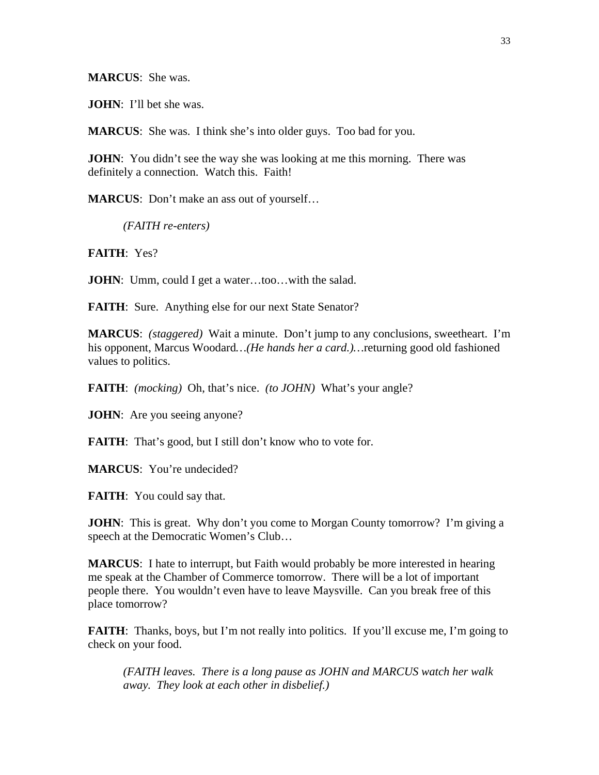**MARCUS**: She was.

**JOHN**: I'll bet she was.

**MARCUS**: She was. I think she's into older guys. Too bad for you.

**JOHN**: You didn't see the way she was looking at me this morning. There was definitely a connection. Watch this. Faith!

**MARCUS**: Don't make an ass out of yourself…

*(FAITH re-enters)* 

**FAITH**: Yes?

**JOHN**: Umm, could I get a water...too...with the salad.

**FAITH:** Sure. Anything else for our next State Senator?

**MARCUS**: *(staggered)* Wait a minute. Don't jump to any conclusions, sweetheart. I'm his opponent, Marcus Woodard*…(He hands her a card.)…*returning good old fashioned values to politics.

**FAITH**: *(mocking)* Oh, that's nice. *(to JOHN)* What's your angle?

**JOHN**: Are you seeing anyone?

**FAITH:** That's good, but I still don't know who to vote for.

**MARCUS**: You're undecided?

**FAITH:** You could say that.

**JOHN**: This is great. Why don't you come to Morgan County tomorrow? I'm giving a speech at the Democratic Women's Club…

**MARCUS**: I hate to interrupt, but Faith would probably be more interested in hearing me speak at the Chamber of Commerce tomorrow. There will be a lot of important people there. You wouldn't even have to leave Maysville. Can you break free of this place tomorrow?

**FAITH:** Thanks, boys, but I'm not really into politics. If you'll excuse me, I'm going to check on your food.

*(FAITH leaves. There is a long pause as JOHN and MARCUS watch her walk away. They look at each other in disbelief.)*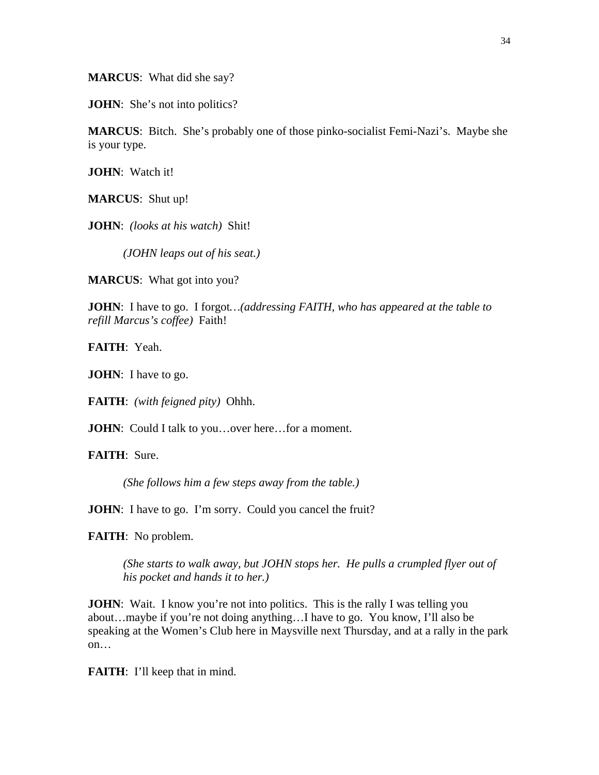**MARCUS**: What did she say?

**JOHN**: She's not into politics?

**MARCUS**: Bitch. She's probably one of those pinko-socialist Femi-Nazi's. Maybe she is your type.

**JOHN**: Watch it!

**MARCUS**: Shut up!

**JOHN**: *(looks at his watch)* Shit!

*(JOHN leaps out of his seat.)* 

**MARCUS**: What got into you?

**JOHN**: I have to go. I forgot*…(addressing FAITH, who has appeared at the table to refill Marcus's coffee)* Faith!

**FAITH**: Yeah.

**JOHN**: I have to go.

**FAITH**: *(with feigned pity)* Ohhh.

**JOHN**: Could I talk to you...over here...for a moment.

**FAITH**: Sure.

*(She follows him a few steps away from the table.)* 

**JOHN**: I have to go. I'm sorry. Could you cancel the fruit?

**FAITH**: No problem.

*(She starts to walk away, but JOHN stops her. He pulls a crumpled flyer out of his pocket and hands it to her.)* 

**JOHN**: Wait. I know you're not into politics. This is the rally I was telling you about…maybe if you're not doing anything…I have to go. You know, I'll also be speaking at the Women's Club here in Maysville next Thursday, and at a rally in the park on…

**FAITH:** I'll keep that in mind.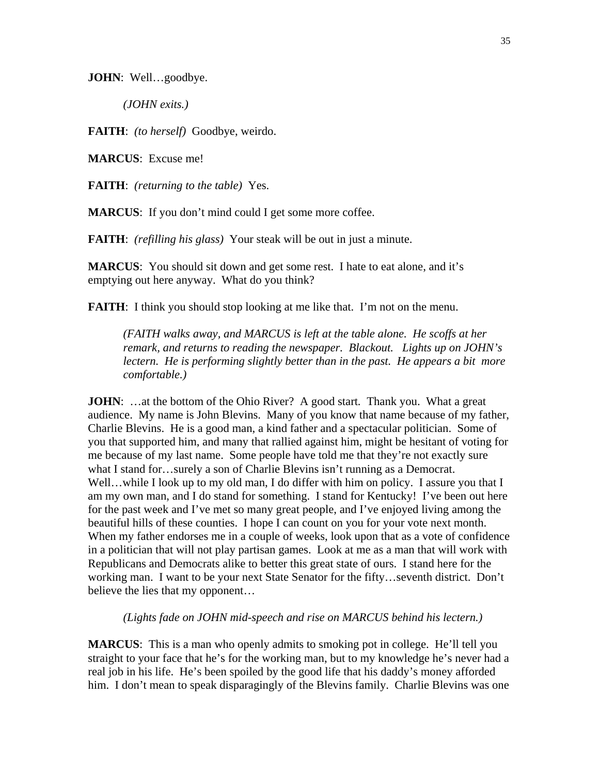**JOHN**: Well…goodbye.

*(JOHN exits.)* 

**FAITH**: *(to herself)* Goodbye, weirdo.

**MARCUS**: Excuse me!

**FAITH**: *(returning to the table)* Yes.

**MARCUS:** If you don't mind could I get some more coffee.

**FAITH**: *(refilling his glass)* Your steak will be out in just a minute.

**MARCUS**: You should sit down and get some rest. I hate to eat alone, and it's emptying out here anyway. What do you think?

**FAITH:** I think you should stop looking at me like that. I'm not on the menu.

*(FAITH walks away, and MARCUS is left at the table alone. He scoffs at her remark, and returns to reading the newspaper. Blackout. Lights up on JOHN's lectern. He is performing slightly better than in the past. He appears a bit more comfortable.)* 

**JOHN:** ...at the bottom of the Ohio River? A good start. Thank you. What a great audience. My name is John Blevins. Many of you know that name because of my father, Charlie Blevins. He is a good man, a kind father and a spectacular politician. Some of you that supported him, and many that rallied against him, might be hesitant of voting for me because of my last name. Some people have told me that they're not exactly sure what I stand for…surely a son of Charlie Blevins isn't running as a Democrat. Well...while I look up to my old man, I do differ with him on policy. I assure you that I am my own man, and I do stand for something. I stand for Kentucky! I've been out here for the past week and I've met so many great people, and I've enjoyed living among the beautiful hills of these counties. I hope I can count on you for your vote next month. When my father endorses me in a couple of weeks, look upon that as a vote of confidence in a politician that will not play partisan games. Look at me as a man that will work with Republicans and Democrats alike to better this great state of ours. I stand here for the working man. I want to be your next State Senator for the fifty…seventh district. Don't believe the lies that my opponent…

*(Lights fade on JOHN mid-speech and rise on MARCUS behind his lectern.)* 

**MARCUS**: This is a man who openly admits to smoking pot in college. He'll tell you straight to your face that he's for the working man, but to my knowledge he's never had a real job in his life. He's been spoiled by the good life that his daddy's money afforded him. I don't mean to speak disparagingly of the Blevins family. Charlie Blevins was one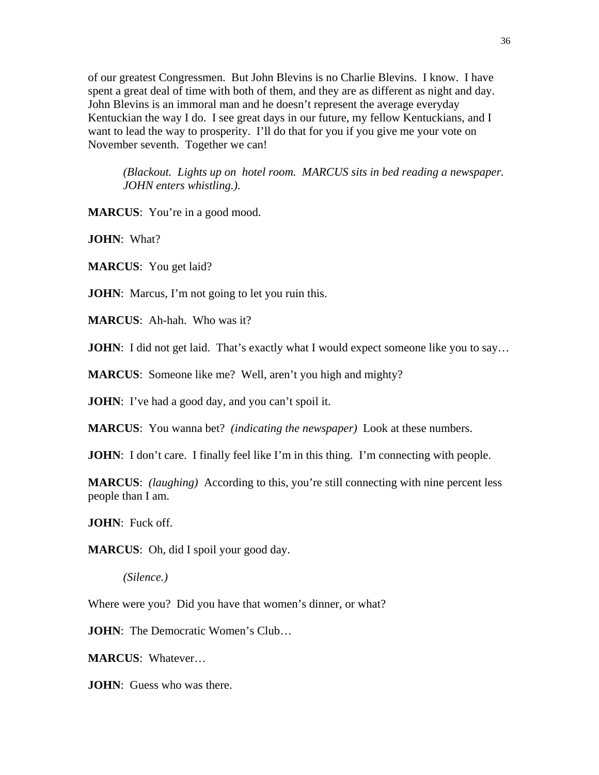of our greatest Congressmen. But John Blevins is no Charlie Blevins. I know. I have spent a great deal of time with both of them, and they are as different as night and day. John Blevins is an immoral man and he doesn't represent the average everyday Kentuckian the way I do. I see great days in our future, my fellow Kentuckians, and I want to lead the way to prosperity. I'll do that for you if you give me your vote on November seventh. Together we can!

*(Blackout. Lights up on hotel room. MARCUS sits in bed reading a newspaper. JOHN enters whistling.).* 

**MARCUS**: You're in a good mood.

**JOHN**: What?

**MARCUS**: You get laid?

**JOHN**: Marcus, I'm not going to let you ruin this.

**MARCUS**: Ah-hah. Who was it?

**JOHN**: I did not get laid. That's exactly what I would expect someone like you to say...

**MARCUS**: Someone like me? Well, aren't you high and mighty?

**JOHN**: I've had a good day, and you can't spoil it.

**MARCUS**: You wanna bet? *(indicating the newspaper)* Look at these numbers.

**JOHN**: I don't care. I finally feel like I'm in this thing. I'm connecting with people.

**MARCUS**: *(laughing)* According to this, you're still connecting with nine percent less people than I am.

**JOHN**: Fuck off.

**MARCUS**: Oh, did I spoil your good day.

*(Silence.)* 

Where were you? Did you have that women's dinner, or what?

**JOHN**: The Democratic Women's Club...

**MARCUS**: Whatever…

**JOHN**: Guess who was there.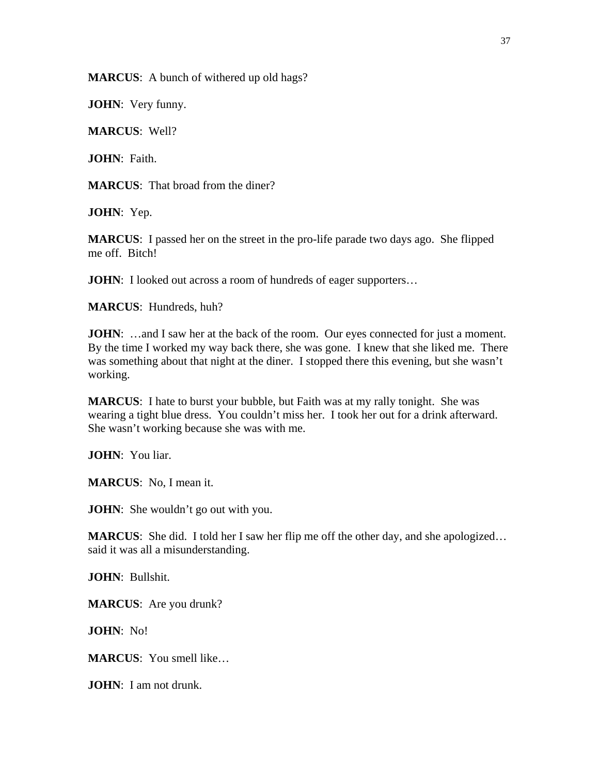**MARCUS**: A bunch of withered up old hags?

**JOHN**: Very funny.

**MARCUS**: Well?

**JOHN**: Faith.

**MARCUS**: That broad from the diner?

**JOHN**: Yep.

**MARCUS**: I passed her on the street in the pro-life parade two days ago. She flipped me off. Bitch!

**JOHN**: I looked out across a room of hundreds of eager supporters...

**MARCUS**: Hundreds, huh?

**JOHN:** ...and I saw her at the back of the room. Our eyes connected for just a moment. By the time I worked my way back there, she was gone. I knew that she liked me. There was something about that night at the diner. I stopped there this evening, but she wasn't working.

**MARCUS**: I hate to burst your bubble, but Faith was at my rally tonight. She was wearing a tight blue dress. You couldn't miss her. I took her out for a drink afterward. She wasn't working because she was with me.

**JOHN**: You liar.

**MARCUS**: No, I mean it.

**JOHN**: She wouldn't go out with you.

**MARCUS**: She did. I told her I saw her flip me off the other day, and she apologized... said it was all a misunderstanding.

**JOHN**: Bullshit.

**MARCUS**: Are you drunk?

**JOHN**: No!

**MARCUS**: You smell like…

**JOHN**: I am not drunk.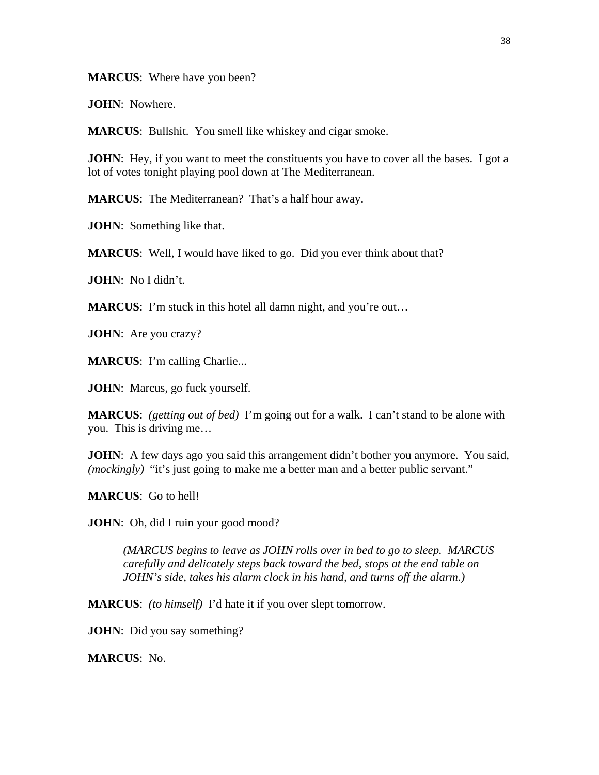**MARCUS**: Where have you been?

**JOHN**: Nowhere.

**MARCUS**: Bullshit. You smell like whiskey and cigar smoke.

**JOHN**: Hey, if you want to meet the constituents you have to cover all the bases. I got a lot of votes tonight playing pool down at The Mediterranean.

**MARCUS**: The Mediterranean? That's a half hour away.

**JOHN**: Something like that.

**MARCUS**: Well, I would have liked to go. Did you ever think about that?

**JOHN**: No I didn't.

**MARCUS**: I'm stuck in this hotel all damn night, and you're out...

**JOHN**: Are you crazy?

**MARCUS**: I'm calling Charlie...

**JOHN**: Marcus, go fuck yourself.

**MARCUS**: *(getting out of bed)* I'm going out for a walk. I can't stand to be alone with you. This is driving me…

**JOHN**: A few days ago you said this arrangement didn't bother you anymore. You said, *(mockingly)* "it's just going to make me a better man and a better public servant."

**MARCUS**: Go to hell!

**JOHN**: Oh, did I ruin your good mood?

*(MARCUS begins to leave as JOHN rolls over in bed to go to sleep. MARCUS carefully and delicately steps back toward the bed, stops at the end table on JOHN's side, takes his alarm clock in his hand, and turns off the alarm.)* 

**MARCUS**: *(to himself)* I'd hate it if you over slept tomorrow.

**JOHN**: Did you say something?

**MARCUS**: No.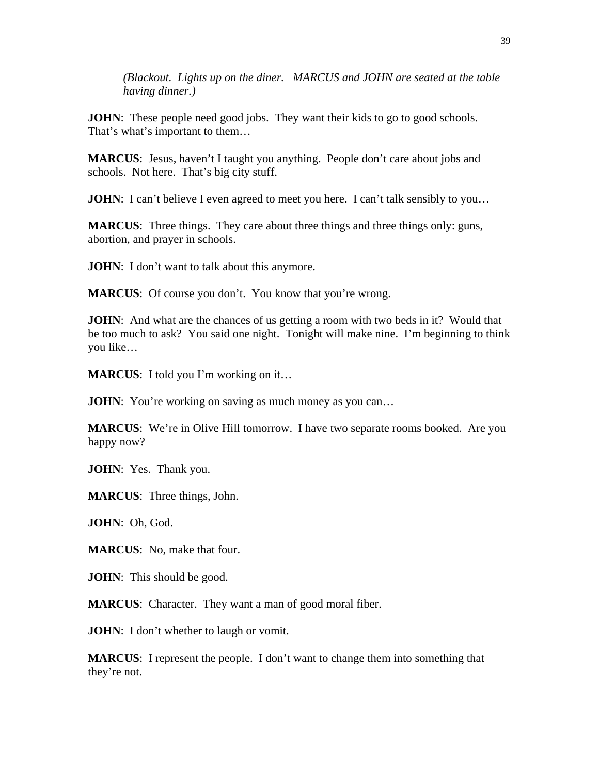*(Blackout. Lights up on the diner. MARCUS and JOHN are seated at the table having dinner.)* 

**JOHN**: These people need good jobs. They want their kids to go to good schools. That's what's important to them…

**MARCUS**: Jesus, haven't I taught you anything. People don't care about jobs and schools. Not here. That's big city stuff.

**JOHN**: I can't believe I even agreed to meet you here. I can't talk sensibly to you...

**MARCUS**: Three things. They care about three things and three things only: guns, abortion, and prayer in schools.

**JOHN**: I don't want to talk about this anymore.

**MARCUS**: Of course you don't. You know that you're wrong.

**JOHN**: And what are the chances of us getting a room with two beds in it? Would that be too much to ask? You said one night. Tonight will make nine. I'm beginning to think you like…

**MARCUS**: I told you I'm working on it…

**JOHN**: You're working on saving as much money as you can...

**MARCUS**: We're in Olive Hill tomorrow. I have two separate rooms booked. Are you happy now?

**JOHN**: Yes. Thank you.

**MARCUS**: Three things, John.

**JOHN**: Oh, God.

**MARCUS**: No, make that four.

**JOHN**: This should be good.

**MARCUS**: Character. They want a man of good moral fiber.

**JOHN**: I don't whether to laugh or vomit.

**MARCUS**: I represent the people. I don't want to change them into something that they're not.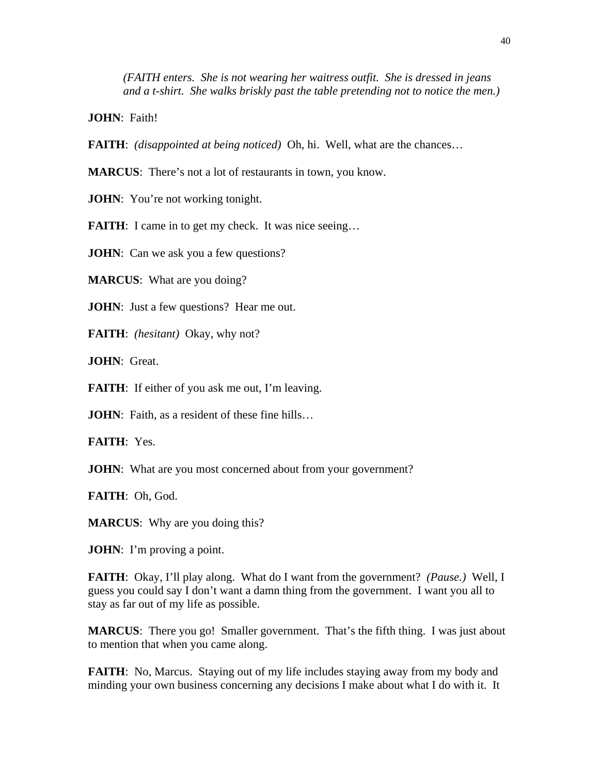*(FAITH enters. She is not wearing her waitress outfit. She is dressed in jeans and a t-shirt. She walks briskly past the table pretending not to notice the men.)* 

**JOHN**: Faith!

**FAITH**: *(disappointed at being noticed)* Oh, hi. Well, what are the chances…

**MARCUS**: There's not a lot of restaurants in town, you know.

**JOHN**: You're not working tonight.

**FAITH:** I came in to get my check. It was nice seeing...

**JOHN**: Can we ask you a few questions?

**MARCUS**: What are you doing?

**JOHN**: Just a few questions? Hear me out.

**FAITH**: *(hesitant)* Okay, why not?

**JOHN**: Great.

**FAITH:** If either of you ask me out, I'm leaving.

**JOHN**: Faith, as a resident of these fine hills...

**FAITH**: Yes.

**JOHN**: What are you most concerned about from your government?

**FAITH**: Oh, God.

**MARCUS**: Why are you doing this?

**JOHN**: I'm proving a point.

**FAITH**: Okay, I'll play along. What do I want from the government? *(Pause.)* Well, I guess you could say I don't want a damn thing from the government. I want you all to stay as far out of my life as possible.

**MARCUS**: There you go! Smaller government. That's the fifth thing. I was just about to mention that when you came along.

**FAITH:** No, Marcus. Staying out of my life includes staying away from my body and minding your own business concerning any decisions I make about what I do with it. It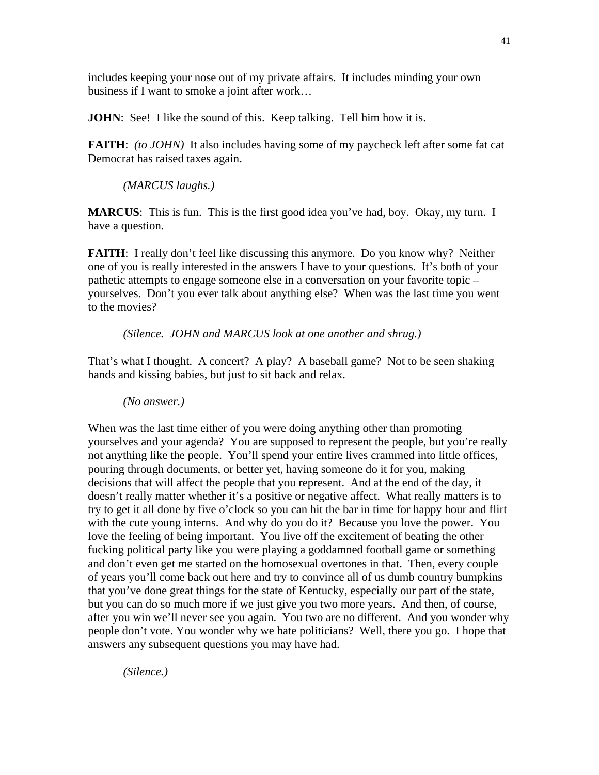includes keeping your nose out of my private affairs. It includes minding your own business if I want to smoke a joint after work…

**JOHN**: See! I like the sound of this. Keep talking. Tell him how it is.

**FAITH**: *(to JOHN)* It also includes having some of my paycheck left after some fat cat Democrat has raised taxes again.

*(MARCUS laughs.)* 

**MARCUS**: This is fun. This is the first good idea you've had, boy. Okay, my turn. I have a question.

**FAITH:** I really don't feel like discussing this anymore. Do you know why? Neither one of you is really interested in the answers I have to your questions. It's both of your pathetic attempts to engage someone else in a conversation on your favorite topic – yourselves. Don't you ever talk about anything else? When was the last time you went to the movies?

*(Silence. JOHN and MARCUS look at one another and shrug.)* 

That's what I thought. A concert? A play? A baseball game? Not to be seen shaking hands and kissing babies, but just to sit back and relax.

*(No answer.)* 

When was the last time either of you were doing anything other than promoting yourselves and your agenda? You are supposed to represent the people, but you're really not anything like the people. You'll spend your entire lives crammed into little offices, pouring through documents, or better yet, having someone do it for you, making decisions that will affect the people that you represent. And at the end of the day, it doesn't really matter whether it's a positive or negative affect. What really matters is to try to get it all done by five o'clock so you can hit the bar in time for happy hour and flirt with the cute young interns. And why do you do it? Because you love the power. You love the feeling of being important. You live off the excitement of beating the other fucking political party like you were playing a goddamned football game or something and don't even get me started on the homosexual overtones in that. Then, every couple of years you'll come back out here and try to convince all of us dumb country bumpkins that you've done great things for the state of Kentucky, especially our part of the state, but you can do so much more if we just give you two more years. And then, of course, after you win we'll never see you again. You two are no different. And you wonder why people don't vote. You wonder why we hate politicians? Well, there you go. I hope that answers any subsequent questions you may have had.

*(Silence.)*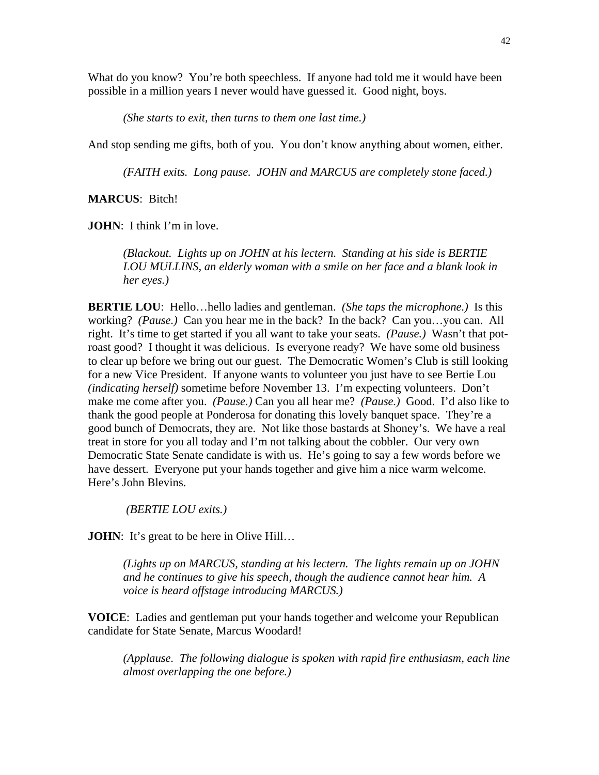What do you know? You're both speechless. If anyone had told me it would have been possible in a million years I never would have guessed it. Good night, boys.

*(She starts to exit, then turns to them one last time.)* 

And stop sending me gifts, both of you. You don't know anything about women, either.

*(FAITH exits. Long pause. JOHN and MARCUS are completely stone faced.)* 

## **MARCUS**: Bitch!

**JOHN**: I think I'm in love.

*(Blackout. Lights up on JOHN at his lectern. Standing at his side is BERTIE LOU MULLINS, an elderly woman with a smile on her face and a blank look in her eyes.)* 

**BERTIE LOU**: Hello…hello ladies and gentleman. *(She taps the microphone.)* Is this working? *(Pause.)* Can you hear me in the back? In the back? Can you…you can. All right. It's time to get started if you all want to take your seats. *(Pause.)* Wasn't that potroast good? I thought it was delicious. Is everyone ready? We have some old business to clear up before we bring out our guest. The Democratic Women's Club is still looking for a new Vice President. If anyone wants to volunteer you just have to see Bertie Lou *(indicating herself)* sometime before November 13. I'm expecting volunteers. Don't make me come after you. *(Pause.)* Can you all hear me? *(Pause.)* Good. I'd also like to thank the good people at Ponderosa for donating this lovely banquet space. They're a good bunch of Democrats, they are. Not like those bastards at Shoney's. We have a real treat in store for you all today and I'm not talking about the cobbler. Our very own Democratic State Senate candidate is with us. He's going to say a few words before we have dessert. Everyone put your hands together and give him a nice warm welcome. Here's John Blevins.

 *(BERTIE LOU exits.)* 

**JOHN**: It's great to be here in Olive Hill...

*(Lights up on MARCUS, standing at his lectern. The lights remain up on JOHN and he continues to give his speech, though the audience cannot hear him. A voice is heard offstage introducing MARCUS.)* 

**VOICE**: Ladies and gentleman put your hands together and welcome your Republican candidate for State Senate, Marcus Woodard!

*(Applause. The following dialogue is spoken with rapid fire enthusiasm, each line almost overlapping the one before.)*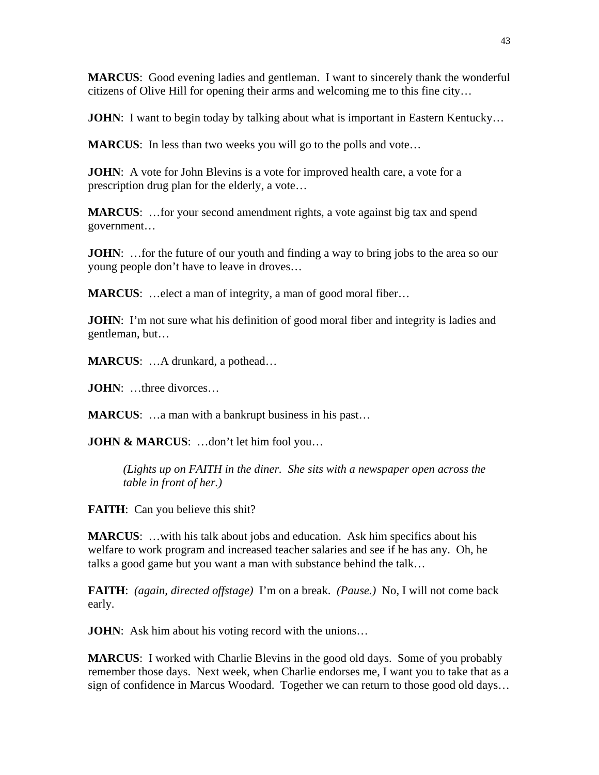**MARCUS**: Good evening ladies and gentleman. I want to sincerely thank the wonderful citizens of Olive Hill for opening their arms and welcoming me to this fine city…

**JOHN**: I want to begin today by talking about what is important in Eastern Kentucky...

**MARCUS**: In less than two weeks you will go to the polls and vote...

**JOHN**: A vote for John Blevins is a vote for improved health care, a vote for a prescription drug plan for the elderly, a vote…

**MARCUS**: …for your second amendment rights, a vote against big tax and spend government…

**JOHN:** ... for the future of our youth and finding a way to bring jobs to the area so our young people don't have to leave in droves…

**MARCUS:** ...elect a man of integrity, a man of good moral fiber...

**JOHN**: I'm not sure what his definition of good moral fiber and integrity is ladies and gentleman, but…

**MARCUS**: …A drunkard, a pothead…

**JOHN**: …three divorces…

**MARCUS:** ...a man with a bankrupt business in his past...

**JOHN & MARCUS:** ...don't let him fool you...

*(Lights up on FAITH in the diner. She sits with a newspaper open across the table in front of her.)* 

**FAITH:** Can you believe this shit?

**MARCUS**: …with his talk about jobs and education. Ask him specifics about his welfare to work program and increased teacher salaries and see if he has any. Oh, he talks a good game but you want a man with substance behind the talk…

**FAITH**: *(again, directed offstage)* I'm on a break. *(Pause.)* No, I will not come back early.

**JOHN**: Ask him about his voting record with the unions...

**MARCUS**: I worked with Charlie Blevins in the good old days. Some of you probably remember those days. Next week, when Charlie endorses me, I want you to take that as a sign of confidence in Marcus Woodard. Together we can return to those good old days…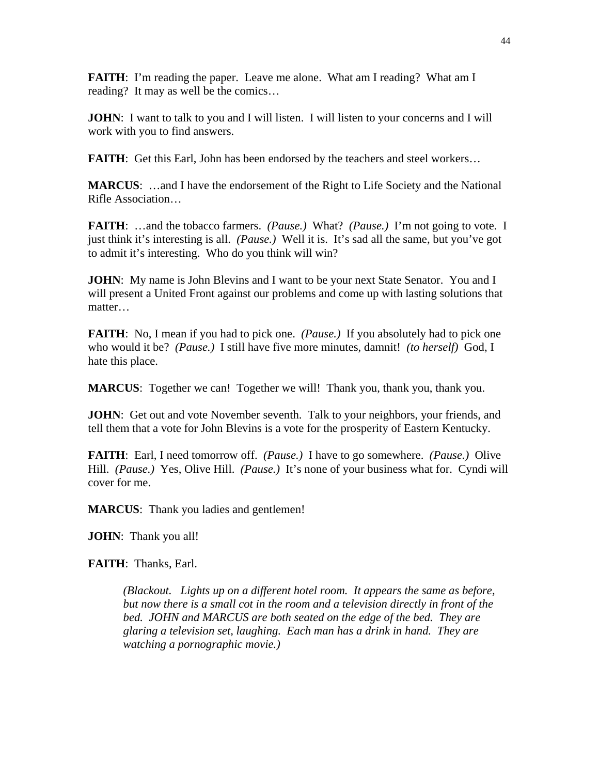**FAITH**: I'm reading the paper. Leave me alone. What am I reading? What am I reading? It may as well be the comics…

**JOHN**: I want to talk to you and I will listen. I will listen to your concerns and I will work with you to find answers.

**FAITH:** Get this Earl, John has been endorsed by the teachers and steel workers...

**MARCUS**: …and I have the endorsement of the Right to Life Society and the National Rifle Association…

**FAITH**: …and the tobacco farmers. *(Pause.)* What? *(Pause.)* I'm not going to vote. I just think it's interesting is all. *(Pause.)* Well it is. It's sad all the same, but you've got to admit it's interesting. Who do you think will win?

**JOHN**: My name is John Blevins and I want to be your next State Senator. You and I will present a United Front against our problems and come up with lasting solutions that matter…

**FAITH**: No, I mean if you had to pick one. *(Pause.)* If you absolutely had to pick one who would it be? *(Pause.)* I still have five more minutes, damnit! *(to herself)* God, I hate this place.

**MARCUS**: Together we can! Together we will! Thank you, thank you, thank you.

**JOHN**: Get out and vote November seventh. Talk to your neighbors, your friends, and tell them that a vote for John Blevins is a vote for the prosperity of Eastern Kentucky.

**FAITH**: Earl, I need tomorrow off. *(Pause.)* I have to go somewhere. *(Pause.)* Olive Hill. *(Pause.)* Yes, Olive Hill. *(Pause.)* It's none of your business what for. Cyndi will cover for me.

**MARCUS**: Thank you ladies and gentlemen!

**JOHN**: Thank you all!

**FAITH**: Thanks, Earl.

*(Blackout. Lights up on a different hotel room. It appears the same as before, but now there is a small cot in the room and a television directly in front of the bed. JOHN and MARCUS are both seated on the edge of the bed. They are glaring a television set, laughing. Each man has a drink in hand. They are watching a pornographic movie.)*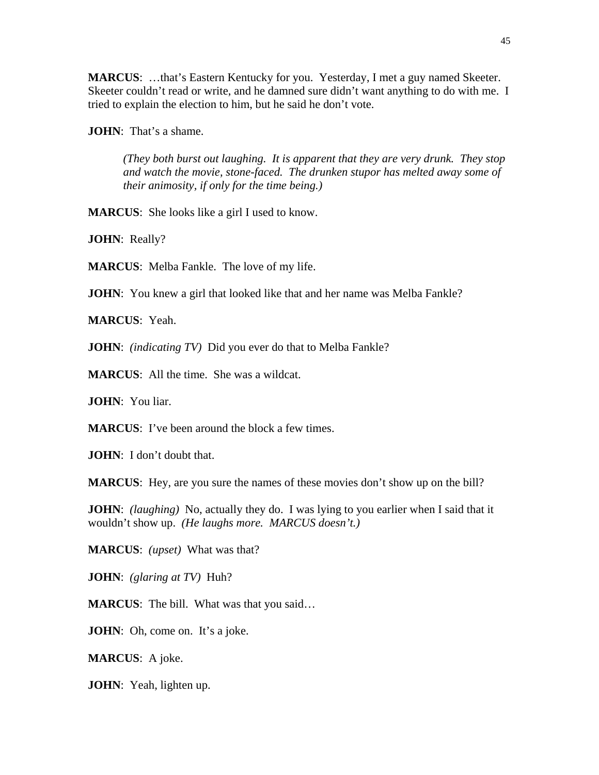**MARCUS**: …that's Eastern Kentucky for you. Yesterday, I met a guy named Skeeter. Skeeter couldn't read or write, and he damned sure didn't want anything to do with me. I tried to explain the election to him, but he said he don't vote.

**JOHN**: That's a shame.

*(They both burst out laughing. It is apparent that they are very drunk. They stop and watch the movie, stone-faced. The drunken stupor has melted away some of their animosity, if only for the time being.)* 

**MARCUS**: She looks like a girl I used to know.

**JOHN**: Really?

**MARCUS**: Melba Fankle. The love of my life.

**JOHN**: You knew a girl that looked like that and her name was Melba Fankle?

**MARCUS**: Yeah.

**JOHN**: *(indicating TV)* Did you ever do that to Melba Fankle?

**MARCUS**: All the time. She was a wildcat.

**JOHN**: You liar.

**MARCUS:** I've been around the block a few times.

**JOHN**: I don't doubt that.

**MARCUS**: Hey, are you sure the names of these movies don't show up on the bill?

**JOHN**: *(laughing)* No, actually they do. I was lying to you earlier when I said that it wouldn't show up. *(He laughs more. MARCUS doesn't.)* 

**MARCUS**: *(upset)* What was that?

**JOHN**: *(glaring at TV)* Huh?

**MARCUS**: The bill. What was that you said…

**JOHN**: Oh, come on. It's a joke.

**MARCUS**: A joke.

**JOHN**: Yeah, lighten up.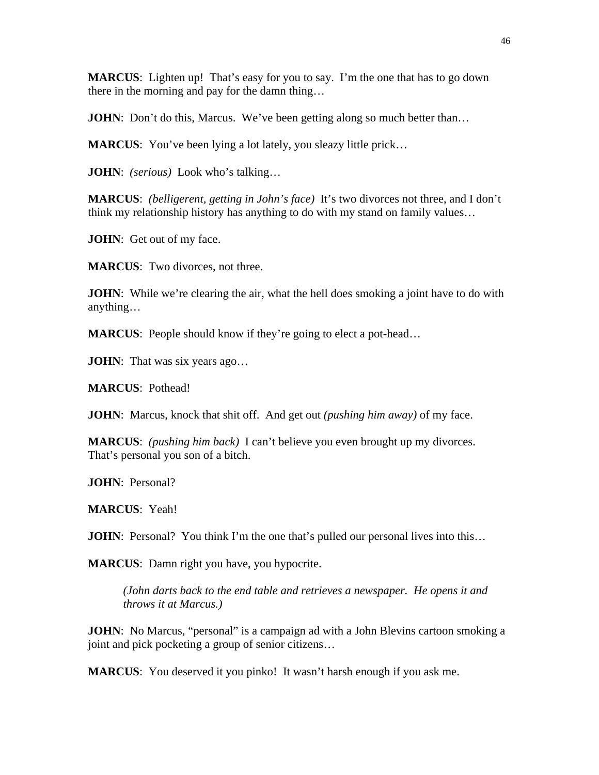**MARCUS**: Lighten up! That's easy for you to say. I'm the one that has to go down there in the morning and pay for the damn thing…

**JOHN**: Don't do this, Marcus. We've been getting along so much better than...

**MARCUS**: You've been lying a lot lately, you sleazy little prick...

**JOHN**: *(serious)* Look who's talking…

**MARCUS**: *(belligerent, getting in John's face)* It's two divorces not three, and I don't think my relationship history has anything to do with my stand on family values…

**JOHN**: Get out of my face.

**MARCUS**: Two divorces, not three.

**JOHN**: While we're clearing the air, what the hell does smoking a joint have to do with anything…

**MARCUS:** People should know if they're going to elect a pot-head...

**JOHN**: That was six years ago...

**MARCUS**: Pothead!

**JOHN**: Marcus, knock that shit off. And get out *(pushing him away)* of my face.

**MARCUS**: *(pushing him back)* I can't believe you even brought up my divorces. That's personal you son of a bitch.

**JOHN**: Personal?

**MARCUS**: Yeah!

**JOHN**: Personal? You think I'm the one that's pulled our personal lives into this...

**MARCUS**: Damn right you have, you hypocrite.

*(John darts back to the end table and retrieves a newspaper. He opens it and throws it at Marcus.)* 

**JOHN**: No Marcus, "personal" is a campaign ad with a John Blevins cartoon smoking a joint and pick pocketing a group of senior citizens…

**MARCUS**: You deserved it you pinko! It wasn't harsh enough if you ask me.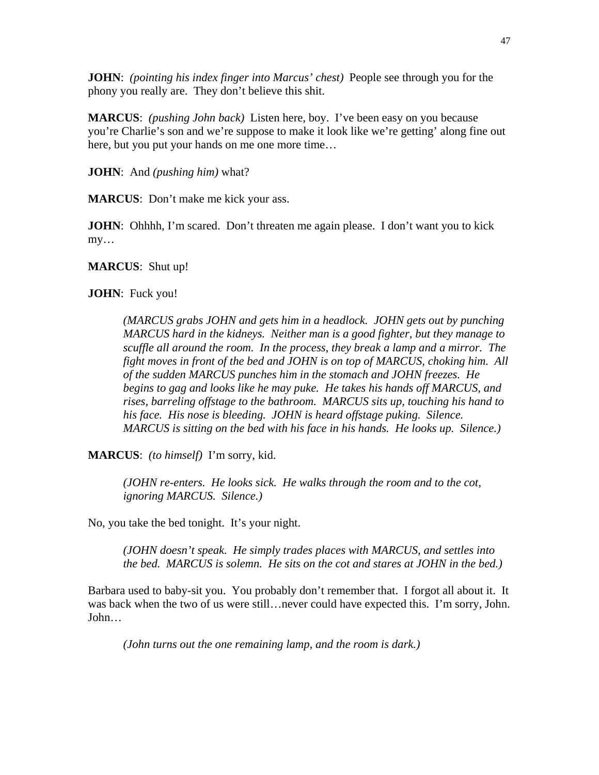**JOHN**: *(pointing his index finger into Marcus' chest)* People see through you for the phony you really are. They don't believe this shit.

**MARCUS**: *(pushing John back)* Listen here, boy. I've been easy on you because you're Charlie's son and we're suppose to make it look like we're getting' along fine out here, but you put your hands on me one more time…

**JOHN**: And *(pushing him)* what?

**MARCUS**: Don't make me kick your ass.

**JOHN**: Ohhhh, I'm scared. Don't threaten me again please. I don't want you to kick my…

**MARCUS**: Shut up!

**JOHN**: Fuck you!

*(MARCUS grabs JOHN and gets him in a headlock. JOHN gets out by punching MARCUS hard in the kidneys. Neither man is a good fighter, but they manage to scuffle all around the room. In the process, they break a lamp and a mirror. The fight moves in front of the bed and JOHN is on top of MARCUS, choking him. All of the sudden MARCUS punches him in the stomach and JOHN freezes. He begins to gag and looks like he may puke. He takes his hands off MARCUS, and rises, barreling offstage to the bathroom. MARCUS sits up, touching his hand to his face. His nose is bleeding. JOHN is heard offstage puking. Silence. MARCUS is sitting on the bed with his face in his hands. He looks up. Silence.)* 

**MARCUS**: *(to himself)* I'm sorry, kid.

*(JOHN re-enters. He looks sick. He walks through the room and to the cot, ignoring MARCUS. Silence.)* 

No, you take the bed tonight. It's your night.

*(JOHN doesn't speak. He simply trades places with MARCUS, and settles into the bed. MARCUS is solemn. He sits on the cot and stares at JOHN in the bed.)* 

Barbara used to baby-sit you. You probably don't remember that. I forgot all about it. It was back when the two of us were still…never could have expected this. I'm sorry, John. John…

*(John turns out the one remaining lamp, and the room is dark.)*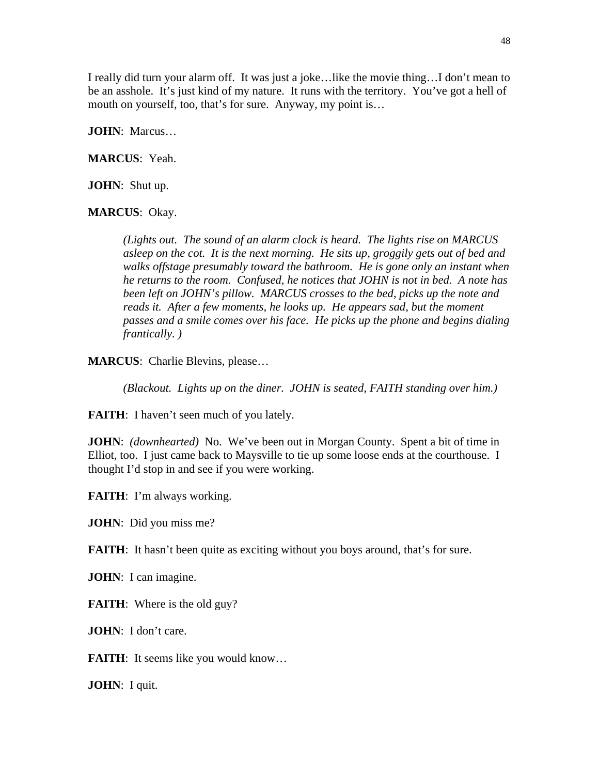I really did turn your alarm off. It was just a joke…like the movie thing…I don't mean to be an asshole. It's just kind of my nature. It runs with the territory. You've got a hell of mouth on yourself, too, that's for sure. Anyway, my point is…

**JOHN**: Marcus…

**MARCUS**: Yeah.

**JOHN**: Shut up.

**MARCUS**: Okay.

*(Lights out. The sound of an alarm clock is heard. The lights rise on MARCUS asleep on the cot. It is the next morning. He sits up, groggily gets out of bed and walks offstage presumably toward the bathroom. He is gone only an instant when he returns to the room. Confused, he notices that JOHN is not in bed. A note has been left on JOHN's pillow. MARCUS crosses to the bed, picks up the note and reads it. After a few moments, he looks up. He appears sad, but the moment passes and a smile comes over his face. He picks up the phone and begins dialing frantically. )* 

**MARCUS**: Charlie Blevins, please…

*(Blackout. Lights up on the diner. JOHN is seated, FAITH standing over him.)* 

**FAITH:** I haven't seen much of you lately.

**JOHN**: *(downhearted)* No. We've been out in Morgan County. Spent a bit of time in Elliot, too. I just came back to Maysville to tie up some loose ends at the courthouse. I thought I'd stop in and see if you were working.

**FAITH**: I'm always working.

**JOHN**: Did you miss me?

**FAITH:** It hasn't been quite as exciting without you boys around, that's for sure.

**JOHN**: I can imagine.

**FAITH:** Where is the old guy?

**JOHN**: I don't care.

**FAITH:** It seems like you would know...

**JOHN**: I quit.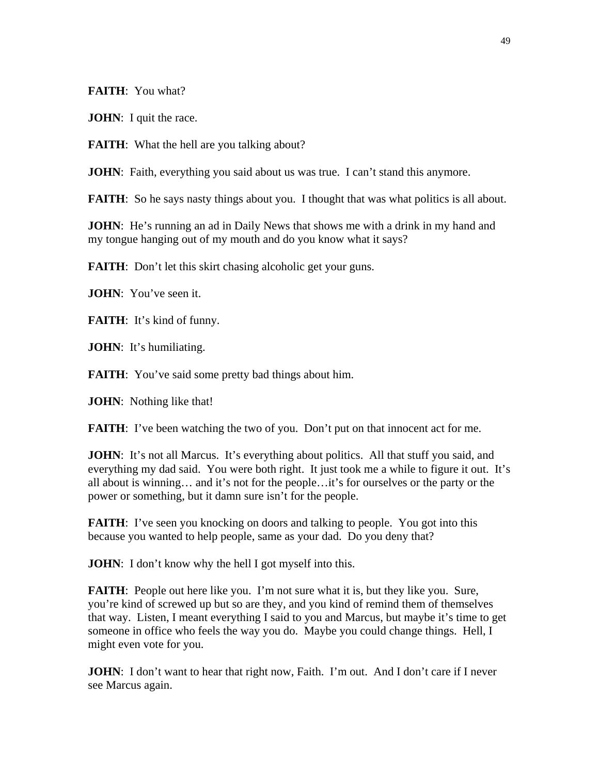**FAITH**: You what?

**JOHN**: I quit the race.

**FAITH:** What the hell are you talking about?

**JOHN**: Faith, everything you said about us was true. I can't stand this anymore.

**FAITH:** So he says nasty things about you. I thought that was what politics is all about.

**JOHN**: He's running an ad in Daily News that shows me with a drink in my hand and my tongue hanging out of my mouth and do you know what it says?

**FAITH:** Don't let this skirt chasing alcoholic get your guns.

**JOHN**: You've seen it.

**FAITH:** It's kind of funny.

**JOHN**: It's humiliating.

**FAITH:** You've said some pretty bad things about him.

**JOHN**: Nothing like that!

**FAITH:** I've been watching the two of you. Don't put on that innocent act for me.

**JOHN**: It's not all Marcus. It's everything about politics. All that stuff you said, and everything my dad said. You were both right. It just took me a while to figure it out. It's all about is winning… and it's not for the people…it's for ourselves or the party or the power or something, but it damn sure isn't for the people.

**FAITH:** I've seen you knocking on doors and talking to people. You got into this because you wanted to help people, same as your dad. Do you deny that?

**JOHN**: I don't know why the hell I got myself into this.

**FAITH:** People out here like you. I'm not sure what it is, but they like you. Sure, you're kind of screwed up but so are they, and you kind of remind them of themselves that way. Listen, I meant everything I said to you and Marcus, but maybe it's time to get someone in office who feels the way you do. Maybe you could change things. Hell, I might even vote for you.

**JOHN**: I don't want to hear that right now, Faith. I'm out. And I don't care if I never see Marcus again.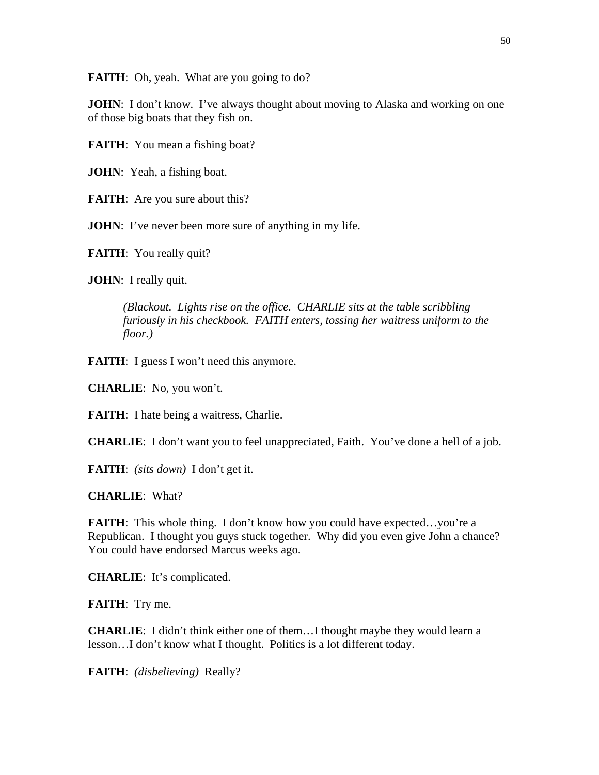**FAITH:** Oh, yeah. What are you going to do?

**JOHN**: I don't know. I've always thought about moving to Alaska and working on one of those big boats that they fish on.

**FAITH:** You mean a fishing boat?

**JOHN**: Yeah, a fishing boat.

**FAITH:** Are you sure about this?

**JOHN**: I've never been more sure of anything in my life.

**FAITH:** You really quit?

**JOHN**: I really quit.

*(Blackout. Lights rise on the office. CHARLIE sits at the table scribbling furiously in his checkbook. FAITH enters, tossing her waitress uniform to the floor.)* 

**FAITH:** I guess I won't need this anymore.

**CHARLIE**: No, you won't.

**FAITH:** I hate being a waitress, Charlie.

**CHARLIE**: I don't want you to feel unappreciated, Faith. You've done a hell of a job.

**FAITH**: *(sits down)* I don't get it.

**CHARLIE**: What?

**FAITH:** This whole thing. I don't know how you could have expected...you're a Republican. I thought you guys stuck together. Why did you even give John a chance? You could have endorsed Marcus weeks ago.

**CHARLIE**: It's complicated.

**FAITH**: Try me.

**CHARLIE**: I didn't think either one of them…I thought maybe they would learn a lesson…I don't know what I thought. Politics is a lot different today.

**FAITH**: *(disbelieving)* Really?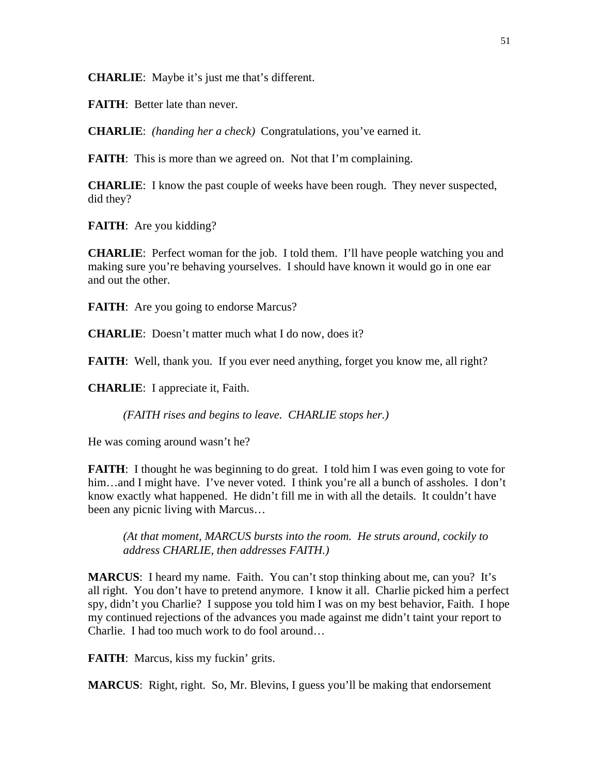**CHARLIE**: Maybe it's just me that's different.

**FAITH**: Better late than never.

**CHARLIE**: *(handing her a check)* Congratulations, you've earned it.

**FAITH:** This is more than we agreed on. Not that I'm complaining.

**CHARLIE**: I know the past couple of weeks have been rough. They never suspected, did they?

**FAITH**: Are you kidding?

**CHARLIE**: Perfect woman for the job. I told them. I'll have people watching you and making sure you're behaving yourselves. I should have known it would go in one ear and out the other.

**FAITH:** Are you going to endorse Marcus?

**CHARLIE**: Doesn't matter much what I do now, does it?

**FAITH:** Well, thank you. If you ever need anything, forget you know me, all right?

**CHARLIE**: I appreciate it, Faith.

*(FAITH rises and begins to leave. CHARLIE stops her.)* 

He was coming around wasn't he?

**FAITH:** I thought he was beginning to do great. I told him I was even going to vote for him...and I might have. I've never voted. I think you're all a bunch of assholes. I don't know exactly what happened. He didn't fill me in with all the details. It couldn't have been any picnic living with Marcus…

*(At that moment, MARCUS bursts into the room. He struts around, cockily to address CHARLIE, then addresses FAITH.)* 

**MARCUS**: I heard my name. Faith. You can't stop thinking about me, can you? It's all right. You don't have to pretend anymore. I know it all. Charlie picked him a perfect spy, didn't you Charlie? I suppose you told him I was on my best behavior, Faith. I hope my continued rejections of the advances you made against me didn't taint your report to Charlie. I had too much work to do fool around…

FAITH: Marcus, kiss my fuckin' grits.

**MARCUS**: Right, right. So, Mr. Blevins, I guess you'll be making that endorsement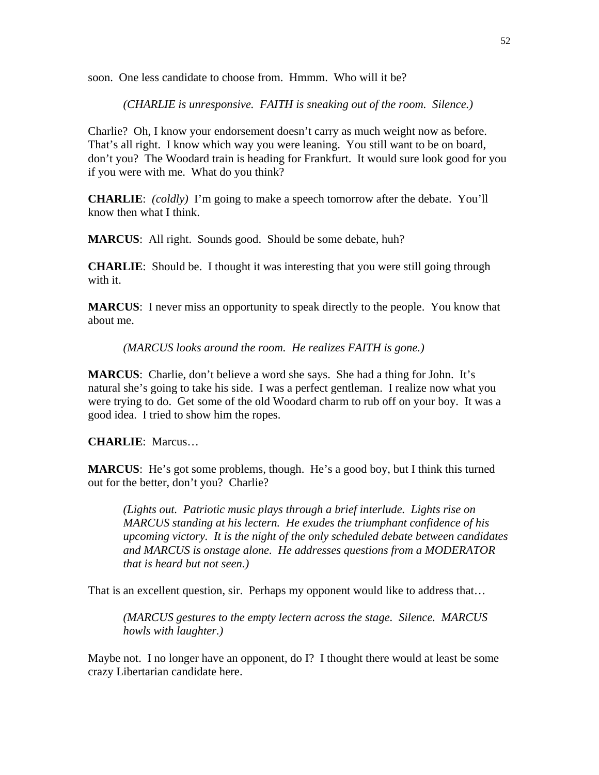soon. One less candidate to choose from. Hmmm. Who will it be?

*(CHARLIE is unresponsive. FAITH is sneaking out of the room. Silence.)* 

Charlie? Oh, I know your endorsement doesn't carry as much weight now as before. That's all right. I know which way you were leaning. You still want to be on board, don't you? The Woodard train is heading for Frankfurt. It would sure look good for you if you were with me. What do you think?

**CHARLIE**: *(coldly)* I'm going to make a speech tomorrow after the debate. You'll know then what I think.

**MARCUS**: All right. Sounds good. Should be some debate, huh?

**CHARLIE**: Should be. I thought it was interesting that you were still going through with it.

**MARCUS**: I never miss an opportunity to speak directly to the people. You know that about me.

*(MARCUS looks around the room. He realizes FAITH is gone.)* 

**MARCUS**: Charlie, don't believe a word she says. She had a thing for John. It's natural she's going to take his side. I was a perfect gentleman. I realize now what you were trying to do. Get some of the old Woodard charm to rub off on your boy. It was a good idea. I tried to show him the ropes.

**CHARLIE**: Marcus…

**MARCUS**: He's got some problems, though. He's a good boy, but I think this turned out for the better, don't you? Charlie?

*(Lights out. Patriotic music plays through a brief interlude. Lights rise on MARCUS standing at his lectern. He exudes the triumphant confidence of his upcoming victory. It is the night of the only scheduled debate between candidates and MARCUS is onstage alone. He addresses questions from a MODERATOR that is heard but not seen.)* 

That is an excellent question, sir. Perhaps my opponent would like to address that…

*(MARCUS gestures to the empty lectern across the stage. Silence. MARCUS howls with laughter.)* 

Maybe not. I no longer have an opponent, do I? I thought there would at least be some crazy Libertarian candidate here.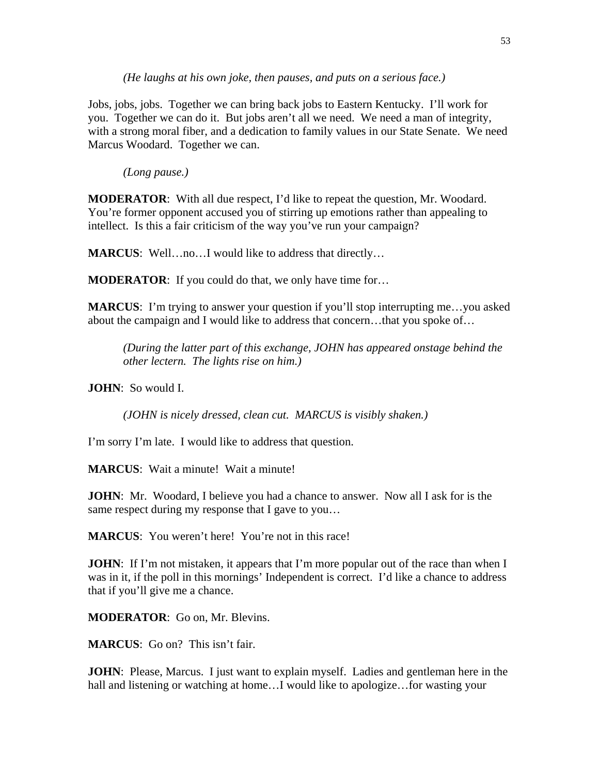*(He laughs at his own joke, then pauses, and puts on a serious face.)* 

Jobs, jobs, jobs. Together we can bring back jobs to Eastern Kentucky. I'll work for you. Together we can do it. But jobs aren't all we need. We need a man of integrity, with a strong moral fiber, and a dedication to family values in our State Senate. We need Marcus Woodard. Together we can.

*(Long pause.)* 

**MODERATOR**: With all due respect, I'd like to repeat the question, Mr. Woodard. You're former opponent accused you of stirring up emotions rather than appealing to intellect. Is this a fair criticism of the way you've run your campaign?

**MARCUS**: Well…no…I would like to address that directly…

**MODERATOR:** If you could do that, we only have time for...

**MARCUS**: I'm trying to answer your question if you'll stop interrupting me…you asked about the campaign and I would like to address that concern…that you spoke of…

*(During the latter part of this exchange, JOHN has appeared onstage behind the other lectern. The lights rise on him.)* 

**JOHN**: So would I.

*(JOHN is nicely dressed, clean cut. MARCUS is visibly shaken.)* 

I'm sorry I'm late. I would like to address that question.

**MARCUS**: Wait a minute! Wait a minute!

**JOHN**: Mr. Woodard, I believe you had a chance to answer. Now all I ask for is the same respect during my response that I gave to you...

**MARCUS**: You weren't here! You're not in this race!

**JOHN**: If I'm not mistaken, it appears that I'm more popular out of the race than when I was in it, if the poll in this mornings' Independent is correct. I'd like a chance to address that if you'll give me a chance.

**MODERATOR**: Go on, Mr. Blevins.

**MARCUS**: Go on? This isn't fair.

**JOHN**: Please, Marcus. I just want to explain myself. Ladies and gentleman here in the hall and listening or watching at home...I would like to apologize...for wasting your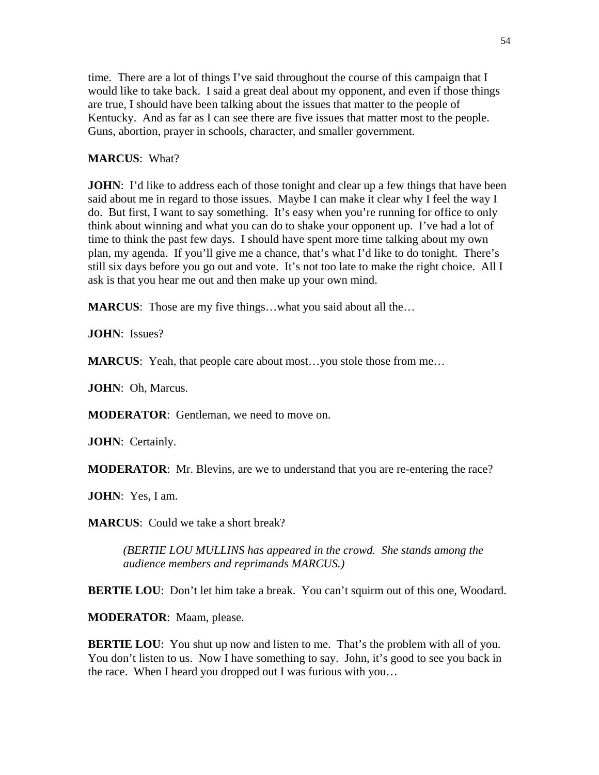time. There are a lot of things I've said throughout the course of this campaign that I would like to take back. I said a great deal about my opponent, and even if those things are true, I should have been talking about the issues that matter to the people of Kentucky. And as far as I can see there are five issues that matter most to the people. Guns, abortion, prayer in schools, character, and smaller government.

## **MARCUS**: What?

**JOHN**: I'd like to address each of those tonight and clear up a few things that have been said about me in regard to those issues. Maybe I can make it clear why I feel the way I do. But first, I want to say something. It's easy when you're running for office to only think about winning and what you can do to shake your opponent up. I've had a lot of time to think the past few days. I should have spent more time talking about my own plan, my agenda. If you'll give me a chance, that's what I'd like to do tonight. There's still six days before you go out and vote. It's not too late to make the right choice. All I ask is that you hear me out and then make up your own mind.

**MARCUS:** Those are my five things...what you said about all the...

**JOHN**: Issues?

**MARCUS:** Yeah, that people care about most...you stole those from me...

**JOHN**: Oh, Marcus.

**MODERATOR**: Gentleman, we need to move on.

**JOHN**: Certainly.

**MODERATOR:** Mr. Blevins, are we to understand that you are re-entering the race?

**JOHN**: Yes, I am.

**MARCUS**: Could we take a short break?

*(BERTIE LOU MULLINS has appeared in the crowd. She stands among the audience members and reprimands MARCUS.)* 

**BERTIE LOU**: Don't let him take a break. You can't squirm out of this one, Woodard.

**MODERATOR**: Maam, please.

**BERTIE LOU:** You shut up now and listen to me. That's the problem with all of you. You don't listen to us. Now I have something to say. John, it's good to see you back in the race. When I heard you dropped out I was furious with you…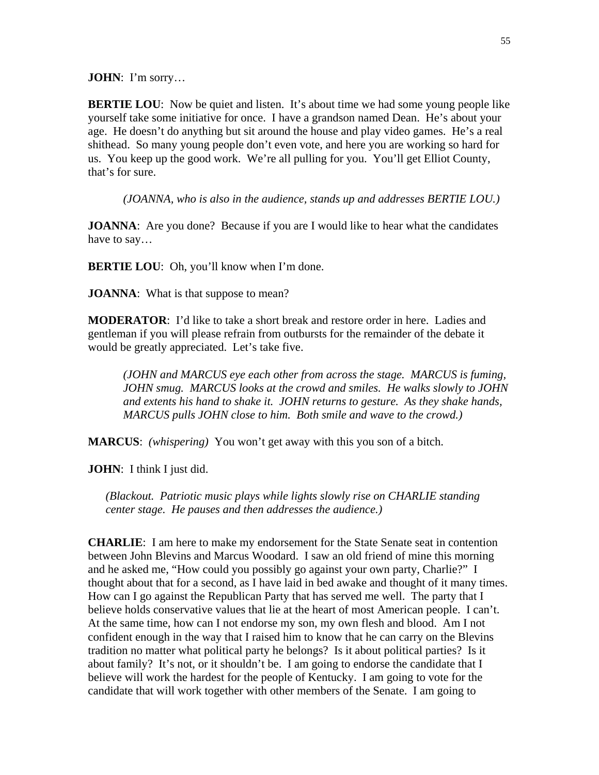**JOHN**: I'm sorry…

**BERTIE LOU:** Now be quiet and listen. It's about time we had some young people like yourself take some initiative for once. I have a grandson named Dean. He's about your age. He doesn't do anything but sit around the house and play video games. He's a real shithead. So many young people don't even vote, and here you are working so hard for us. You keep up the good work. We're all pulling for you. You'll get Elliot County, that's for sure.

*(JOANNA, who is also in the audience, stands up and addresses BERTIE LOU.)* 

**JOANNA**: Are you done? Because if you are I would like to hear what the candidates have to say…

**BERTIE LOU:** Oh, you'll know when I'm done.

**JOANNA**: What is that suppose to mean?

**MODERATOR**: I'd like to take a short break and restore order in here. Ladies and gentleman if you will please refrain from outbursts for the remainder of the debate it would be greatly appreciated. Let's take five.

*(JOHN and MARCUS eye each other from across the stage. MARCUS is fuming, JOHN smug. MARCUS looks at the crowd and smiles. He walks slowly to JOHN and extents his hand to shake it. JOHN returns to gesture. As they shake hands, MARCUS pulls JOHN close to him. Both smile and wave to the crowd.)* 

**MARCUS**: *(whispering)* You won't get away with this you son of a bitch.

**JOHN**: I think I just did.

*(Blackout. Patriotic music plays while lights slowly rise on CHARLIE standing center stage. He pauses and then addresses the audience.)* 

**CHARLIE**: I am here to make my endorsement for the State Senate seat in contention between John Blevins and Marcus Woodard. I saw an old friend of mine this morning and he asked me, "How could you possibly go against your own party, Charlie?" I thought about that for a second, as I have laid in bed awake and thought of it many times. How can I go against the Republican Party that has served me well. The party that I believe holds conservative values that lie at the heart of most American people. I can't. At the same time, how can I not endorse my son, my own flesh and blood. Am I not confident enough in the way that I raised him to know that he can carry on the Blevins tradition no matter what political party he belongs? Is it about political parties? Is it about family? It's not, or it shouldn't be. I am going to endorse the candidate that I believe will work the hardest for the people of Kentucky. I am going to vote for the candidate that will work together with other members of the Senate. I am going to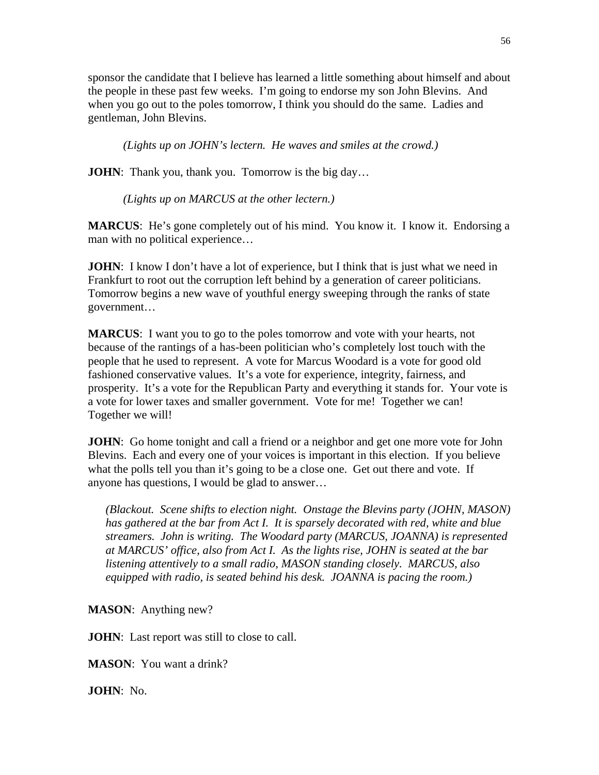sponsor the candidate that I believe has learned a little something about himself and about the people in these past few weeks. I'm going to endorse my son John Blevins. And when you go out to the poles tomorrow, I think you should do the same. Ladies and gentleman, John Blevins.

*(Lights up on JOHN's lectern. He waves and smiles at the crowd.)* 

**JOHN**: Thank you, thank you. Tomorrow is the big day...

*(Lights up on MARCUS at the other lectern.)* 

**MARCUS**: He's gone completely out of his mind. You know it. I know it. Endorsing a man with no political experience…

**JOHN**: I know I don't have a lot of experience, but I think that is just what we need in Frankfurt to root out the corruption left behind by a generation of career politicians. Tomorrow begins a new wave of youthful energy sweeping through the ranks of state government…

**MARCUS**: I want you to go to the poles tomorrow and vote with your hearts, not because of the rantings of a has-been politician who's completely lost touch with the people that he used to represent. A vote for Marcus Woodard is a vote for good old fashioned conservative values. It's a vote for experience, integrity, fairness, and prosperity. It's a vote for the Republican Party and everything it stands for. Your vote is a vote for lower taxes and smaller government. Vote for me! Together we can! Together we will!

**JOHN**: Go home tonight and call a friend or a neighbor and get one more vote for John Blevins. Each and every one of your voices is important in this election. If you believe what the polls tell you than it's going to be a close one. Get out there and vote. If anyone has questions, I would be glad to answer…

*(Blackout. Scene shifts to election night. Onstage the Blevins party (JOHN, MASON) has gathered at the bar from Act I. It is sparsely decorated with red, white and blue streamers. John is writing. The Woodard party (MARCUS, JOANNA) is represented at MARCUS' office, also from Act I. As the lights rise, JOHN is seated at the bar listening attentively to a small radio, MASON standing closely. MARCUS, also equipped with radio, is seated behind his desk. JOANNA is pacing the room.)* 

**MASON**: Anything new?

**JOHN**: Last report was still to close to call.

**MASON**: You want a drink?

**JOHN**: No.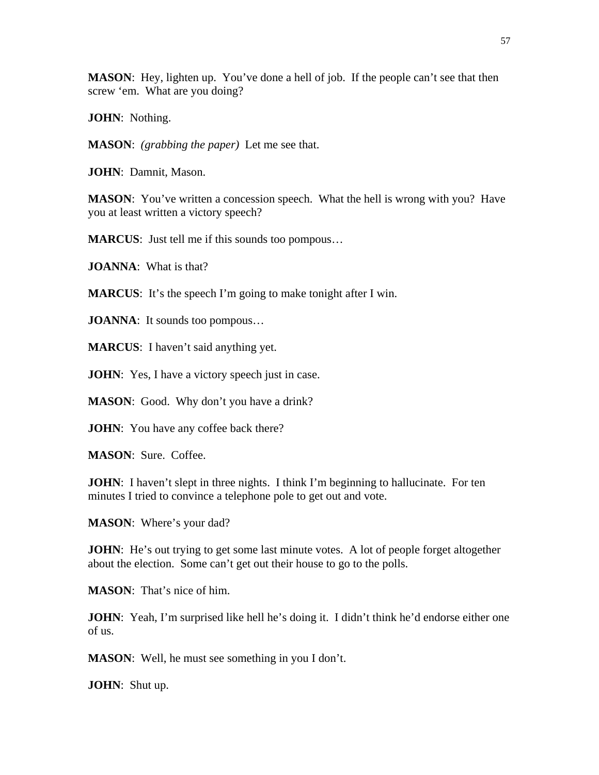**MASON:** Hey, lighten up. You've done a hell of job. If the people can't see that then screw 'em. What are you doing?

**JOHN**: Nothing.

**MASON**: *(grabbing the paper)* Let me see that.

**JOHN**: Damnit, Mason.

**MASON:** You've written a concession speech. What the hell is wrong with you? Have you at least written a victory speech?

**MARCUS**: Just tell me if this sounds too pompous…

**JOANNA**: What is that?

**MARCUS**: It's the speech I'm going to make tonight after I win.

**JOANNA**: It sounds too pompous...

**MARCUS**: I haven't said anything yet.

**JOHN**: Yes, I have a victory speech just in case.

**MASON**: Good. Why don't you have a drink?

**JOHN**: You have any coffee back there?

**MASON**: Sure. Coffee.

**JOHN**: I haven't slept in three nights. I think I'm beginning to hallucinate. For ten minutes I tried to convince a telephone pole to get out and vote.

**MASON**: Where's your dad?

**JOHN**: He's out trying to get some last minute votes. A lot of people forget altogether about the election. Some can't get out their house to go to the polls.

**MASON**: That's nice of him.

**JOHN**: Yeah, I'm surprised like hell he's doing it. I didn't think he'd endorse either one of us.

**MASON**: Well, he must see something in you I don't.

**JOHN**: Shut up.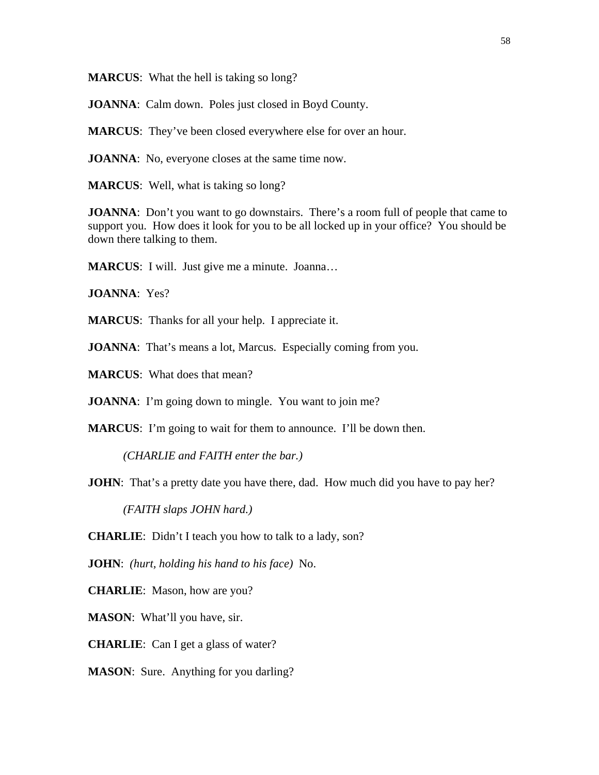**MARCUS**: What the hell is taking so long?

**JOANNA**: Calm down. Poles just closed in Boyd County.

**MARCUS**: They've been closed everywhere else for over an hour.

**JOANNA**: No, everyone closes at the same time now.

**MARCUS**: Well, what is taking so long?

**JOANNA**: Don't you want to go downstairs. There's a room full of people that came to support you. How does it look for you to be all locked up in your office? You should be down there talking to them.

**MARCUS**: I will. Just give me a minute. Joanna…

**JOANNA**: Yes?

**MARCUS**: Thanks for all your help. I appreciate it.

**JOANNA**: That's means a lot, Marcus. Especially coming from you.

**MARCUS**: What does that mean?

**JOANNA**: I'm going down to mingle. You want to join me?

**MARCUS:** I'm going to wait for them to announce. I'll be down then.

*(CHARLIE and FAITH enter the bar.)* 

**JOHN**: That's a pretty date you have there, dad. How much did you have to pay her?

*(FAITH slaps JOHN hard.)* 

**CHARLIE**: Didn't I teach you how to talk to a lady, son?

**JOHN**: *(hurt, holding his hand to his face)* No.

**CHARLIE**: Mason, how are you?

**MASON**: What'll you have, sir.

**CHARLIE**: Can I get a glass of water?

**MASON:** Sure. Anything for you darling?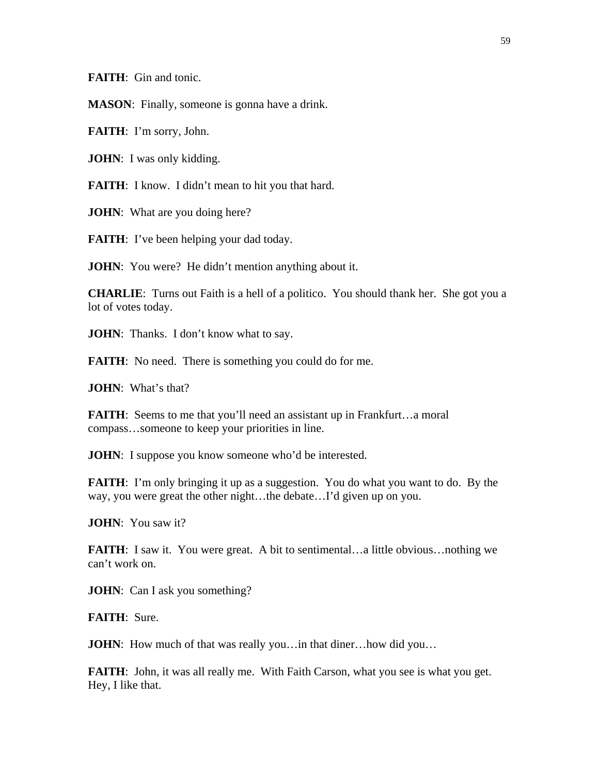**FAITH**: Gin and tonic.

**MASON**: Finally, someone is gonna have a drink.

**FAITH**: I'm sorry, John.

**JOHN**: I was only kidding.

**FAITH:** I know. I didn't mean to hit you that hard.

**JOHN**: What are you doing here?

**FAITH:** I've been helping your dad today.

**JOHN**: You were? He didn't mention anything about it.

**CHARLIE**: Turns out Faith is a hell of a politico. You should thank her. She got you a lot of votes today.

**JOHN**: Thanks. I don't know what to say.

**FAITH:** No need. There is something you could do for me.

**JOHN**: What's that?

**FAITH:** Seems to me that you'll need an assistant up in Frankfurt...a moral compass…someone to keep your priorities in line.

**JOHN**: I suppose you know someone who'd be interested.

**FAITH**: I'm only bringing it up as a suggestion. You do what you want to do. By the way, you were great the other night…the debate…I'd given up on you.

**JOHN**: You saw it?

**FAITH:** I saw it. You were great. A bit to sentimental...a little obvious...nothing we can't work on.

**JOHN**: Can I ask you something?

**FAITH**: Sure.

**JOHN**: How much of that was really you... in that diner... how did you...

**FAITH:** John, it was all really me. With Faith Carson, what you see is what you get. Hey, I like that.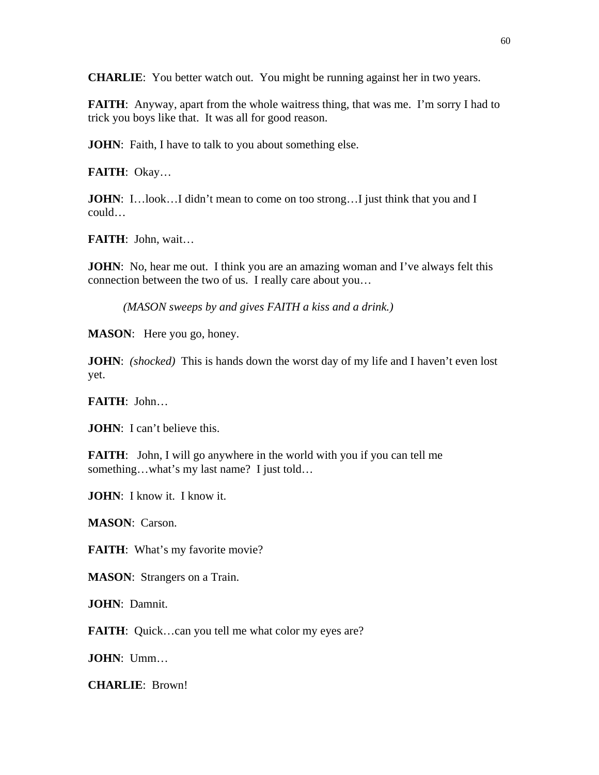**CHARLIE**: You better watch out. You might be running against her in two years.

**FAITH:** Anyway, apart from the whole waitress thing, that was me. I'm sorry I had to trick you boys like that. It was all for good reason.

**JOHN**: Faith, I have to talk to you about something else.

**FAITH**: Okay…

**JOHN**: I...look...I didn't mean to come on too strong...I just think that you and I could…

**FAITH**: John, wait…

**JOHN**: No, hear me out. I think you are an amazing woman and I've always felt this connection between the two of us. I really care about you…

*(MASON sweeps by and gives FAITH a kiss and a drink.)* 

**MASON**: Here you go, honey.

**JOHN**: *(shocked)* This is hands down the worst day of my life and I haven't even lost yet.

**FAITH**: John…

**JOHN**: I can't believe this.

**FAITH:** John, I will go anywhere in the world with you if you can tell me something…what's my last name? I just told…

**JOHN**: I know it. I know it.

**MASON**: Carson.

**FAITH:** What's my favorite movie?

**MASON**: Strangers on a Train.

**JOHN**: Damnit.

**FAITH:** Quick...can you tell me what color my eyes are?

**JOHN**: Umm…

**CHARLIE**: Brown!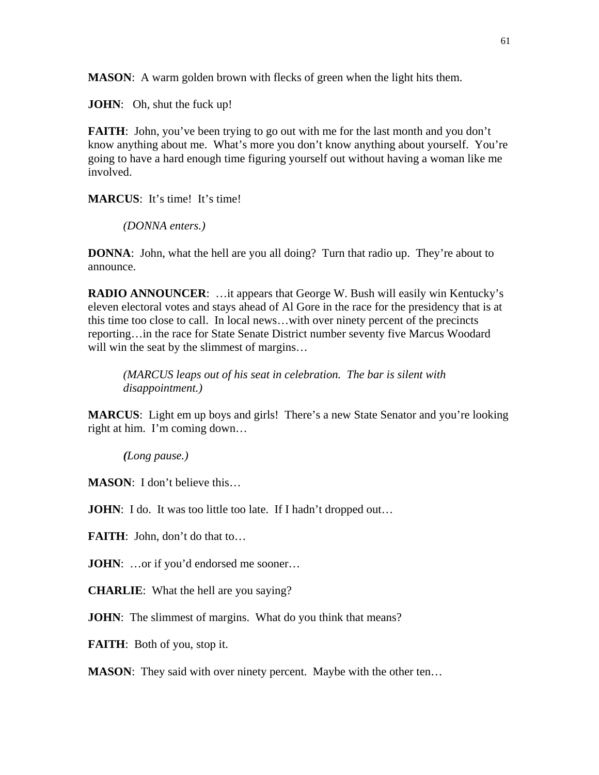**MASON**: A warm golden brown with flecks of green when the light hits them.

**JOHN:** Oh, shut the fuck up!

**FAITH**: John, you've been trying to go out with me for the last month and you don't know anything about me. What's more you don't know anything about yourself. You're going to have a hard enough time figuring yourself out without having a woman like me involved.

**MARCUS**: It's time! It's time!

*(DONNA enters.)* 

**DONNA**: John, what the hell are you all doing? Turn that radio up. They're about to announce.

**RADIO ANNOUNCER**: …it appears that George W. Bush will easily win Kentucky's eleven electoral votes and stays ahead of Al Gore in the race for the presidency that is at this time too close to call. In local news…with over ninety percent of the precincts reporting…in the race for State Senate District number seventy five Marcus Woodard will win the seat by the slimmest of margins...

*(MARCUS leaps out of his seat in celebration. The bar is silent with disappointment.)* 

**MARCUS**: Light em up boys and girls! There's a new State Senator and you're looking right at him. I'm coming down…

*(Long pause.)* 

**MASON**: I don't believe this…

**JOHN**: I do. It was too little too late. If I hadn't dropped out...

**FAITH:** John, don't do that to...

**JOHN:** ...or if you'd endorsed me sooner...

**CHARLIE**: What the hell are you saying?

**JOHN**: The slimmest of margins. What do you think that means?

**FAITH**: Both of you, stop it.

**MASON:** They said with over ninety percent. Maybe with the other ten...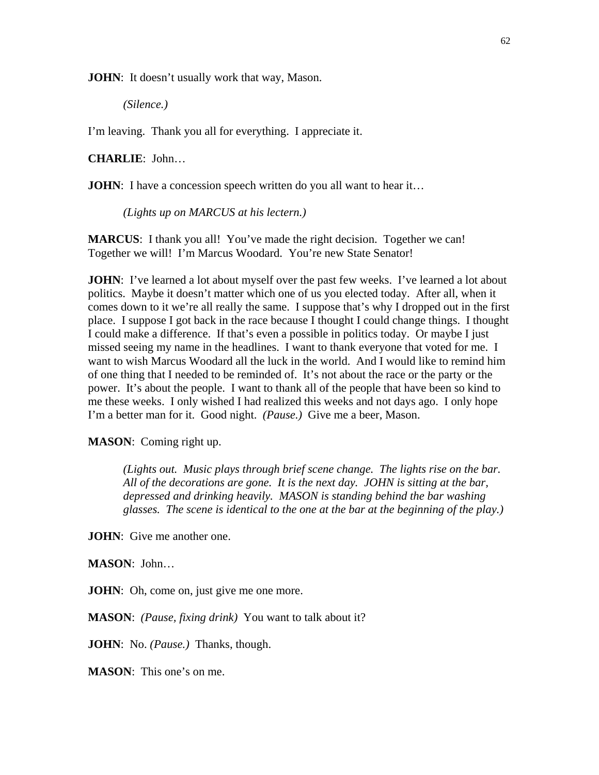**JOHN**: It doesn't usually work that way, Mason.

*(Silence.)* 

I'm leaving. Thank you all for everything. I appreciate it.

**CHARLIE**: John…

**JOHN**: I have a concession speech written do you all want to hear it...

*(Lights up on MARCUS at his lectern.)* 

**MARCUS**: I thank you all! You've made the right decision. Together we can! Together we will! I'm Marcus Woodard. You're new State Senator!

**JOHN**: I've learned a lot about myself over the past few weeks. I've learned a lot about politics. Maybe it doesn't matter which one of us you elected today. After all, when it comes down to it we're all really the same. I suppose that's why I dropped out in the first place. I suppose I got back in the race because I thought I could change things. I thought I could make a difference. If that's even a possible in politics today. Or maybe I just missed seeing my name in the headlines. I want to thank everyone that voted for me. I want to wish Marcus Woodard all the luck in the world. And I would like to remind him of one thing that I needed to be reminded of. It's not about the race or the party or the power. It's about the people. I want to thank all of the people that have been so kind to me these weeks. I only wished I had realized this weeks and not days ago. I only hope I'm a better man for it. Good night. *(Pause.)* Give me a beer, Mason.

**MASON**: Coming right up.

*(Lights out. Music plays through brief scene change. The lights rise on the bar. All of the decorations are gone. It is the next day. JOHN is sitting at the bar, depressed and drinking heavily. MASON is standing behind the bar washing glasses. The scene is identical to the one at the bar at the beginning of the play.)* 

**JOHN**: Give me another one.

**MASON**: John…

**JOHN**: Oh, come on, just give me one more.

**MASON**: *(Pause, fixing drink)* You want to talk about it?

**JOHN**: No. *(Pause.)* Thanks, though.

**MASON**: This one's on me.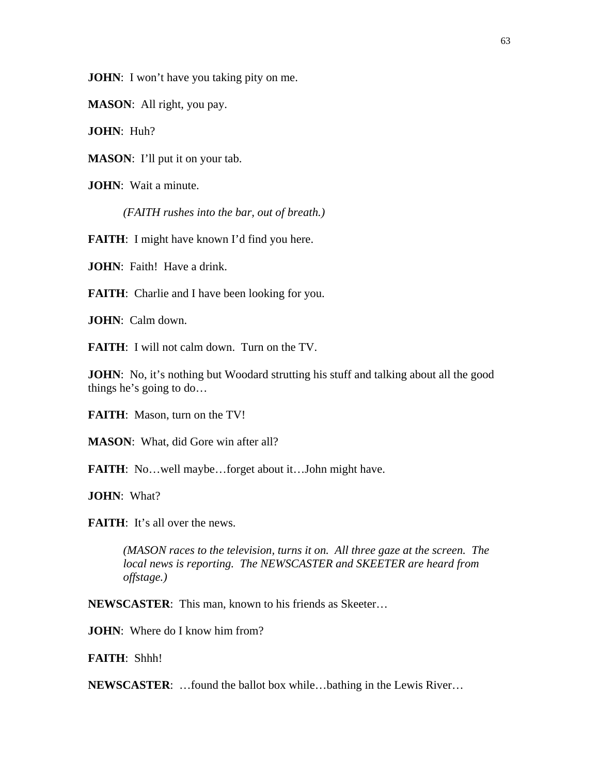**JOHN**: I won't have you taking pity on me.

**MASON**: All right, you pay.

**JOHN**: Huh?

**MASON**: I'll put it on your tab.

**JOHN**: Wait a minute.

*(FAITH rushes into the bar, out of breath.)* 

**FAITH:** I might have known I'd find you here.

**JOHN**: Faith! Have a drink.

**FAITH:** Charlie and I have been looking for you.

**JOHN**: Calm down.

**FAITH**: I will not calm down. Turn on the TV.

**JOHN**: No, it's nothing but Woodard strutting his stuff and talking about all the good things he's going to do…

**FAITH**: Mason, turn on the TV!

**MASON**: What, did Gore win after all?

**FAITH**: No…well maybe…forget about it…John might have.

**JOHN**: What?

**FAITH:** It's all over the news.

*(MASON races to the television, turns it on. All three gaze at the screen. The local news is reporting. The NEWSCASTER and SKEETER are heard from offstage.)* 

**NEWSCASTER**: This man, known to his friends as Skeeter…

**JOHN**: Where do I know him from?

**FAITH**: Shhh!

**NEWSCASTER**: …found the ballot box while…bathing in the Lewis River…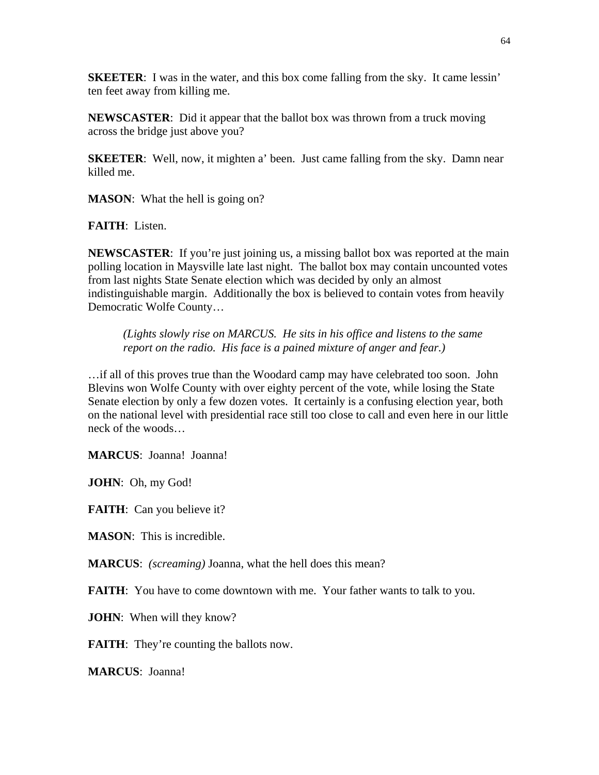**SKEETER:** I was in the water, and this box come falling from the sky. It came lessin' ten feet away from killing me.

**NEWSCASTER**: Did it appear that the ballot box was thrown from a truck moving across the bridge just above you?

**SKEETER**: Well, now, it mighten a' been. Just came falling from the sky. Damn near killed me.

**MASON:** What the hell is going on?

**FAITH**: Listen.

**NEWSCASTER:** If you're just joining us, a missing ballot box was reported at the main polling location in Maysville late last night. The ballot box may contain uncounted votes from last nights State Senate election which was decided by only an almost indistinguishable margin. Additionally the box is believed to contain votes from heavily Democratic Wolfe County…

*(Lights slowly rise on MARCUS. He sits in his office and listens to the same report on the radio. His face is a pained mixture of anger and fear.)* 

…if all of this proves true than the Woodard camp may have celebrated too soon. John Blevins won Wolfe County with over eighty percent of the vote, while losing the State Senate election by only a few dozen votes. It certainly is a confusing election year, both on the national level with presidential race still too close to call and even here in our little neck of the woods…

**MARCUS**: Joanna! Joanna!

**JOHN**: Oh, my God!

**FAITH:** Can you believe it?

**MASON**: This is incredible.

**MARCUS**: *(screaming)* Joanna, what the hell does this mean?

**FAITH:** You have to come downtown with me. Your father wants to talk to you.

**JOHN**: When will they know?

**FAITH:** They're counting the ballots now.

**MARCUS**: Joanna!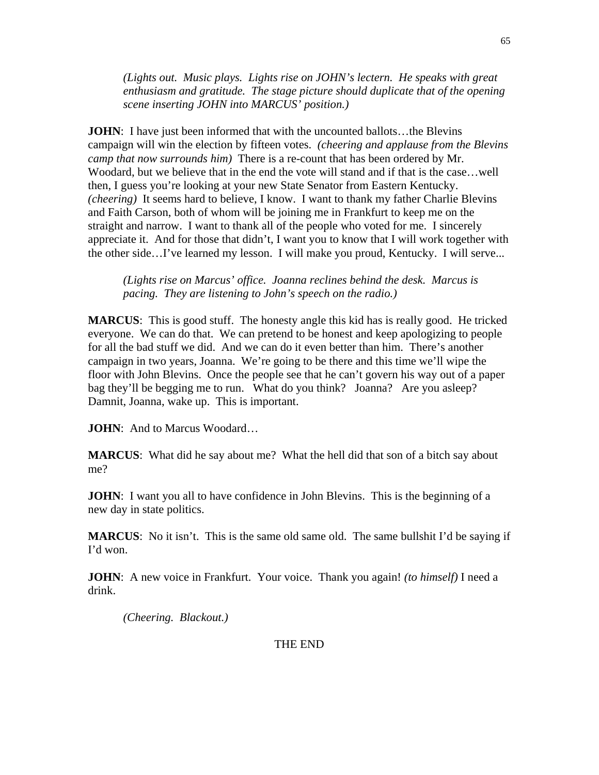*(Lights out. Music plays. Lights rise on JOHN's lectern. He speaks with great enthusiasm and gratitude. The stage picture should duplicate that of the opening scene inserting JOHN into MARCUS' position.)* 

**JOHN**: I have just been informed that with the uncounted ballots...the Blevins campaign will win the election by fifteen votes. *(cheering and applause from the Blevins camp that now surrounds him)* There is a re-count that has been ordered by Mr. Woodard, but we believe that in the end the vote will stand and if that is the case…well then, I guess you're looking at your new State Senator from Eastern Kentucky. *(cheering)* It seems hard to believe, I know. I want to thank my father Charlie Blevins and Faith Carson, both of whom will be joining me in Frankfurt to keep me on the straight and narrow. I want to thank all of the people who voted for me. I sincerely appreciate it. And for those that didn't, I want you to know that I will work together with the other side…I've learned my lesson. I will make you proud, Kentucky. I will serve...

*(Lights rise on Marcus' office. Joanna reclines behind the desk. Marcus is pacing. They are listening to John's speech on the radio.)* 

**MARCUS**: This is good stuff. The honesty angle this kid has is really good. He tricked everyone. We can do that. We can pretend to be honest and keep apologizing to people for all the bad stuff we did. And we can do it even better than him. There's another campaign in two years, Joanna. We're going to be there and this time we'll wipe the floor with John Blevins. Once the people see that he can't govern his way out of a paper bag they'll be begging me to run. What do you think? Joanna? Are you asleep? Damnit, Joanna, wake up. This is important.

**JOHN**: And to Marcus Woodard…

**MARCUS**: What did he say about me? What the hell did that son of a bitch say about me?

**JOHN**: I want you all to have confidence in John Blevins. This is the beginning of a new day in state politics.

**MARCUS**: No it isn't. This is the same old same old. The same bullshit I'd be saying if I'd won.

**JOHN**: A new voice in Frankfurt. Your voice. Thank you again! *(to himself)* I need a drink.

*(Cheering. Blackout.)* 

THE END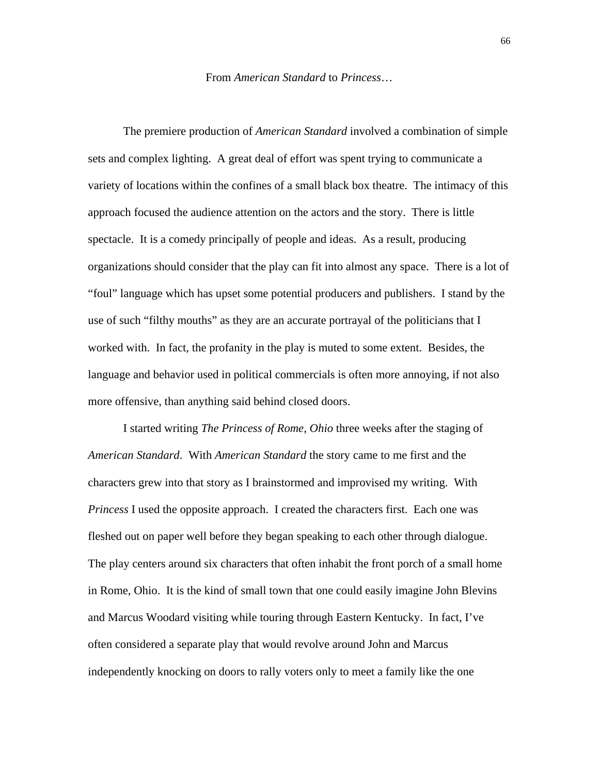The premiere production of *American Standard* involved a combination of simple sets and complex lighting. A great deal of effort was spent trying to communicate a variety of locations within the confines of a small black box theatre. The intimacy of this approach focused the audience attention on the actors and the story. There is little spectacle. It is a comedy principally of people and ideas. As a result, producing organizations should consider that the play can fit into almost any space. There is a lot of "foul" language which has upset some potential producers and publishers. I stand by the use of such "filthy mouths" as they are an accurate portrayal of the politicians that I worked with. In fact, the profanity in the play is muted to some extent. Besides, the language and behavior used in political commercials is often more annoying, if not also more offensive, than anything said behind closed doors.

I started writing *The Princess of Rome, Ohio* three weeks after the staging of *American Standard*. With *American Standard* the story came to me first and the characters grew into that story as I brainstormed and improvised my writing. With *Princess* I used the opposite approach. I created the characters first. Each one was fleshed out on paper well before they began speaking to each other through dialogue. The play centers around six characters that often inhabit the front porch of a small home in Rome, Ohio. It is the kind of small town that one could easily imagine John Blevins and Marcus Woodard visiting while touring through Eastern Kentucky. In fact, I've often considered a separate play that would revolve around John and Marcus independently knocking on doors to rally voters only to meet a family like the one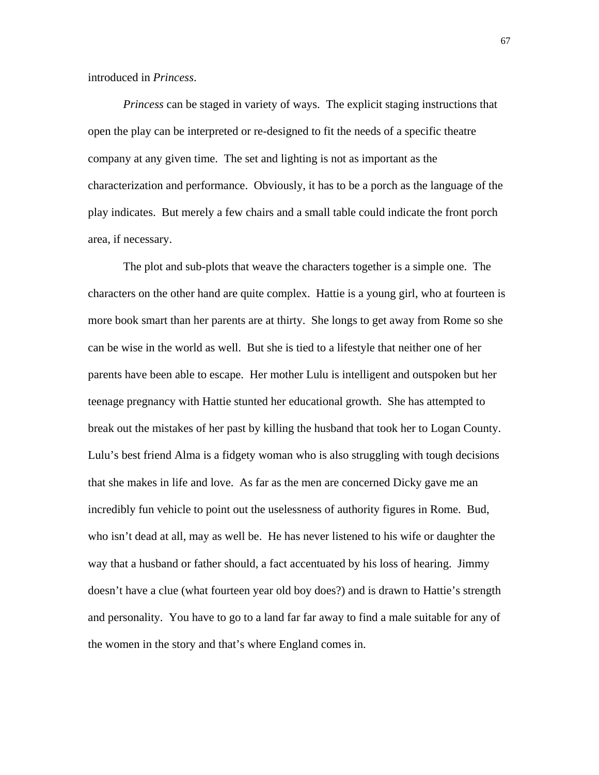introduced in *Princess*.

*Princess* can be staged in variety of ways. The explicit staging instructions that open the play can be interpreted or re-designed to fit the needs of a specific theatre company at any given time. The set and lighting is not as important as the characterization and performance. Obviously, it has to be a porch as the language of the play indicates. But merely a few chairs and a small table could indicate the front porch area, if necessary.

The plot and sub-plots that weave the characters together is a simple one. The characters on the other hand are quite complex. Hattie is a young girl, who at fourteen is more book smart than her parents are at thirty. She longs to get away from Rome so she can be wise in the world as well. But she is tied to a lifestyle that neither one of her parents have been able to escape. Her mother Lulu is intelligent and outspoken but her teenage pregnancy with Hattie stunted her educational growth. She has attempted to break out the mistakes of her past by killing the husband that took her to Logan County. Lulu's best friend Alma is a fidgety woman who is also struggling with tough decisions that she makes in life and love. As far as the men are concerned Dicky gave me an incredibly fun vehicle to point out the uselessness of authority figures in Rome. Bud, who isn't dead at all, may as well be. He has never listened to his wife or daughter the way that a husband or father should, a fact accentuated by his loss of hearing. Jimmy doesn't have a clue (what fourteen year old boy does?) and is drawn to Hattie's strength and personality. You have to go to a land far far away to find a male suitable for any of the women in the story and that's where England comes in.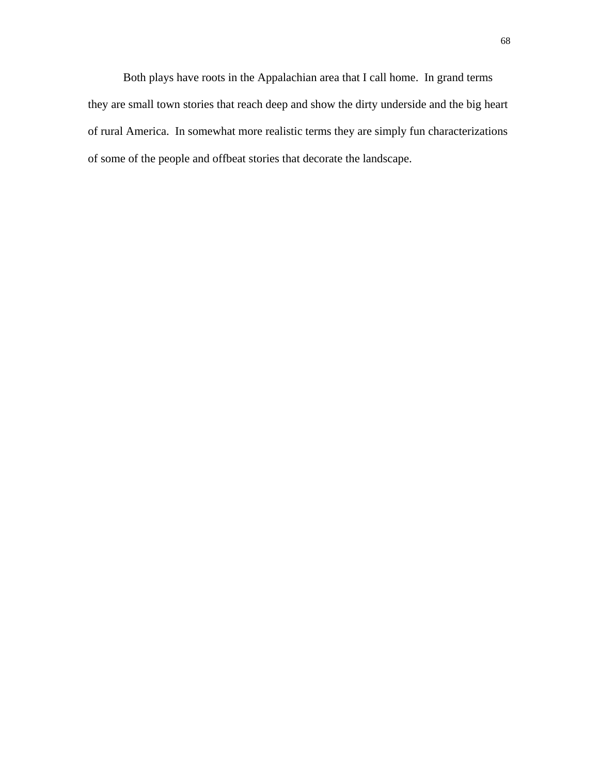Both plays have roots in the Appalachian area that I call home. In grand terms they are small town stories that reach deep and show the dirty underside and the big heart of rural America. In somewhat more realistic terms they are simply fun characterizations of some of the people and offbeat stories that decorate the landscape.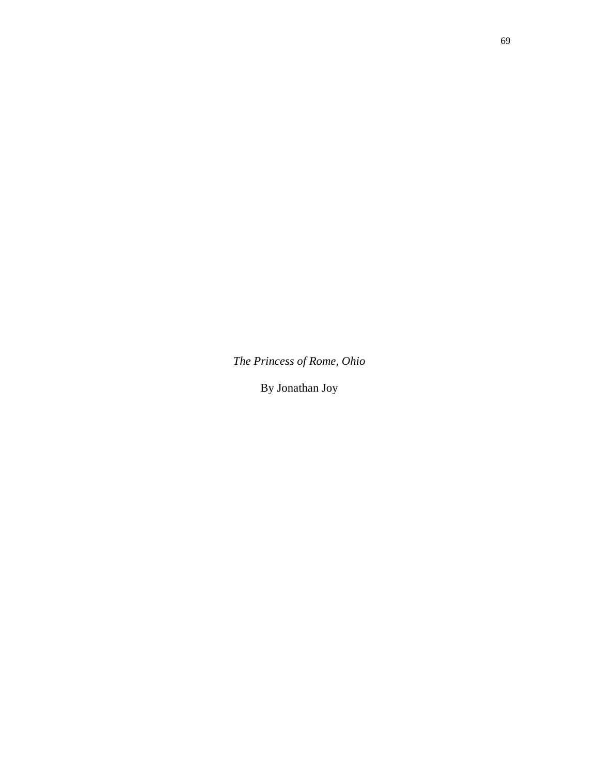*The Princess of Rome, Ohio* 

By Jonathan Joy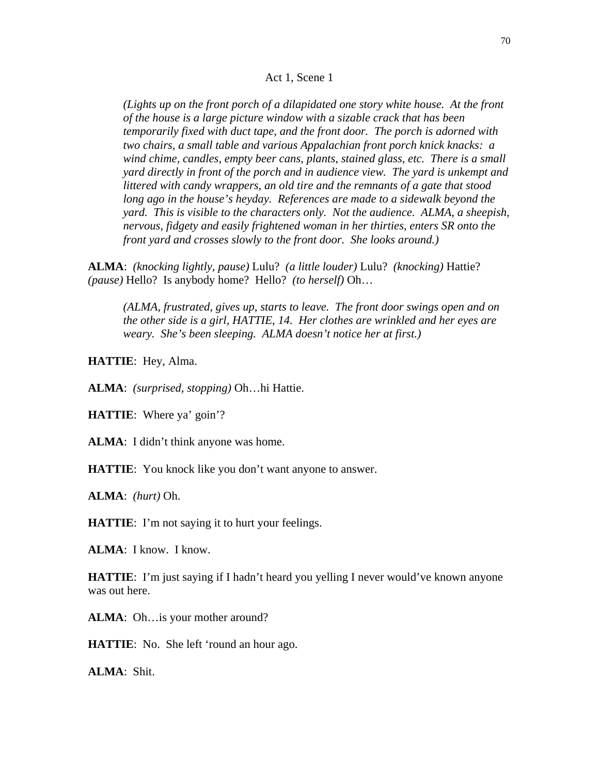## Act 1, Scene 1

*(Lights up on the front porch of a dilapidated one story white house. At the front of the house is a large picture window with a sizable crack that has been temporarily fixed with duct tape, and the front door. The porch is adorned with two chairs, a small table and various Appalachian front porch knick knacks: a wind chime, candles, empty beer cans, plants, stained glass, etc. There is a small yard directly in front of the porch and in audience view. The yard is unkempt and littered with candy wrappers, an old tire and the remnants of a gate that stood*  long ago in the house's heyday. References are made to a sidewalk beyond the *yard. This is visible to the characters only. Not the audience. ALMA, a sheepish, nervous, fidgety and easily frightened woman in her thirties, enters SR onto the front yard and crosses slowly to the front door. She looks around.)* 

**ALMA**: *(knocking lightly, pause)* Lulu? *(a little louder)* Lulu? *(knocking)* Hattie? *(pause)* Hello? Is anybody home? Hello? *(to herself)* Oh…

*(ALMA, frustrated, gives up, starts to leave. The front door swings open and on the other side is a girl, HATTIE, 14. Her clothes are wrinkled and her eyes are weary. She's been sleeping. ALMA doesn't notice her at first.)* 

**HATTIE**: Hey, Alma.

**ALMA**: *(surprised, stopping)* Oh…hi Hattie.

**HATTIE**: Where ya' goin'?

**ALMA**: I didn't think anyone was home.

**HATTIE:** You knock like you don't want anyone to answer.

**ALMA**: *(hurt)* Oh.

**HATTIE:** I'm not saying it to hurt your feelings.

**ALMA**: I know. I know.

**HATTIE**: I'm just saying if I hadn't heard you yelling I never would've known anyone was out here.

**ALMA**: Oh…is your mother around?

**HATTIE:** No. She left 'round an hour ago.

**ALMA**: Shit.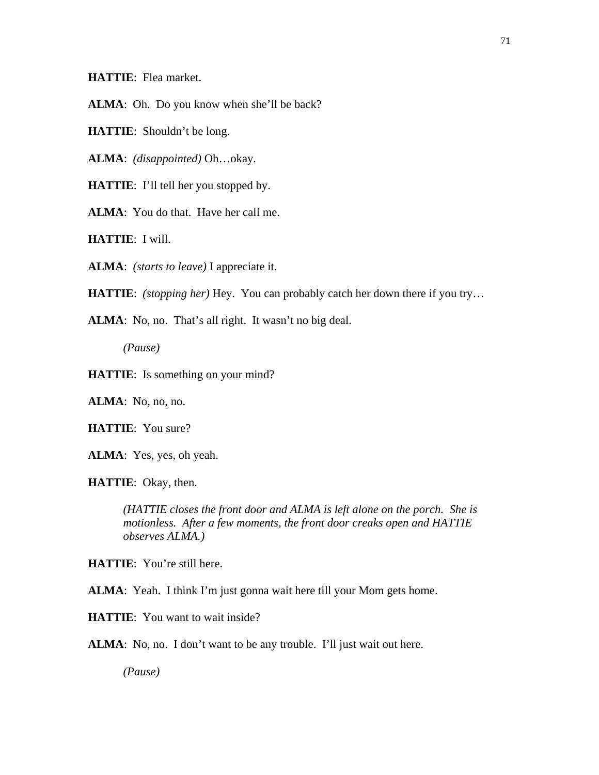**HATTIE**: Flea market.

**ALMA**: Oh. Do you know when she'll be back?

**HATTIE**: Shouldn't be long.

**ALMA**: *(disappointed)* Oh…okay.

**HATTIE**: I'll tell her you stopped by.

**ALMA**: You do that. Have her call me.

**HATTIE**: I will.

**ALMA**: *(starts to leave)* I appreciate it.

**HATTIE**: *(stopping her)* Hey. You can probably catch her down there if you try…

**ALMA**: No, no. That's all right. It wasn't no big deal.

*(Pause)* 

**HATTIE:** Is something on your mind?

**ALMA**: No, no, no.

**HATTIE**: You sure?

**ALMA**: Yes, yes, oh yeah.

**HATTIE**: Okay, then.

*(HATTIE closes the front door and ALMA is left alone on the porch. She is motionless. After a few moments, the front door creaks open and HATTIE observes ALMA.)* 

**HATTIE**: You're still here.

**ALMA**: Yeah. I think I'm just gonna wait here till your Mom gets home.

**HATTIE:** You want to wait inside?

**ALMA**: No, no. I don't want to be any trouble. I'll just wait out here.

*(Pause)*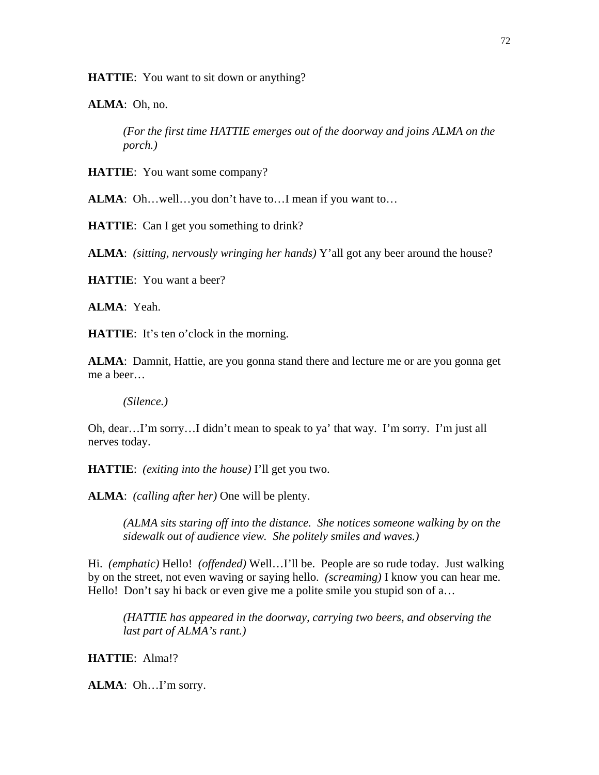**HATTIE**: You want to sit down or anything?

**ALMA**: Oh, no.

*(For the first time HATTIE emerges out of the doorway and joins ALMA on the porch.)* 

**HATTIE**: You want some company?

ALMA: Oh...well...you don't have to...I mean if you want to...

**HATTIE**: Can I get you something to drink?

**ALMA**: *(sitting, nervously wringing her hands)* Y'all got any beer around the house?

**HATTIE**: You want a beer?

**ALMA**: Yeah.

**HATTIE:** It's ten o'clock in the morning.

**ALMA**: Damnit, Hattie, are you gonna stand there and lecture me or are you gonna get me a beer…

*(Silence.)* 

Oh, dear…I'm sorry…I didn't mean to speak to ya' that way. I'm sorry. I'm just all nerves today.

**HATTIE**: *(exiting into the house)* I'll get you two.

**ALMA**: *(calling after her)* One will be plenty.

*(ALMA sits staring off into the distance. She notices someone walking by on the sidewalk out of audience view. She politely smiles and waves.)* 

Hi. *(emphatic)* Hello! *(offended)* Well…I'll be. People are so rude today. Just walking by on the street, not even waving or saying hello. *(screaming)* I know you can hear me. Hello! Don't say hi back or even give me a polite smile you stupid son of a...

*(HATTIE has appeared in the doorway, carrying two beers, and observing the last part of ALMA's rant.)* 

**HATTIE**: Alma!?

**ALMA**: Oh…I'm sorry.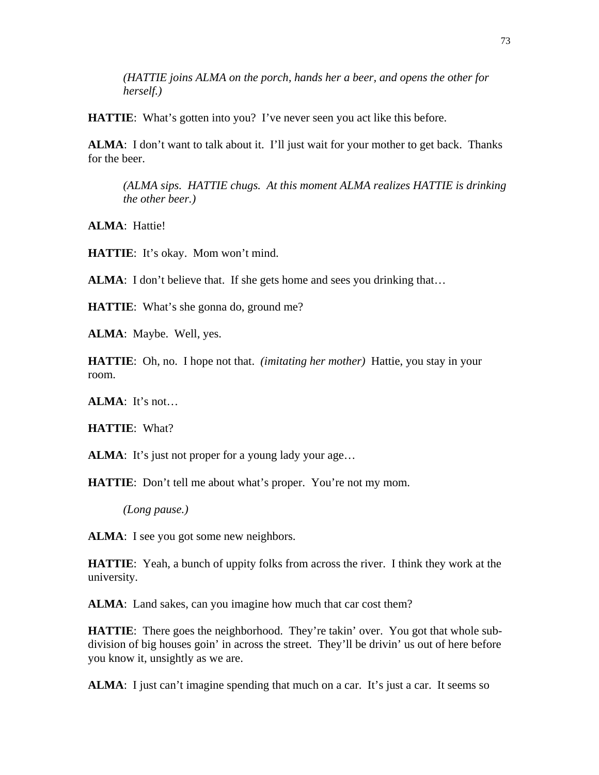*(HATTIE joins ALMA on the porch, hands her a beer, and opens the other for herself.)* 

**HATTIE:** What's gotten into you? I've never seen you act like this before.

**ALMA**: I don't want to talk about it. I'll just wait for your mother to get back. Thanks for the beer.

*(ALMA sips. HATTIE chugs. At this moment ALMA realizes HATTIE is drinking the other beer.)*

**ALMA**: Hattie!

**HATTIE**: It's okay. Mom won't mind.

**ALMA**: I don't believe that. If she gets home and sees you drinking that...

**HATTIE:** What's she gonna do, ground me?

**ALMA**: Maybe. Well, yes.

**HATTIE**: Oh, no. I hope not that. *(imitating her mother)* Hattie, you stay in your room.

**ALMA**: It's not…

**HATTIE**: What?

ALMA: It's just not proper for a young lady your age...

**HATTIE**: Don't tell me about what's proper. You're not my mom.

*(Long pause.)* 

ALMA: I see you got some new neighbors.

**HATTIE**: Yeah, a bunch of uppity folks from across the river. I think they work at the university.

**ALMA**: Land sakes, can you imagine how much that car cost them?

**HATTIE**: There goes the neighborhood. They're takin' over. You got that whole subdivision of big houses goin' in across the street. They'll be drivin' us out of here before you know it, unsightly as we are.

**ALMA**: I just can't imagine spending that much on a car. It's just a car. It seems so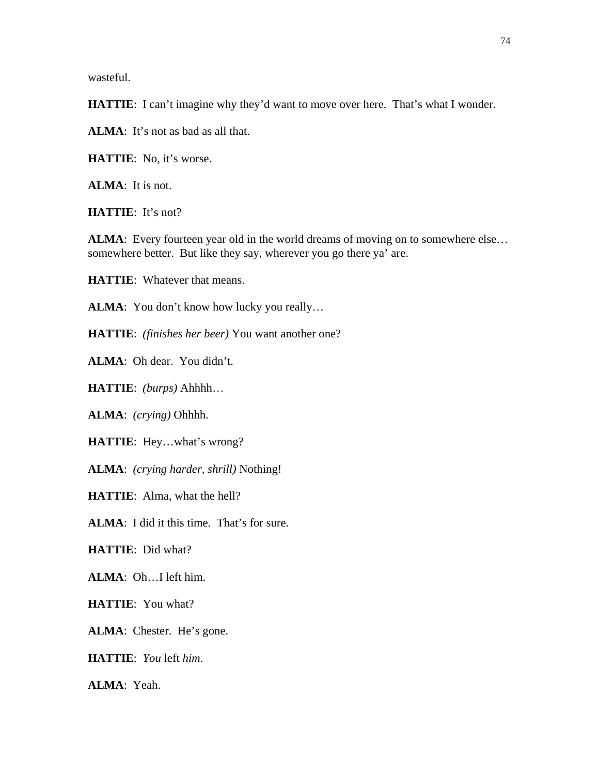wasteful.

**HATTIE**: I can't imagine why they'd want to move over here. That's what I wonder.

**ALMA**: It's not as bad as all that.

**HATTIE**: No, it's worse.

**ALMA**: It is not.

**HATTIE**: It's not?

ALMA: Every fourteen year old in the world dreams of moving on to somewhere else... somewhere better. But like they say, wherever you go there ya' are.

**HATTIE**: Whatever that means.

ALMA: You don't know how lucky you really...

**HATTIE**: *(finishes her beer)* You want another one?

**ALMA**: Oh dear. You didn't.

**HATTIE**: *(burps)* Ahhhh…

**ALMA**: *(crying)* Ohhhh.

**HATTIE**: Hey…what's wrong?

**ALMA**: *(crying harder, shrill)* Nothing!

**HATTIE**: Alma, what the hell?

**ALMA**: I did it this time. That's for sure.

**HATTIE**: Did what?

**ALMA**: Oh…I left him.

**HATTIE**: You what?

**ALMA**: Chester. He's gone.

**HATTIE**: *You* left *him*.

**ALMA**: Yeah.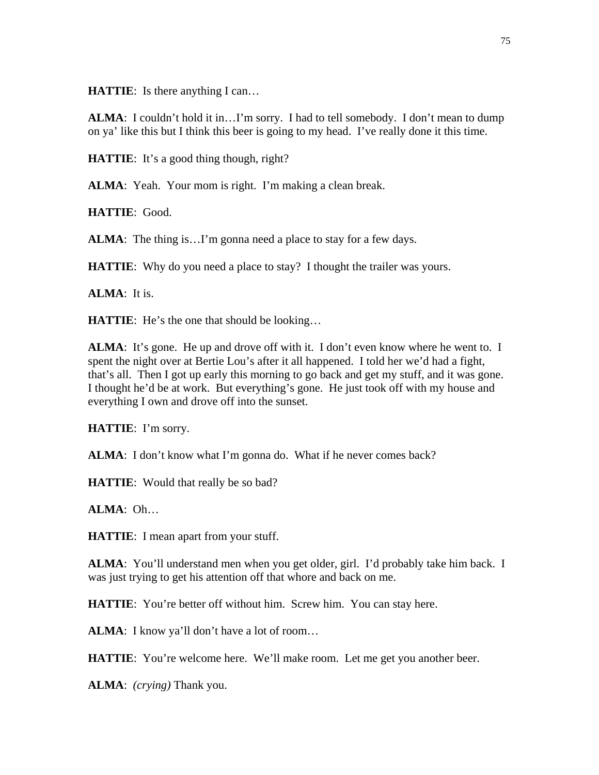**HATTIE**: Is there anything I can...

**ALMA**: I couldn't hold it in…I'm sorry. I had to tell somebody. I don't mean to dump on ya' like this but I think this beer is going to my head. I've really done it this time.

**HATTIE:** It's a good thing though, right?

**ALMA**: Yeah. Your mom is right. I'm making a clean break.

**HATTIE**: Good.

**ALMA**: The thing is...I'm gonna need a place to stay for a few days.

**HATTIE:** Why do you need a place to stay? I thought the trailer was yours.

**ALMA**: It is.

**HATTIE:** He's the one that should be looking...

**ALMA**: It's gone. He up and drove off with it. I don't even know where he went to. I spent the night over at Bertie Lou's after it all happened. I told her we'd had a fight, that's all. Then I got up early this morning to go back and get my stuff, and it was gone. I thought he'd be at work. But everything's gone. He just took off with my house and everything I own and drove off into the sunset.

**HATTIE**: I'm sorry.

**ALMA**: I don't know what I'm gonna do. What if he never comes back?

**HATTIE:** Would that really be so bad?

**ALMA**: Oh…

**HATTIE**: I mean apart from your stuff.

**ALMA**: You'll understand men when you get older, girl. I'd probably take him back. I was just trying to get his attention off that whore and back on me.

**HATTIE**: You're better off without him. Screw him. You can stay here.

ALMA: I know ya'll don't have a lot of room...

**HATTIE**: You're welcome here. We'll make room. Let me get you another beer.

**ALMA**: *(crying)* Thank you.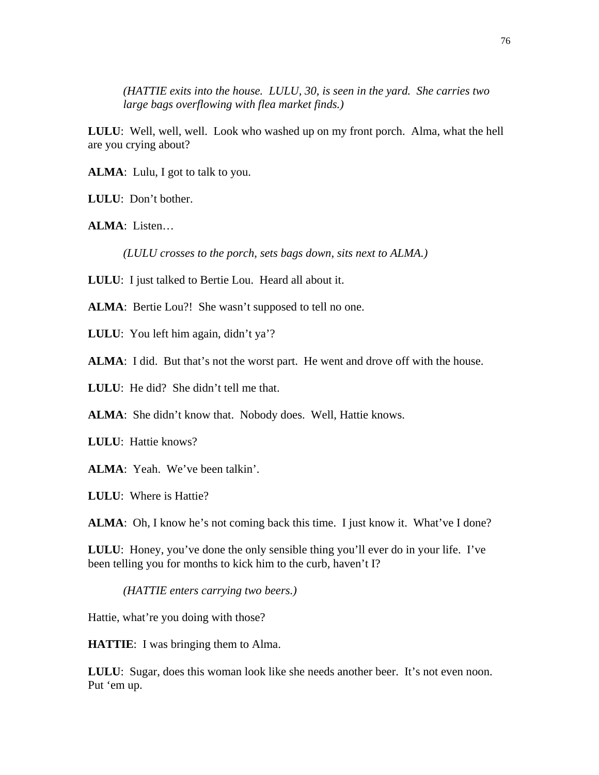*(HATTIE exits into the house. LULU, 30, is seen in the yard. She carries two large bags overflowing with flea market finds.)* 

**LULU**: Well, well, well. Look who washed up on my front porch. Alma, what the hell are you crying about?

**ALMA**: Lulu, I got to talk to you.

**LULU**: Don't bother.

**ALMA**: Listen…

*(LULU crosses to the porch, sets bags down, sits next to ALMA.)*

**LULU**: I just talked to Bertie Lou. Heard all about it.

ALMA: Bertie Lou?! She wasn't supposed to tell no one.

LULU: You left him again, didn't ya'?

**ALMA**: I did. But that's not the worst part. He went and drove off with the house.

**LULU**: He did? She didn't tell me that.

ALMA: She didn't know that. Nobody does. Well, Hattie knows.

**LULU**: Hattie knows?

**ALMA**: Yeah. We've been talkin'.

**LULU**: Where is Hattie?

ALMA: Oh, I know he's not coming back this time. I just know it. What've I done?

**LULU**: Honey, you've done the only sensible thing you'll ever do in your life. I've been telling you for months to kick him to the curb, haven't I?

*(HATTIE enters carrying two beers.)* 

Hattie, what're you doing with those?

**HATTIE**: I was bringing them to Alma.

**LULU**: Sugar, does this woman look like she needs another beer. It's not even noon. Put 'em up.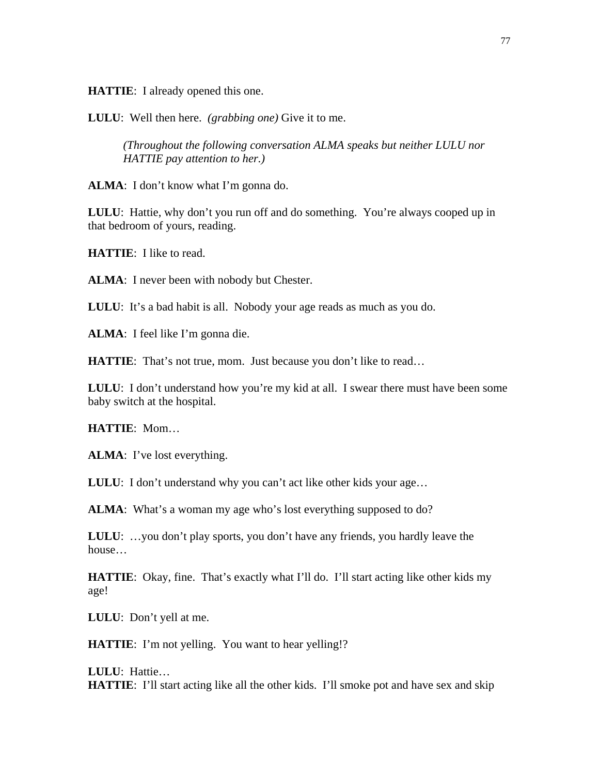**HATTIE**: I already opened this one.

**LULU**: Well then here. *(grabbing one)* Give it to me.

*(Throughout the following conversation ALMA speaks but neither LULU nor HATTIE pay attention to her.)* 

**ALMA**: I don't know what I'm gonna do.

**LULU**: Hattie, why don't you run off and do something. You're always cooped up in that bedroom of yours, reading.

**HATTIE**: I like to read.

**ALMA**: I never been with nobody but Chester.

**LULU**: It's a bad habit is all. Nobody your age reads as much as you do.

**ALMA**: I feel like I'm gonna die.

**HATTIE:** That's not true, mom. Just because you don't like to read...

**LULU:** I don't understand how you're my kid at all. I swear there must have been some baby switch at the hospital.

**HATTIE**: Mom…

**ALMA**: I've lost everything.

**LULU**: I don't understand why you can't act like other kids your age...

ALMA: What's a woman my age who's lost everything supposed to do?

**LULU**: …you don't play sports, you don't have any friends, you hardly leave the house…

**HATTIE:** Okay, fine. That's exactly what I'll do. I'll start acting like other kids my age!

**LULU**: Don't yell at me.

**HATTIE:** I'm not yelling. You want to hear yelling!?

**LULU**: Hattie… **HATTIE**: I'll start acting like all the other kids. I'll smoke pot and have sex and skip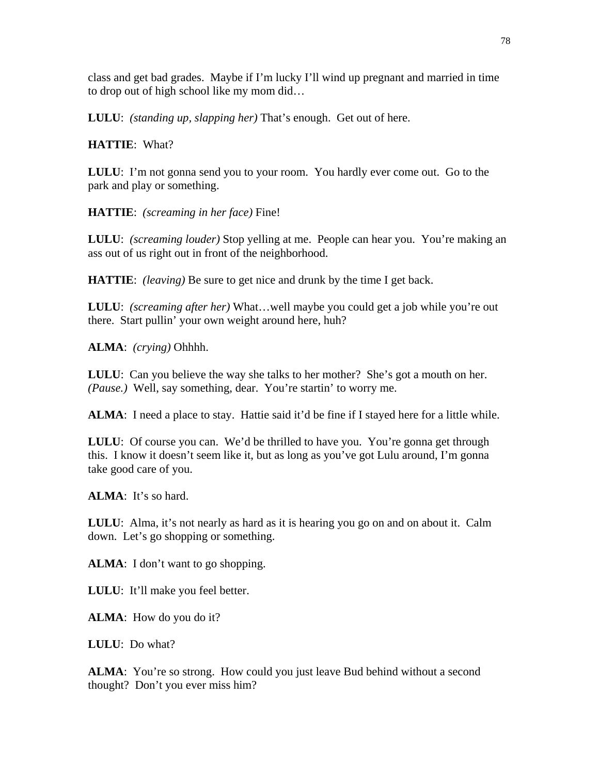class and get bad grades. Maybe if I'm lucky I'll wind up pregnant and married in time to drop out of high school like my mom did…

**LULU**: *(standing up, slapping her)* That's enough. Get out of here.

## **HATTIE**: What?

**LULU**: I'm not gonna send you to your room. You hardly ever come out. Go to the park and play or something.

**HATTIE**: *(screaming in her face)* Fine!

**LULU**: *(screaming louder)* Stop yelling at me. People can hear you. You're making an ass out of us right out in front of the neighborhood.

**HATTIE**: *(leaving)* Be sure to get nice and drunk by the time I get back.

**LULU**: *(screaming after her)* What…well maybe you could get a job while you're out there. Start pullin' your own weight around here, huh?

**ALMA**: *(crying)* Ohhhh.

**LULU**: Can you believe the way she talks to her mother? She's got a mouth on her. *(Pause.)* Well, say something, dear. You're startin' to worry me.

**ALMA**: I need a place to stay. Hattie said it'd be fine if I stayed here for a little while.

LULU: Of course you can. We'd be thrilled to have you. You're gonna get through this. I know it doesn't seem like it, but as long as you've got Lulu around, I'm gonna take good care of you.

**ALMA**: It's so hard.

**LULU**: Alma, it's not nearly as hard as it is hearing you go on and on about it. Calm down. Let's go shopping or something.

ALMA: I don't want to go shopping.

**LULU**: It'll make you feel better.

**ALMA**: How do you do it?

**LULU**: Do what?

**ALMA:** You're so strong. How could you just leave Bud behind without a second thought? Don't you ever miss him?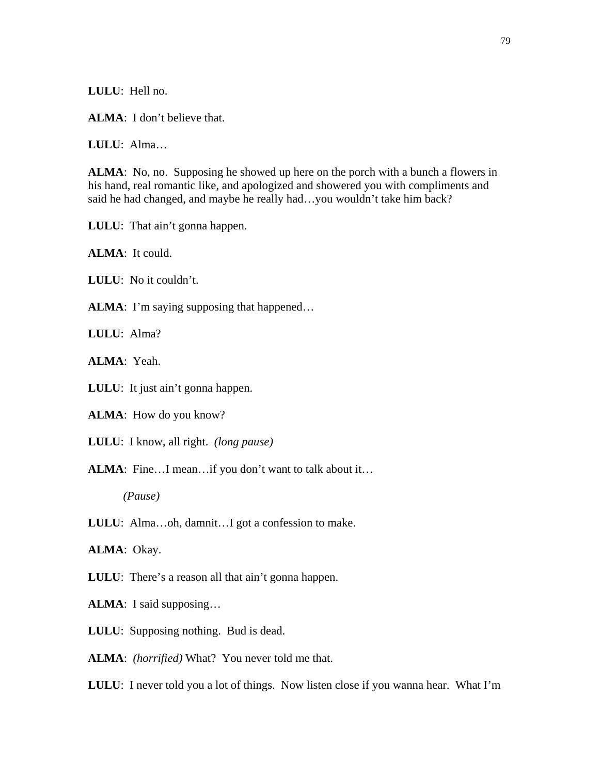**LULU**: Hell no.

**ALMA**: I don't believe that.

**LULU**: Alma…

**ALMA**: No, no. Supposing he showed up here on the porch with a bunch a flowers in his hand, real romantic like, and apologized and showered you with compliments and said he had changed, and maybe he really had…you wouldn't take him back?

**LULU**: That ain't gonna happen.

**ALMA**: It could.

**LULU**: No it couldn't.

**ALMA**: I'm saying supposing that happened...

**LULU**: Alma?

**ALMA**: Yeah.

**LULU**: It just ain't gonna happen.

**ALMA**: How do you know?

**LULU**: I know, all right. *(long pause)*

ALMA: Fine...I mean...if you don't want to talk about it...

*(Pause)* 

**LULU**: Alma…oh, damnit…I got a confession to make.

**ALMA**: Okay.

**LULU**: There's a reason all that ain't gonna happen.

**ALMA**: I said supposing…

**LULU**: Supposing nothing. Bud is dead.

**ALMA**: *(horrified)* What? You never told me that.

**LULU**: I never told you a lot of things. Now listen close if you wanna hear. What I'm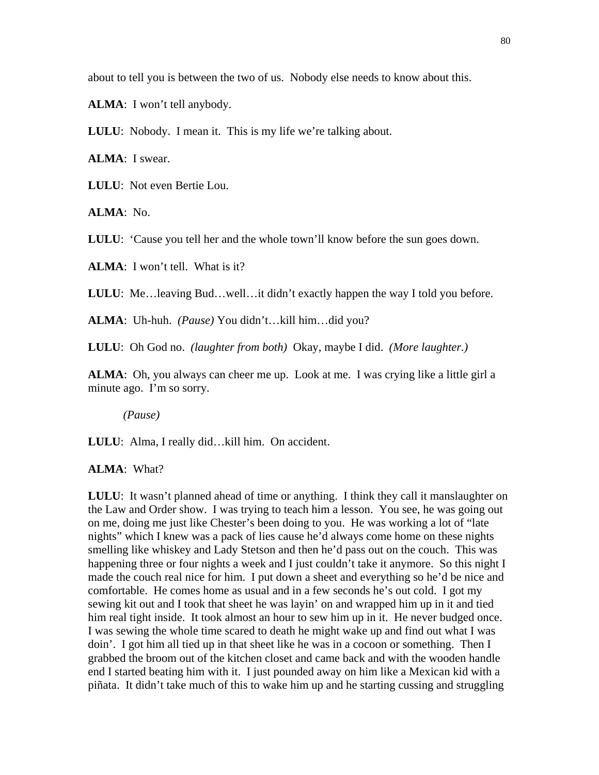about to tell you is between the two of us. Nobody else needs to know about this.

**ALMA**: I won't tell anybody.

**LULU**: Nobody. I mean it. This is my life we're talking about.

**ALMA**: I swear.

**LULU**: Not even Bertie Lou.

**ALMA**: No.

**LULU**: 'Cause you tell her and the whole town'll know before the sun goes down.

**ALMA**: I won't tell. What is it?

**LULU**: Me…leaving Bud…well…it didn't exactly happen the way I told you before.

**ALMA**: Uh-huh. *(Pause)* You didn't…kill him…did you?

**LULU**: Oh God no. *(laughter from both)* Okay, maybe I did. *(More laughter.)* 

**ALMA**: Oh, you always can cheer me up. Look at me. I was crying like a little girl a minute ago. I'm so sorry.

*(Pause)* 

**LULU**: Alma, I really did…kill him. On accident.

**ALMA**: What?

**LULU**: It wasn't planned ahead of time or anything. I think they call it manslaughter on the Law and Order show. I was trying to teach him a lesson. You see, he was going out on me, doing me just like Chester's been doing to you. He was working a lot of "late nights" which I knew was a pack of lies cause he'd always come home on these nights smelling like whiskey and Lady Stetson and then he'd pass out on the couch. This was happening three or four nights a week and I just couldn't take it anymore. So this night I made the couch real nice for him. I put down a sheet and everything so he'd be nice and comfortable. He comes home as usual and in a few seconds he's out cold. I got my sewing kit out and I took that sheet he was layin' on and wrapped him up in it and tied him real tight inside. It took almost an hour to sew him up in it. He never budged once. I was sewing the whole time scared to death he might wake up and find out what I was doin'. I got him all tied up in that sheet like he was in a cocoon or something. Then I grabbed the broom out of the kitchen closet and came back and with the wooden handle end I started beating him with it. I just pounded away on him like a Mexican kid with a piñata. It didn't take much of this to wake him up and he starting cussing and struggling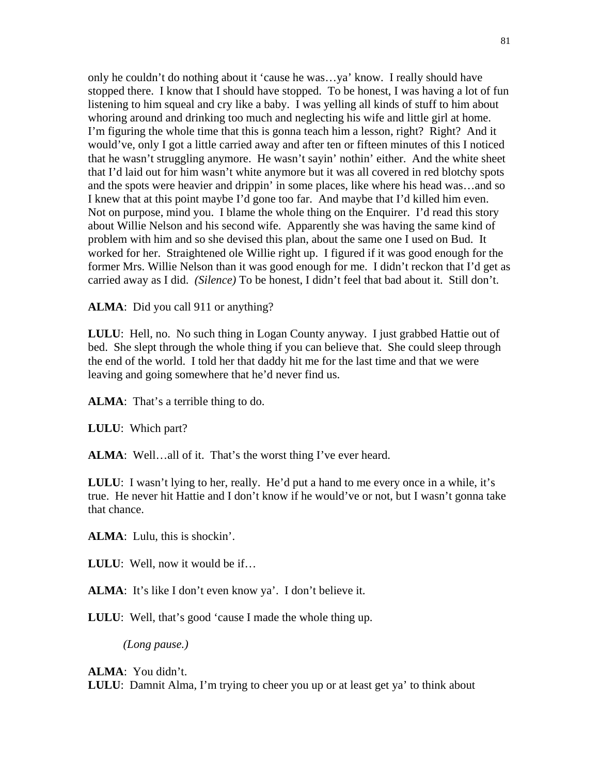only he couldn't do nothing about it 'cause he was…ya' know. I really should have stopped there. I know that I should have stopped. To be honest, I was having a lot of fun listening to him squeal and cry like a baby. I was yelling all kinds of stuff to him about whoring around and drinking too much and neglecting his wife and little girl at home. I'm figuring the whole time that this is gonna teach him a lesson, right? Right? And it would've, only I got a little carried away and after ten or fifteen minutes of this I noticed that he wasn't struggling anymore. He wasn't sayin' nothin' either. And the white sheet that I'd laid out for him wasn't white anymore but it was all covered in red blotchy spots and the spots were heavier and drippin' in some places, like where his head was…and so I knew that at this point maybe I'd gone too far. And maybe that I'd killed him even. Not on purpose, mind you. I blame the whole thing on the Enquirer. I'd read this story about Willie Nelson and his second wife. Apparently she was having the same kind of problem with him and so she devised this plan, about the same one I used on Bud. It worked for her. Straightened ole Willie right up. I figured if it was good enough for the former Mrs. Willie Nelson than it was good enough for me. I didn't reckon that I'd get as carried away as I did. *(Silence)* To be honest, I didn't feel that bad about it. Still don't.

ALMA: Did you call 911 or anything?

**LULU**: Hell, no. No such thing in Logan County anyway. I just grabbed Hattie out of bed. She slept through the whole thing if you can believe that. She could sleep through the end of the world. I told her that daddy hit me for the last time and that we were leaving and going somewhere that he'd never find us.

**ALMA**: That's a terrible thing to do.

**LULU**: Which part?

ALMA: Well...all of it. That's the worst thing I've ever heard.

**LULU**: I wasn't lying to her, really. He'd put a hand to me every once in a while, it's true. He never hit Hattie and I don't know if he would've or not, but I wasn't gonna take that chance.

**ALMA**: Lulu, this is shockin'.

**LULU**: Well, now it would be if…

**ALMA**: It's like I don't even know ya'. I don't believe it.

**LULU**: Well, that's good 'cause I made the whole thing up.

*(Long pause.)* 

**ALMA**: You didn't.

**LULU**: Damnit Alma, I'm trying to cheer you up or at least get ya' to think about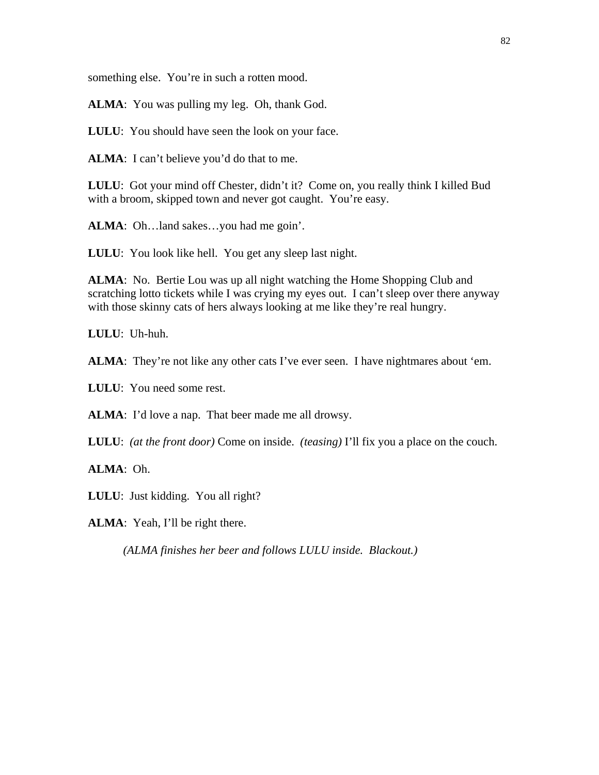something else. You're in such a rotten mood.

**ALMA**: You was pulling my leg. Oh, thank God.

**LULU:** You should have seen the look on your face.

ALMA: I can't believe you'd do that to me.

**LULU**: Got your mind off Chester, didn't it? Come on, you really think I killed Bud with a broom, skipped town and never got caught. You're easy.

**ALMA**: Oh…land sakes…you had me goin'.

**LULU**: You look like hell. You get any sleep last night.

**ALMA**: No. Bertie Lou was up all night watching the Home Shopping Club and scratching lotto tickets while I was crying my eyes out. I can't sleep over there anyway with those skinny cats of hers always looking at me like they're real hungry.

**LULU**: Uh-huh.

**ALMA**: They're not like any other cats I've ever seen. I have nightmares about 'em.

**LULU**: You need some rest.

**ALMA**: I'd love a nap. That beer made me all drowsy.

**LULU**: *(at the front door)* Come on inside. *(teasing)* I'll fix you a place on the couch.

**ALMA**: Oh.

**LULU**: Just kidding. You all right?

**ALMA**: Yeah, I'll be right there.

*(ALMA finishes her beer and follows LULU inside. Blackout.)*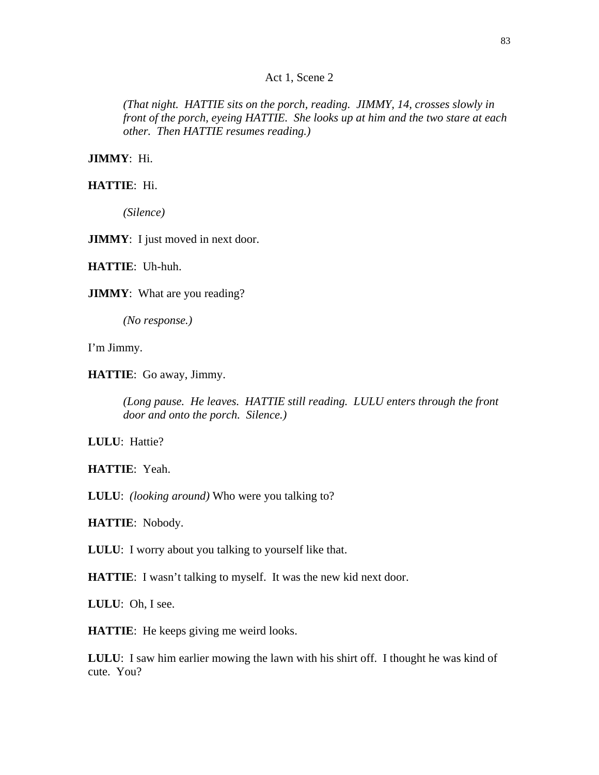### Act 1, Scene 2

*(That night. HATTIE sits on the porch, reading. JIMMY, 14, crosses slowly in front of the porch, eyeing HATTIE. She looks up at him and the two stare at each other. Then HATTIE resumes reading.)* 

**JIMMY**: Hi.

**HATTIE**: Hi.

*(Silence)* 

**JIMMY**: I just moved in next door.

**HATTIE**: Uh-huh.

**JIMMY**: What are you reading?

*(No response.)* 

I'm Jimmy.

**HATTIE**: Go away, Jimmy.

*(Long pause. He leaves. HATTIE still reading. LULU enters through the front door and onto the porch. Silence.)* 

**LULU**: Hattie?

**HATTIE**: Yeah.

**LULU**: *(looking around)* Who were you talking to?

**HATTIE**: Nobody.

**LULU**: I worry about you talking to yourself like that.

**HATTIE:** I wasn't talking to myself. It was the new kid next door.

**LULU**: Oh, I see.

**HATTIE**: He keeps giving me weird looks.

**LULU**: I saw him earlier mowing the lawn with his shirt off. I thought he was kind of cute. You?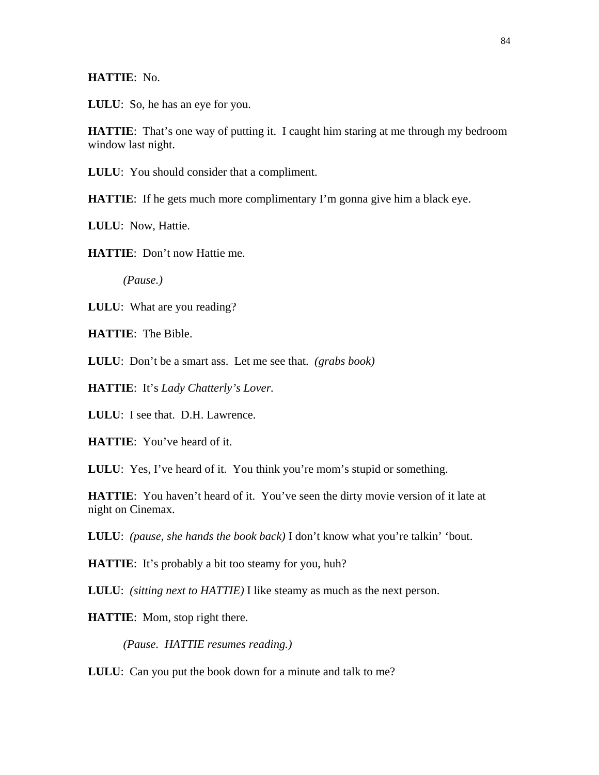## **HATTIE**: No.

**LULU**: So, he has an eye for you.

**HATTIE:** That's one way of putting it. I caught him staring at me through my bedroom window last night.

**LULU**: You should consider that a compliment.

**HATTIE:** If he gets much more complimentary I'm gonna give him a black eye.

**LULU**: Now, Hattie.

**HATTIE**: Don't now Hattie me.

*(Pause.)* 

**LULU**: What are you reading?

**HATTIE**: The Bible.

**LULU**: Don't be a smart ass. Let me see that. *(grabs book)*

**HATTIE**: It's *Lady Chatterly's Lover.*

**LULU**: I see that. D.H. Lawrence.

**HATTIE**: You've heard of it.

LULU: Yes, I've heard of it. You think you're mom's stupid or something.

**HATTIE**: You haven't heard of it. You've seen the dirty movie version of it late at night on Cinemax.

**LULU**: *(pause, she hands the book back)* I don't know what you're talkin' 'bout.

**HATTIE:** It's probably a bit too steamy for you, huh?

**LULU**: *(sitting next to HATTIE)* I like steamy as much as the next person.

**HATTIE**: Mom, stop right there.

*(Pause. HATTIE resumes reading.)* 

**LULU**: Can you put the book down for a minute and talk to me?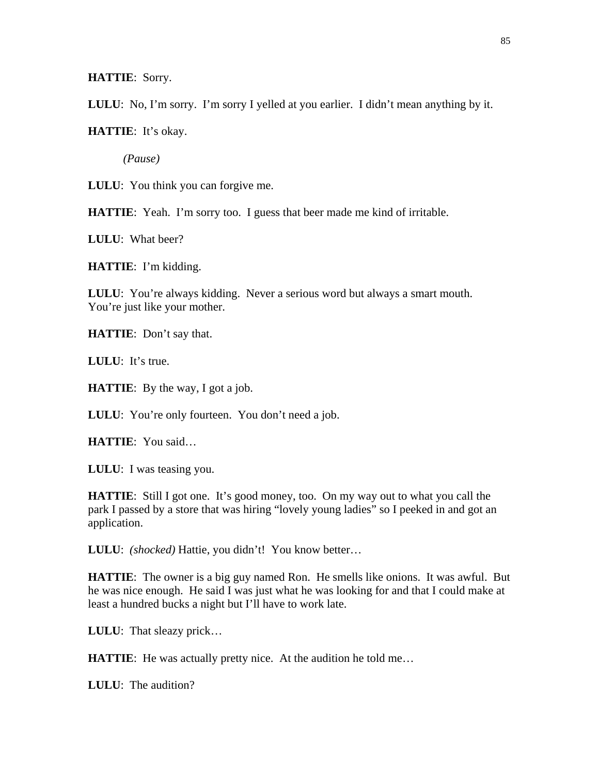**HATTIE**: Sorry.

**LULU**: No, I'm sorry. I'm sorry I yelled at you earlier. I didn't mean anything by it.

**HATTIE**: It's okay.

*(Pause)* 

**LULU**: You think you can forgive me.

**HATTIE:** Yeah. I'm sorry too. I guess that beer made me kind of irritable.

**LULU**: What beer?

**HATTIE**: I'm kidding.

**LULU**: You're always kidding. Never a serious word but always a smart mouth. You're just like your mother.

**HATTIE**: Don't say that.

**LULU**: It's true.

**HATTIE**: By the way, I got a job.

**LULU:** You're only fourteen. You don't need a job.

**HATTIE**: You said…

**LULU**: I was teasing you.

**HATTIE**: Still I got one. It's good money, too. On my way out to what you call the park I passed by a store that was hiring "lovely young ladies" so I peeked in and got an application.

**LULU**: *(shocked)* Hattie, you didn't! You know better…

**HATTIE**: The owner is a big guy named Ron. He smells like onions. It was awful. But he was nice enough. He said I was just what he was looking for and that I could make at least a hundred bucks a night but I'll have to work late.

**LULU**: That sleazy prick…

**HATTIE:** He was actually pretty nice. At the audition he told me...

**LULU**: The audition?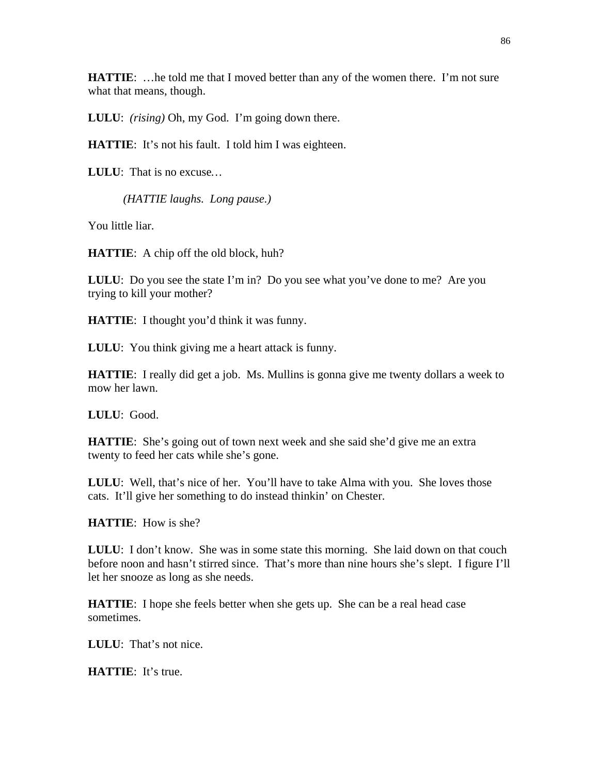**HATTIE:** ... he told me that I moved better than any of the women there. I'm not sure what that means, though.

**LULU**: *(rising)* Oh, my God. I'm going down there.

**HATTIE:** It's not his fault. I told him I was eighteen.

**LULU**: That is no excuse*…* 

*(HATTIE laughs. Long pause.)*

You little liar.

**HATTIE**: A chip off the old block, huh?

**LULU**: Do you see the state I'm in? Do you see what you've done to me? Are you trying to kill your mother?

**HATTIE**: I thought you'd think it was funny.

**LULU**: You think giving me a heart attack is funny.

**HATTIE**: I really did get a job. Ms. Mullins is gonna give me twenty dollars a week to mow her lawn.

**LULU**: Good.

**HATTIE:** She's going out of town next week and she said she'd give me an extra twenty to feed her cats while she's gone.

**LULU**: Well, that's nice of her. You'll have to take Alma with you. She loves those cats. It'll give her something to do instead thinkin' on Chester.

**HATTIE**: How is she?

**LULU**: I don't know. She was in some state this morning. She laid down on that couch before noon and hasn't stirred since. That's more than nine hours she's slept. I figure I'll let her snooze as long as she needs.

**HATTIE**: I hope she feels better when she gets up. She can be a real head case sometimes.

**LULU**: That's not nice.

**HATTIE**: It's true.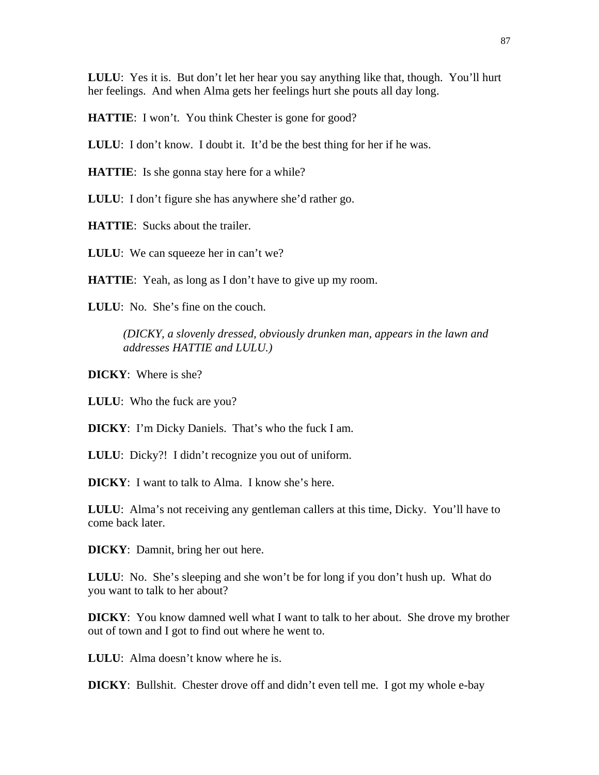**LULU**: Yes it is. But don't let her hear you say anything like that, though. You'll hurt her feelings. And when Alma gets her feelings hurt she pouts all day long.

**HATTIE:** I won't. You think Chester is gone for good?

**LULU**: I don't know. I doubt it. It'd be the best thing for her if he was.

**HATTIE**: Is she gonna stay here for a while?

**LULU**: I don't figure she has anywhere she'd rather go.

**HATTIE**: Sucks about the trailer.

LULU: We can squeeze her in can't we?

**HATTIE:** Yeah, as long as I don't have to give up my room.

**LULU**: No. She's fine on the couch.

*(DICKY, a slovenly dressed, obviously drunken man, appears in the lawn and addresses HATTIE and LULU.)*

**DICKY**: Where is she?

**LULU**: Who the fuck are you?

**DICKY**: I'm Dicky Daniels. That's who the fuck I am.

**LULU**: Dicky?! I didn't recognize you out of uniform.

**DICKY**: I want to talk to Alma. I know she's here.

**LULU**: Alma's not receiving any gentleman callers at this time, Dicky. You'll have to come back later.

**DICKY**: Damnit, bring her out here.

**LULU**: No. She's sleeping and she won't be for long if you don't hush up. What do you want to talk to her about?

**DICKY**: You know damned well what I want to talk to her about. She drove my brother out of town and I got to find out where he went to.

**LULU**: Alma doesn't know where he is.

**DICKY**: Bullshit. Chester drove off and didn't even tell me. I got my whole e-bay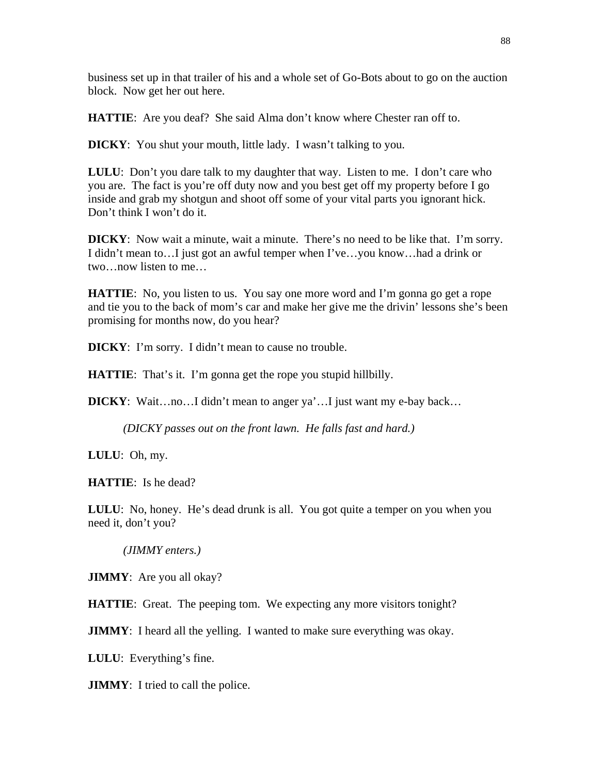business set up in that trailer of his and a whole set of Go-Bots about to go on the auction block. Now get her out here.

**HATTIE:** Are you deaf? She said Alma don't know where Chester ran off to.

**DICKY**: You shut your mouth, little lady. I wasn't talking to you.

**LULU**: Don't you dare talk to my daughter that way. Listen to me. I don't care who you are. The fact is you're off duty now and you best get off my property before I go inside and grab my shotgun and shoot off some of your vital parts you ignorant hick. Don't think I won't do it.

**DICKY**: Now wait a minute, wait a minute. There's no need to be like that. I'm sorry. I didn't mean to…I just got an awful temper when I've…you know…had a drink or two…now listen to me…

**HATTIE**: No, you listen to us. You say one more word and I'm gonna go get a rope and tie you to the back of mom's car and make her give me the drivin' lessons she's been promising for months now, do you hear?

**DICKY**: I'm sorry. I didn't mean to cause no trouble.

**HATTIE**: That's it. I'm gonna get the rope you stupid hillbilly.

**DICKY**: Wait…no…I didn't mean to anger ya'…I just want my e-bay back…

*(DICKY passes out on the front lawn. He falls fast and hard.)* 

**LULU**: Oh, my.

**HATTIE**: Is he dead?

**LULU**: No, honey. He's dead drunk is all. You got quite a temper on you when you need it, don't you?

*(JIMMY enters.)* 

**JIMMY**: Are you all okay?

**HATTIE**: Great. The peeping tom. We expecting any more visitors tonight?

**JIMMY**: I heard all the yelling. I wanted to make sure everything was okay.

**LULU**: Everything's fine.

**JIMMY**: I tried to call the police.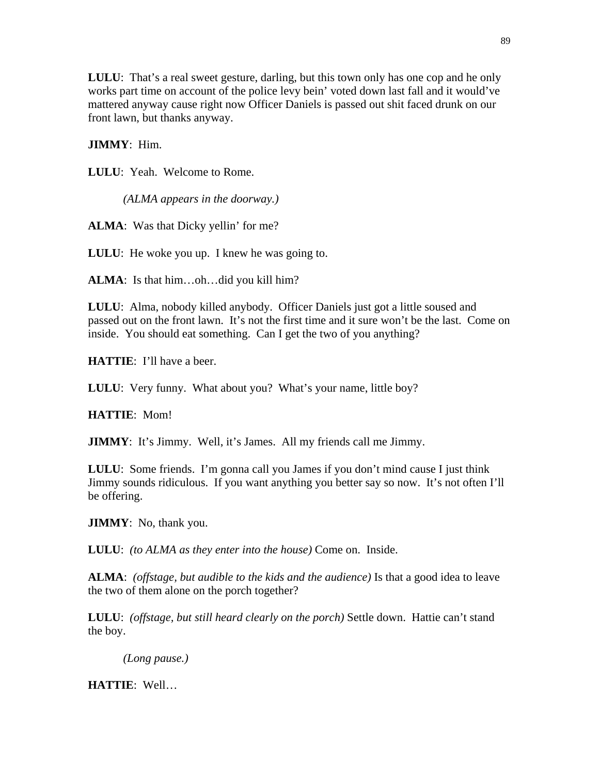**LULU**: That's a real sweet gesture, darling, but this town only has one cop and he only works part time on account of the police levy bein' voted down last fall and it would've mattered anyway cause right now Officer Daniels is passed out shit faced drunk on our front lawn, but thanks anyway.

## **JIMMY**: Him.

**LULU**: Yeah. Welcome to Rome.

*(ALMA appears in the doorway.)* 

**ALMA**: Was that Dicky yellin' for me?

**LULU**: He woke you up. I knew he was going to.

**ALMA**: Is that him…oh…did you kill him?

**LULU**: Alma, nobody killed anybody. Officer Daniels just got a little soused and passed out on the front lawn. It's not the first time and it sure won't be the last. Come on inside. You should eat something. Can I get the two of you anything?

**HATTIE**: I'll have a beer.

LULU: Very funny. What about you? What's your name, little boy?

**HATTIE**: Mom!

**JIMMY**: It's Jimmy. Well, it's James. All my friends call me Jimmy.

**LULU**: Some friends. I'm gonna call you James if you don't mind cause I just think Jimmy sounds ridiculous. If you want anything you better say so now. It's not often I'll be offering.

**JIMMY**: No, thank you.

**LULU**: *(to ALMA as they enter into the house)* Come on. Inside.

**ALMA**: *(offstage, but audible to the kids and the audience)* Is that a good idea to leave the two of them alone on the porch together?

**LULU**: *(offstage, but still heard clearly on the porch)* Settle down. Hattie can't stand the boy.

*(Long pause.)* 

**HATTIE**: Well…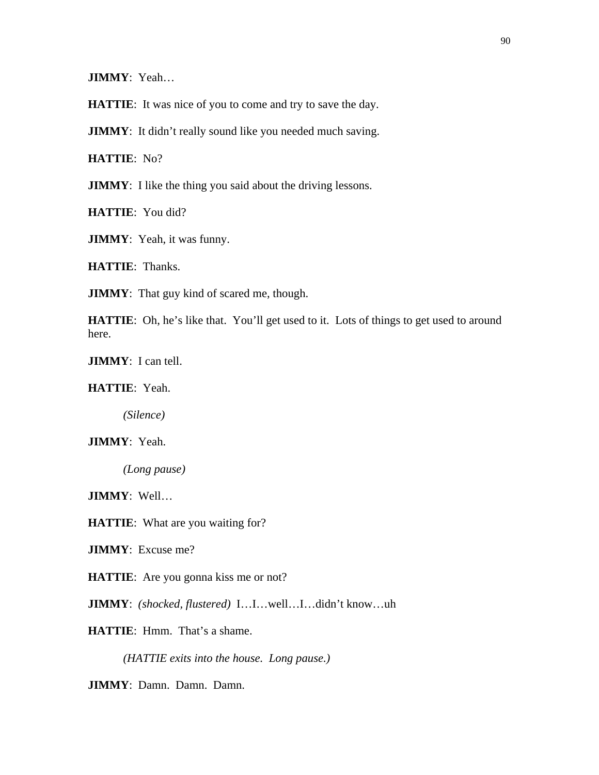**JIMMY**: Yeah…

**HATTIE**: It was nice of you to come and try to save the day.

**JIMMY**: It didn't really sound like you needed much saving.

**HATTIE**: No?

**JIMMY**: I like the thing you said about the driving lessons.

**HATTIE**: You did?

**JIMMY**: Yeah, it was funny.

**HATTIE**: Thanks.

**JIMMY**: That guy kind of scared me, though.

HATTIE: Oh, he's like that. You'll get used to it. Lots of things to get used to around here.

**JIMMY**: I can tell.

**HATTIE**: Yeah.

*(Silence)* 

**JIMMY**: Yeah.

*(Long pause)* 

**JIMMY**: Well…

**HATTIE**: What are you waiting for?

**JIMMY**: Excuse me?

**HATTIE**: Are you gonna kiss me or not?

**JIMMY**: *(shocked, flustered)* I…I…well…I…didn't know…uh

**HATTIE**: Hmm. That's a shame.

*(HATTIE exits into the house. Long pause.)* 

**JIMMY**: Damn. Damn. Damn.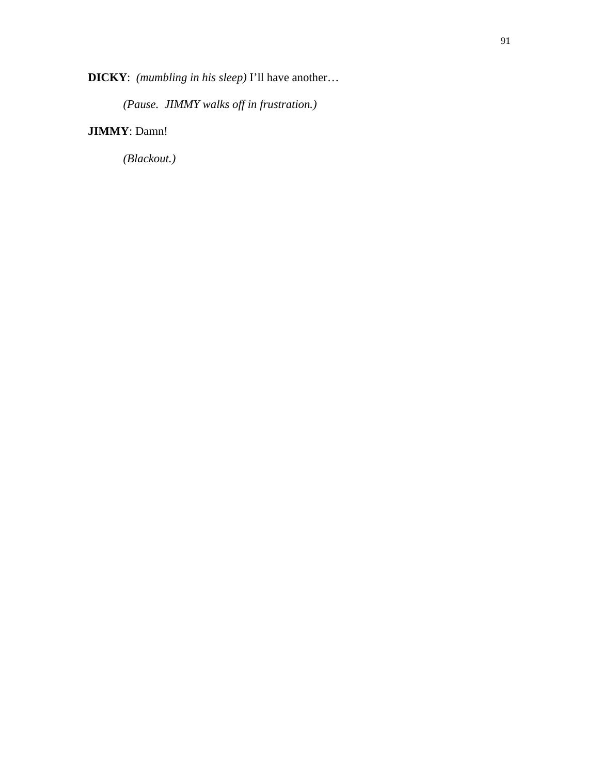**DICKY**: *(mumbling in his sleep)* I'll have another…

*(Pause. JIMMY walks off in frustration.)* 

# **JIMMY**: Damn!

*(Blackout.)*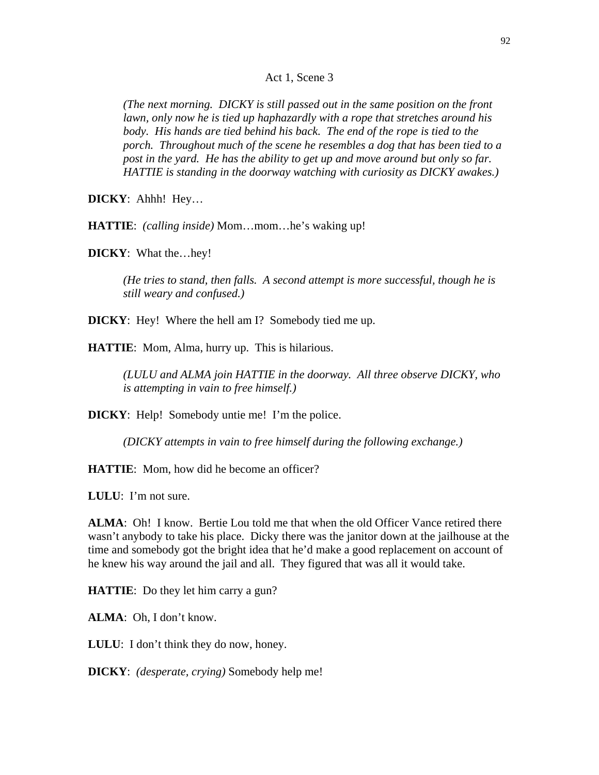#### Act 1, Scene 3

*(The next morning. DICKY is still passed out in the same position on the front lawn, only now he is tied up haphazardly with a rope that stretches around his body. His hands are tied behind his back. The end of the rope is tied to the porch. Throughout much of the scene he resembles a dog that has been tied to a post in the yard. He has the ability to get up and move around but only so far. HATTIE is standing in the doorway watching with curiosity as DICKY awakes.)* 

**DICKY**: Ahhh! Hey…

**HATTIE**: *(calling inside)* Mom…mom…he's waking up!

**DICKY**: What the…hey!

*(He tries to stand, then falls. A second attempt is more successful, though he is still weary and confused.)* 

**DICKY**: Hey! Where the hell am I? Somebody tied me up.

**HATTIE**: Mom, Alma, hurry up. This is hilarious.

*(LULU and ALMA join HATTIE in the doorway. All three observe DICKY, who is attempting in vain to free himself.)* 

**DICKY:** Help! Somebody untie me! I'm the police.

*(DICKY attempts in vain to free himself during the following exchange.)* 

**HATTIE:** Mom, how did he become an officer?

**LULU**: I'm not sure.

**ALMA**: Oh! I know. Bertie Lou told me that when the old Officer Vance retired there wasn't anybody to take his place. Dicky there was the janitor down at the jailhouse at the time and somebody got the bright idea that he'd make a good replacement on account of he knew his way around the jail and all. They figured that was all it would take.

**HATTIE**: Do they let him carry a gun?

**ALMA**: Oh, I don't know.

**LULU**: I don't think they do now, honey.

**DICKY**: *(desperate, crying)* Somebody help me!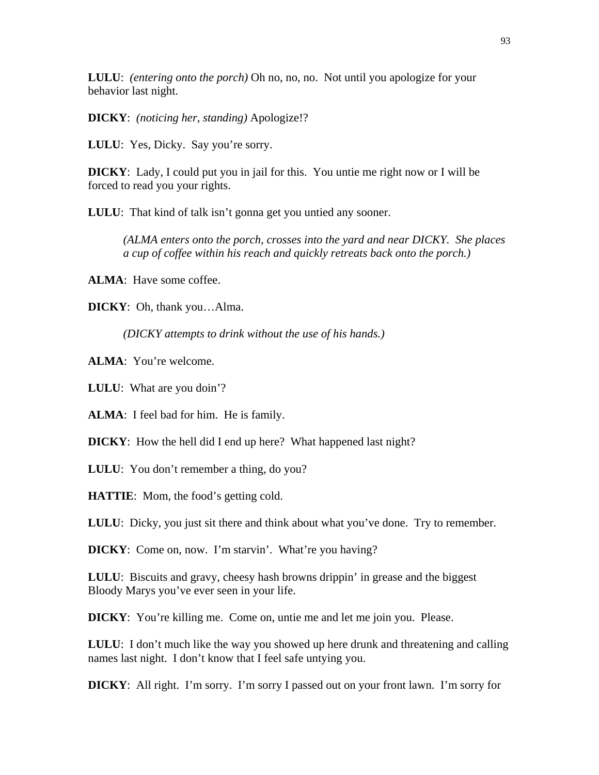**LULU**: *(entering onto the porch)* Oh no, no, no. Not until you apologize for your behavior last night.

**DICKY**: *(noticing her, standing)* Apologize!?

**LULU**: Yes, Dicky. Say you're sorry.

**DICKY**: Lady, I could put you in jail for this. You untie me right now or I will be forced to read you your rights.

**LULU**: That kind of talk isn't gonna get you untied any sooner.

*(ALMA enters onto the porch, crosses into the yard and near DICKY. She places a cup of coffee within his reach and quickly retreats back onto the porch.)* 

**ALMA**: Have some coffee.

**DICKY**: Oh, thank you…Alma.

*(DICKY attempts to drink without the use of his hands.)* 

**ALMA**: You're welcome.

**LULU**: What are you doin'?

**ALMA**: I feel bad for him. He is family.

**DICKY**: How the hell did I end up here? What happened last night?

**LULU**: You don't remember a thing, do you?

**HATTIE**: Mom, the food's getting cold.

**LULU**: Dicky, you just sit there and think about what you've done. Try to remember.

**DICKY**: Come on, now. I'm starvin'. What're you having?

**LULU**: Biscuits and gravy, cheesy hash browns drippin' in grease and the biggest Bloody Marys you've ever seen in your life.

**DICKY**: You're killing me. Come on, untie me and let me join you. Please.

**LULU**: I don't much like the way you showed up here drunk and threatening and calling names last night. I don't know that I feel safe untying you.

**DICKY**: All right. I'm sorry. I'm sorry I passed out on your front lawn. I'm sorry for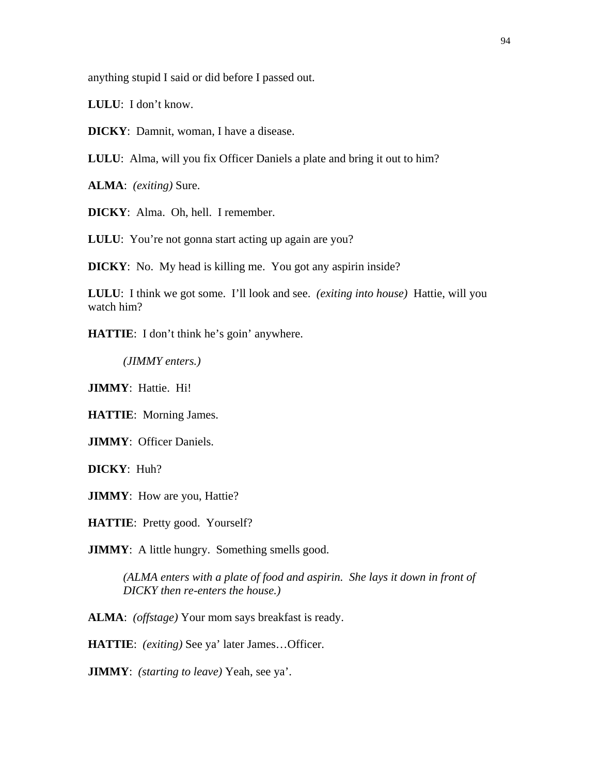anything stupid I said or did before I passed out.

**LULU**: I don't know.

**DICKY**: Damnit, woman, I have a disease.

**LULU**: Alma, will you fix Officer Daniels a plate and bring it out to him?

**ALMA**: *(exiting)* Sure.

**DICKY**: Alma. Oh, hell. I remember.

LULU: You're not gonna start acting up again are you?

**DICKY**: No. My head is killing me. You got any aspirin inside?

**LULU**: I think we got some. I'll look and see. *(exiting into house)* Hattie, will you watch him?

**HATTIE**: I don't think he's goin' anywhere.

*(JIMMY enters.)* 

**JIMMY**: Hattie. Hi!

**HATTIE**: Morning James.

**JIMMY**: Officer Daniels.

**DICKY**: Huh?

**JIMMY**: How are you, Hattie?

**HATTIE**: Pretty good. Yourself?

**JIMMY**: A little hungry. Something smells good.

*(ALMA enters with a plate of food and aspirin. She lays it down in front of DICKY then re-enters the house.)* 

**ALMA**: *(offstage)* Your mom says breakfast is ready.

**HATTIE**: *(exiting)* See ya' later James…Officer.

**JIMMY**: *(starting to leave)* Yeah, see ya'.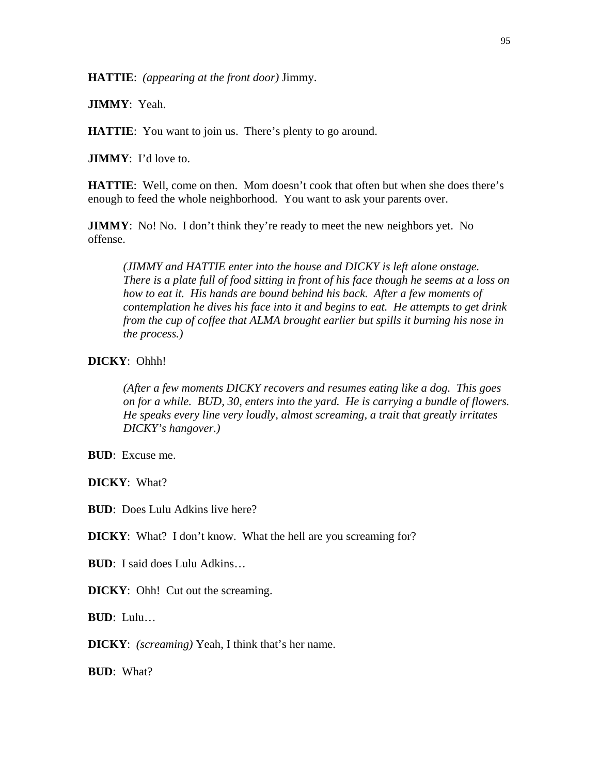**HATTIE**: *(appearing at the front door)* Jimmy.

**JIMMY**: Yeah.

**HATTIE:** You want to join us. There's plenty to go around.

**JIMMY**: I'd love to.

**HATTIE:** Well, come on then. Mom doesn't cook that often but when she does there's enough to feed the whole neighborhood. You want to ask your parents over.

**JIMMY**: No! No. I don't think they're ready to meet the new neighbors yet. No offense.

*(JIMMY and HATTIE enter into the house and DICKY is left alone onstage. There is a plate full of food sitting in front of his face though he seems at a loss on how to eat it. His hands are bound behind his back. After a few moments of contemplation he dives his face into it and begins to eat. He attempts to get drink from the cup of coffee that ALMA brought earlier but spills it burning his nose in the process.)* 

## **DICKY**: Ohhh!

*(After a few moments DICKY recovers and resumes eating like a dog. This goes on for a while. BUD, 30, enters into the yard. He is carrying a bundle of flowers. He speaks every line very loudly, almost screaming, a trait that greatly irritates DICKY's hangover.)* 

**BUD**: Excuse me.

**DICKY**: What?

**BUD**: Does Lulu Adkins live here?

**DICKY**: What? I don't know. What the hell are you screaming for?

**BUD**: I said does Lulu Adkins…

**DICKY**: Ohh! Cut out the screaming.

**BUD**: Lulu…

**DICKY**: *(screaming)* Yeah, I think that's her name.

**BUD**: What?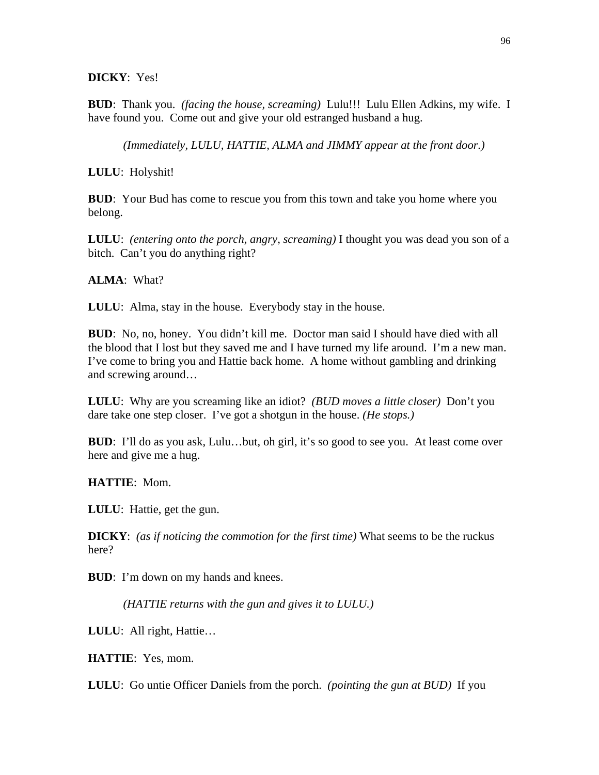### **DICKY**: Yes!

**BUD**: Thank you. *(facing the house, screaming)* Lulu!!! Lulu Ellen Adkins, my wife. I have found you. Come out and give your old estranged husband a hug.

*(Immediately, LULU, HATTIE, ALMA and JIMMY appear at the front door.)* 

**LULU**: Holyshit!

**BUD**: Your Bud has come to rescue you from this town and take you home where you belong.

**LULU**: *(entering onto the porch, angry, screaming)* I thought you was dead you son of a bitch. Can't you do anything right?

**ALMA**: What?

**LULU**: Alma, stay in the house. Everybody stay in the house.

**BUD**: No, no, honey. You didn't kill me. Doctor man said I should have died with all the blood that I lost but they saved me and I have turned my life around. I'm a new man. I've come to bring you and Hattie back home. A home without gambling and drinking and screwing around…

**LULU**: Why are you screaming like an idiot? *(BUD moves a little closer)* Don't you dare take one step closer. I've got a shotgun in the house. *(He stops.)* 

**BUD**: I'll do as you ask, Lulu…but, oh girl, it's so good to see you. At least come over here and give me a hug.

**HATTIE**: Mom.

**LULU**: Hattie, get the gun.

**DICKY**: *(as if noticing the commotion for the first time)* What seems to be the ruckus here?

**BUD**: I'm down on my hands and knees.

*(HATTIE returns with the gun and gives it to LULU.)* 

**LULU**: All right, Hattie…

**HATTIE**: Yes, mom.

**LULU**: Go untie Officer Daniels from the porch. *(pointing the gun at BUD)* If you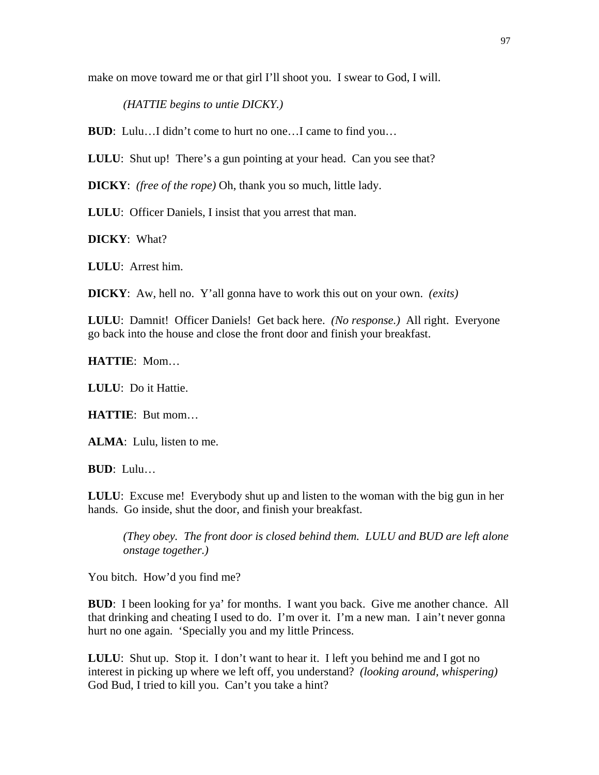make on move toward me or that girl I'll shoot you. I swear to God, I will.

*(HATTIE begins to untie DICKY.)* 

**BUD**: Lulu...I didn't come to hurt no one...I came to find you...

**LULU:** Shut up! There's a gun pointing at your head. Can you see that?

**DICKY**: *(free of the rope)* Oh, thank you so much, little lady.

**LULU**: Officer Daniels, I insist that you arrest that man.

**DICKY**: What?

**LULU**: Arrest him.

**DICKY**: Aw, hell no. Y'all gonna have to work this out on your own. *(exits)*

**LULU**: Damnit! Officer Daniels! Get back here. *(No response.)* All right. Everyone go back into the house and close the front door and finish your breakfast.

**HATTIE**: Mom…

**LULU**: Do it Hattie.

**HATTIE**: But mom…

**ALMA**: Lulu, listen to me.

**BUD**: Lulu…

**LULU**: Excuse me! Everybody shut up and listen to the woman with the big gun in her hands. Go inside, shut the door, and finish your breakfast.

*(They obey. The front door is closed behind them. LULU and BUD are left alone onstage together.)* 

You bitch. How'd you find me?

**BUD**: I been looking for ya' for months. I want you back. Give me another chance. All that drinking and cheating I used to do. I'm over it. I'm a new man. I ain't never gonna hurt no one again. 'Specially you and my little Princess.

**LULU**: Shut up. Stop it. I don't want to hear it. I left you behind me and I got no interest in picking up where we left off, you understand? *(looking around, whispering)* God Bud, I tried to kill you. Can't you take a hint?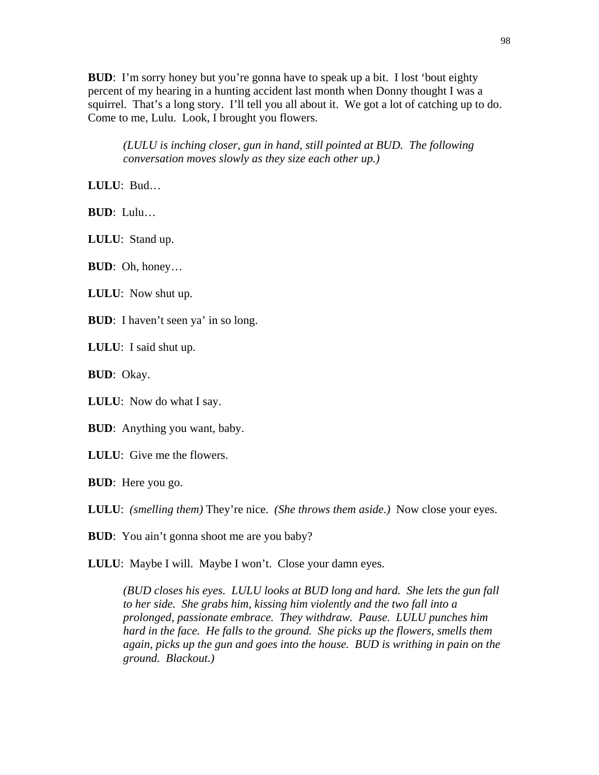**BUD**: I'm sorry honey but you're gonna have to speak up a bit. I lost 'bout eighty percent of my hearing in a hunting accident last month when Donny thought I was a squirrel. That's a long story. I'll tell you all about it. We got a lot of catching up to do. Come to me, Lulu. Look, I brought you flowers.

*(LULU is inching closer, gun in hand, still pointed at BUD. The following conversation moves slowly as they size each other up.)* 

**LULU**: Bud…

**BUD**: Lulu…

**LULU**: Stand up.

**BUD**: Oh, honey…

**LULU**: Now shut up.

**BUD**: I haven't seen ya' in so long.

**LULU**: I said shut up.

**BUD**: Okay.

**LULU**: Now do what I say.

**BUD**: Anything you want, baby.

**LULU**: Give me the flowers.

**BUD**: Here you go.

**LULU**: *(smelling them)* They're nice. *(She throws them aside.)* Now close your eyes.

**BUD**: You ain't gonna shoot me are you baby?

**LULU**: Maybe I will. Maybe I won't. Close your damn eyes.

*(BUD closes his eyes. LULU looks at BUD long and hard. She lets the gun fall to her side. She grabs him, kissing him violently and the two fall into a prolonged, passionate embrace. They withdraw. Pause. LULU punches him hard in the face. He falls to the ground. She picks up the flowers, smells them again, picks up the gun and goes into the house. BUD is writhing in pain on the ground. Blackout.)*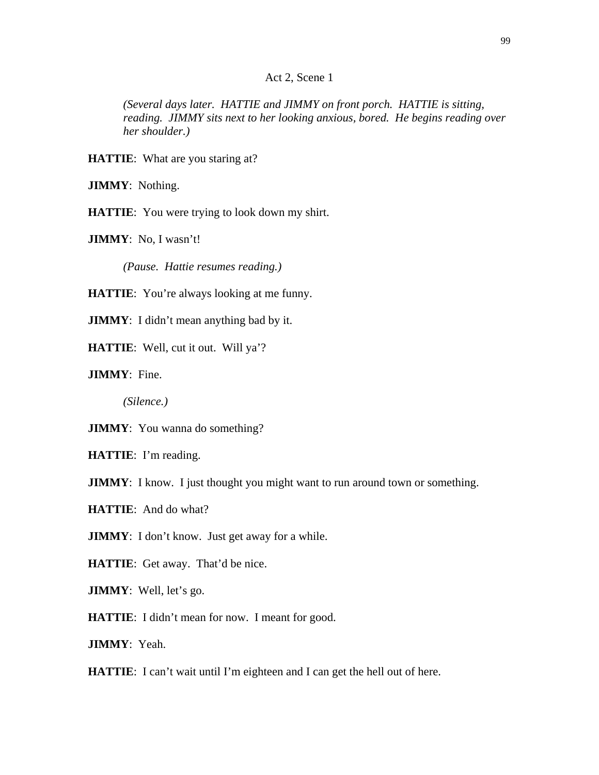### Act 2, Scene 1

*(Several days later. HATTIE and JIMMY on front porch. HATTIE is sitting, reading. JIMMY sits next to her looking anxious, bored. He begins reading over her shoulder.)* 

**HATTIE:** What are you staring at?

**JIMMY**: Nothing.

**HATTIE**: You were trying to look down my shirt.

**JIMMY**: No, I wasn't!

*(Pause. Hattie resumes reading.)* 

**HATTIE:** You're always looking at me funny.

**JIMMY**: I didn't mean anything bad by it.

**HATTIE:** Well, cut it out. Will ya'?

**JIMMY**: Fine.

*(Silence.)*

**JIMMY**: You wanna do something?

**HATTIE**: I'm reading.

**JIMMY**: I know. I just thought you might want to run around town or something.

**HATTIE**: And do what?

**JIMMY**: I don't know. Just get away for a while.

**HATTIE**: Get away. That'd be nice.

**JIMMY**: Well, let's go.

**HATTIE**: I didn't mean for now. I meant for good.

**JIMMY**: Yeah.

**HATTIE**: I can't wait until I'm eighteen and I can get the hell out of here.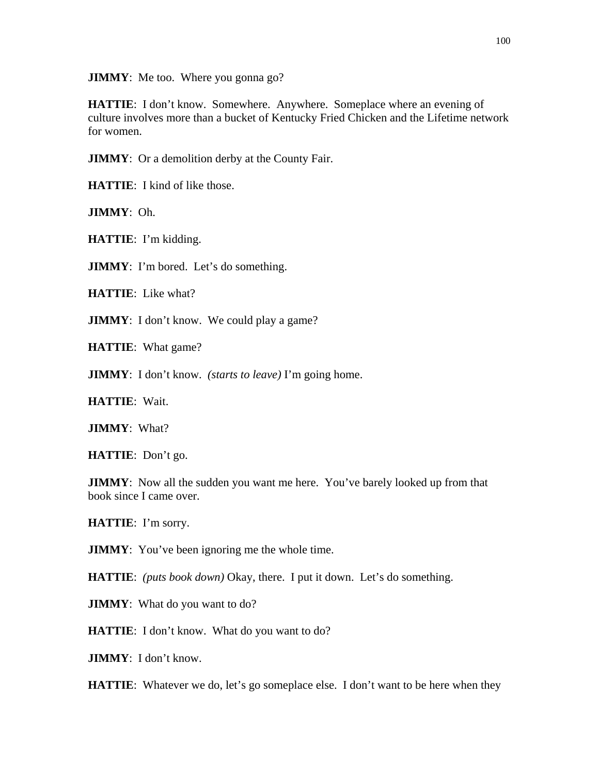**JIMMY**: Me too. Where you gonna go?

**HATTIE**: I don't know. Somewhere. Anywhere. Someplace where an evening of culture involves more than a bucket of Kentucky Fried Chicken and the Lifetime network for women.

**JIMMY**: Or a demolition derby at the County Fair.

**HATTIE**: I kind of like those.

**JIMMY**: Oh.

**HATTIE**: I'm kidding.

**JIMMY**: I'm bored. Let's do something.

**HATTIE**: Like what?

**JIMMY**: I don't know. We could play a game?

**HATTIE**: What game?

**JIMMY**: I don't know. *(starts to leave)* I'm going home.

**HATTIE**: Wait.

**JIMMY**: What?

**HATTIE**: Don't go.

**JIMMY**: Now all the sudden you want me here. You've barely looked up from that book since I came over.

**HATTIE**: I'm sorry.

**JIMMY**: You've been ignoring me the whole time.

**HATTIE**: *(puts book down)* Okay, there. I put it down. Let's do something.

**JIMMY**: What do you want to do?

**HATTIE**: I don't know. What do you want to do?

**JIMMY**: I don't know.

**HATTIE**: Whatever we do, let's go someplace else. I don't want to be here when they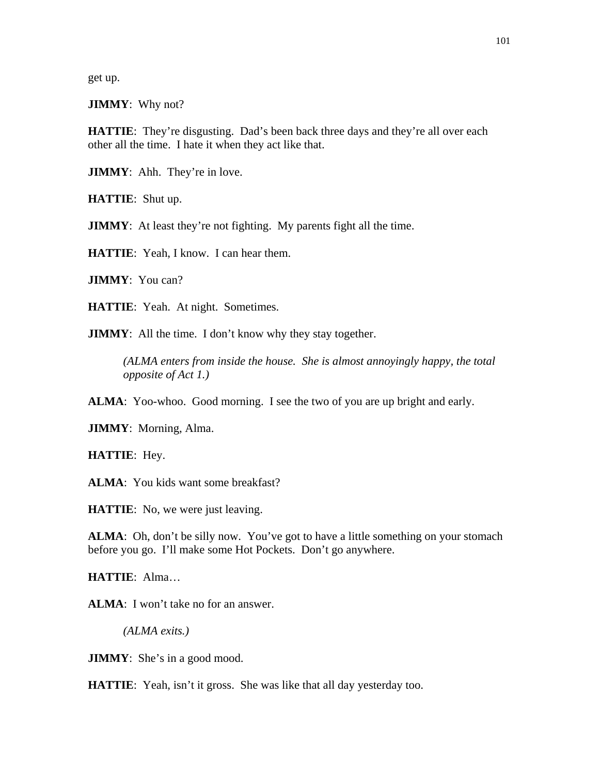get up.

**JIMMY**: Why not?

**HATTIE:** They're disgusting. Dad's been back three days and they're all over each other all the time. I hate it when they act like that.

**JIMMY**: Ahh. They're in love.

**HATTIE**: Shut up.

**JIMMY**: At least they're not fighting. My parents fight all the time.

**HATTIE**: Yeah, I know. I can hear them.

**JIMMY**: You can?

**HATTIE**: Yeah. At night. Sometimes.

**JIMMY**: All the time. I don't know why they stay together.

*(ALMA enters from inside the house. She is almost annoyingly happy, the total opposite of Act 1.)* 

**ALMA**: Yoo-whoo. Good morning. I see the two of you are up bright and early.

**JIMMY**: Morning, Alma.

**HATTIE**: Hey.

ALMA: You kids want some breakfast?

**HATTIE**: No, we were just leaving.

**ALMA**: Oh, don't be silly now. You've got to have a little something on your stomach before you go. I'll make some Hot Pockets. Don't go anywhere.

**HATTIE**: Alma…

**ALMA**: I won't take no for an answer.

*(ALMA exits.)* 

**JIMMY**: She's in a good mood.

**HATTIE**: Yeah, isn't it gross. She was like that all day yesterday too.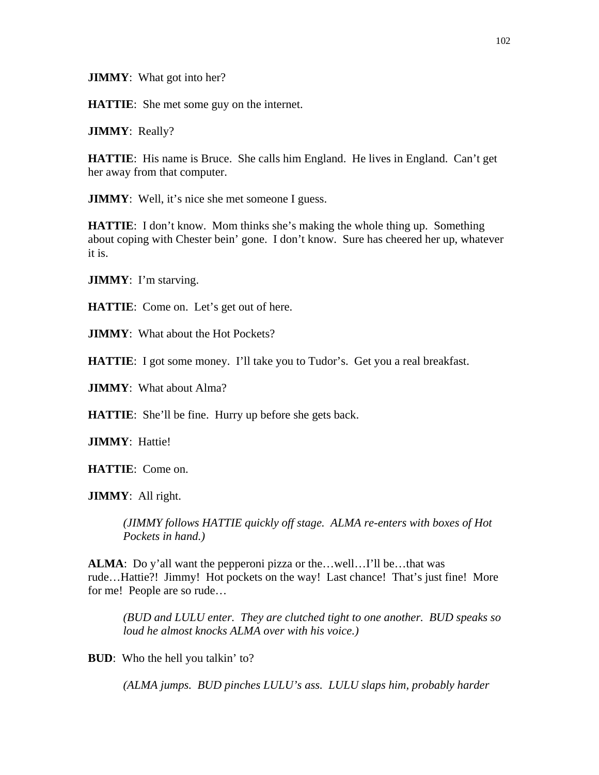**JIMMY**: What got into her?

**HATTIE:** She met some guy on the internet.

**JIMMY**: Really?

**HATTIE:** His name is Bruce. She calls him England. He lives in England. Can't get her away from that computer.

**JIMMY**: Well, it's nice she met someone I guess.

**HATTIE:** I don't know. Mom thinks she's making the whole thing up. Something about coping with Chester bein' gone. I don't know. Sure has cheered her up, whatever it is.

**JIMMY**: I'm starving.

**HATTIE**: Come on. Let's get out of here.

**JIMMY**: What about the Hot Pockets?

**HATTIE**: I got some money. I'll take you to Tudor's. Get you a real breakfast.

**JIMMY**: What about Alma?

**HATTIE:** She'll be fine. Hurry up before she gets back.

**JIMMY**: Hattie!

**HATTIE**: Come on.

**JIMMY**: All right.

*(JIMMY follows HATTIE quickly off stage. ALMA re-enters with boxes of Hot Pockets in hand.)* 

**ALMA**: Do y'all want the pepperoni pizza or the...well...I'll be...that was rude…Hattie?! Jimmy! Hot pockets on the way! Last chance! That's just fine! More for me! People are so rude…

*(BUD and LULU enter. They are clutched tight to one another. BUD speaks so loud he almost knocks ALMA over with his voice.)* 

**BUD**: Who the hell you talkin' to?

*(ALMA jumps. BUD pinches LULU's ass. LULU slaps him, probably harder*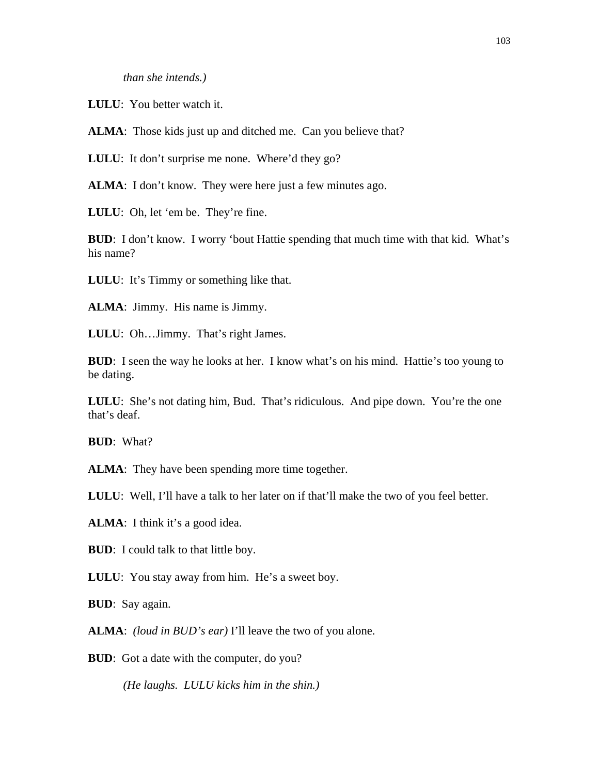*than she intends.)* 

**LULU**: You better watch it.

ALMA: Those kids just up and ditched me. Can you believe that?

**LULU**: It don't surprise me none. Where'd they go?

**ALMA**: I don't know. They were here just a few minutes ago.

**LULU**: Oh, let 'em be. They're fine.

**BUD**: I don't know. I worry 'bout Hattie spending that much time with that kid. What's his name?

**LULU**: It's Timmy or something like that.

**ALMA**: Jimmy. His name is Jimmy.

**LULU**: Oh…Jimmy. That's right James.

**BUD**: I seen the way he looks at her. I know what's on his mind. Hattie's too young to be dating.

LULU: She's not dating him, Bud. That's ridiculous. And pipe down. You're the one that's deaf.

**BUD**: What?

**ALMA**: They have been spending more time together.

**LULU**: Well, I'll have a talk to her later on if that'll make the two of you feel better.

**ALMA**: I think it's a good idea.

**BUD**: I could talk to that little boy.

**LULU**: You stay away from him. He's a sweet boy.

**BUD**: Say again.

**ALMA**: *(loud in BUD's ear)* I'll leave the two of you alone.

**BUD**: Got a date with the computer, do you?

*(He laughs. LULU kicks him in the shin.)*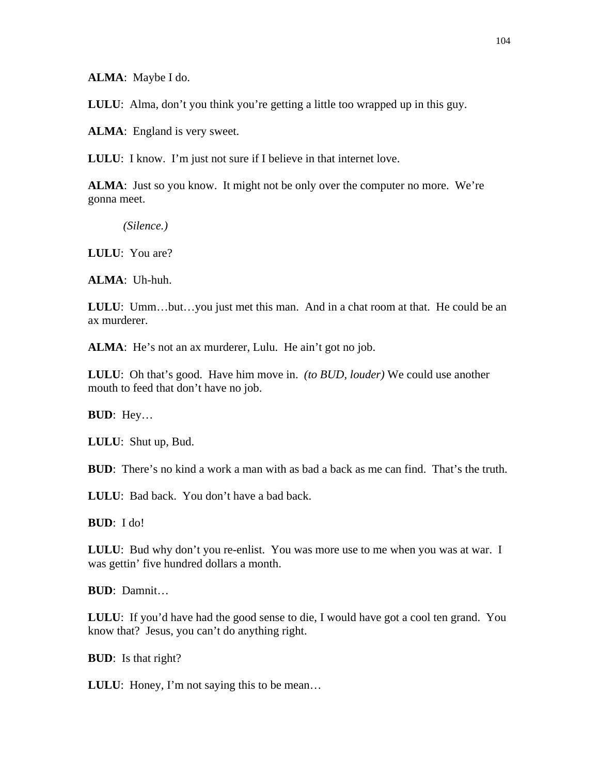**ALMA**: Maybe I do.

**LULU**: Alma, don't you think you're getting a little too wrapped up in this guy.

**ALMA**: England is very sweet.

**LULU**: I know. I'm just not sure if I believe in that internet love.

**ALMA**: Just so you know. It might not be only over the computer no more. We're gonna meet.

*(Silence.)* 

**LULU**: You are?

**ALMA**: Uh-huh.

**LULU:** Umm...but...you just met this man. And in a chat room at that. He could be an ax murderer.

**ALMA**: He's not an ax murderer, Lulu. He ain't got no job.

**LULU**: Oh that's good. Have him move in. *(to BUD, louder)* We could use another mouth to feed that don't have no job.

**BUD**: Hey…

**LULU**: Shut up, Bud.

**BUD**: There's no kind a work a man with as bad a back as me can find. That's the truth.

**LULU**: Bad back. You don't have a bad back.

**BUD**: I do!

**LULU**: Bud why don't you re-enlist. You was more use to me when you was at war. I was gettin' five hundred dollars a month.

**BUD**: Damnit…

**LULU**: If you'd have had the good sense to die, I would have got a cool ten grand. You know that? Jesus, you can't do anything right.

**BUD**: Is that right?

**LULU**: Honey, I'm not saying this to be mean…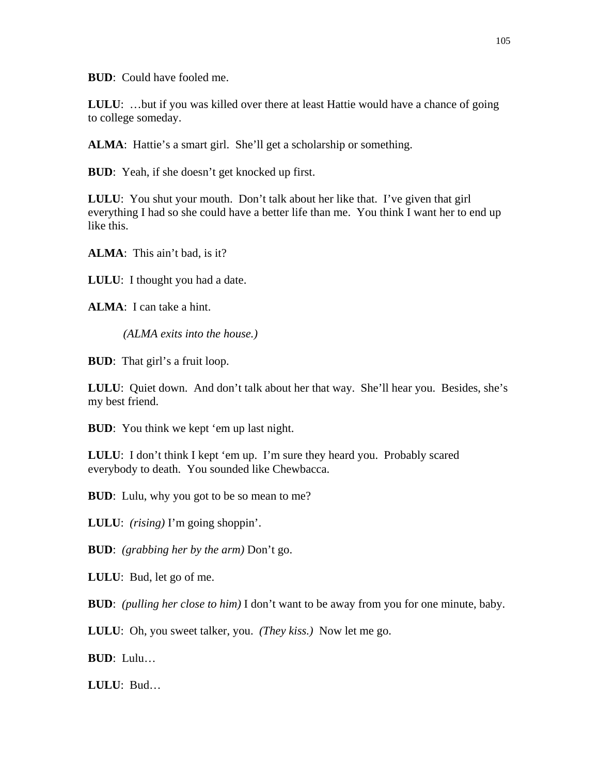**BUD**: Could have fooled me.

**LULU:** ...but if you was killed over there at least Hattie would have a chance of going to college someday.

ALMA: Hattie's a smart girl. She'll get a scholarship or something.

**BUD**: Yeah, if she doesn't get knocked up first.

**LULU**: You shut your mouth. Don't talk about her like that. I've given that girl everything I had so she could have a better life than me. You think I want her to end up like this.

**ALMA**: This ain't bad, is it?

**LULU**: I thought you had a date.

**ALMA**: I can take a hint.

*(ALMA exits into the house.)* 

**BUD**: That girl's a fruit loop.

**LULU**: Quiet down. And don't talk about her that way. She'll hear you. Besides, she's my best friend.

**BUD**: You think we kept 'em up last night.

LULU: I don't think I kept 'em up. I'm sure they heard you. Probably scared everybody to death. You sounded like Chewbacca.

**BUD**: Lulu, why you got to be so mean to me?

**LULU**: *(rising)* I'm going shoppin'.

**BUD**: *(grabbing her by the arm)* Don't go.

**LULU**: Bud, let go of me.

**BUD**: *(pulling her close to him)* I don't want to be away from you for one minute, baby.

**LULU**: Oh, you sweet talker, you. *(They kiss.)* Now let me go.

**BUD**: Lulu…

**LULU**: Bud…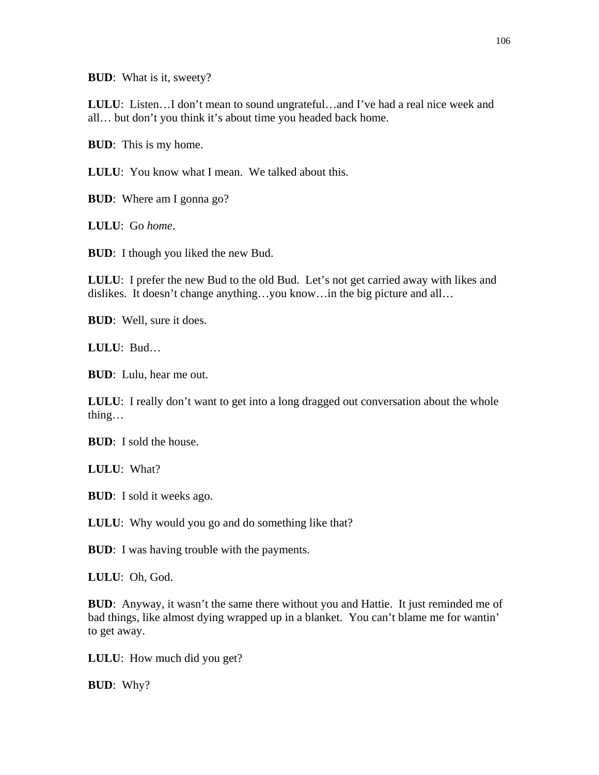**BUD**: What is it, sweety?

**LULU**: Listen…I don't mean to sound ungrateful…and I've had a real nice week and all… but don't you think it's about time you headed back home.

**BUD**: This is my home.

**LULU**: You know what I mean. We talked about this.

**BUD**: Where am I gonna go?

**LULU**: Go *home*.

**BUD**: I though you liked the new Bud.

**LULU**: I prefer the new Bud to the old Bud. Let's not get carried away with likes and dislikes. It doesn't change anything…you know…in the big picture and all…

**BUD**: Well, sure it does.

**LULU**: Bud…

**BUD**: Lulu, hear me out.

**LULU:** I really don't want to get into a long dragged out conversation about the whole thing…

**BUD**: I sold the house.

**LULU**: What?

**BUD**: I sold it weeks ago.

**LULU:** Why would you go and do something like that?

**BUD**: I was having trouble with the payments.

**LULU**: Oh, God.

**BUD**: Anyway, it wasn't the same there without you and Hattie. It just reminded me of bad things, like almost dying wrapped up in a blanket. You can't blame me for wantin' to get away.

**LULU**: How much did you get?

**BUD**: Why?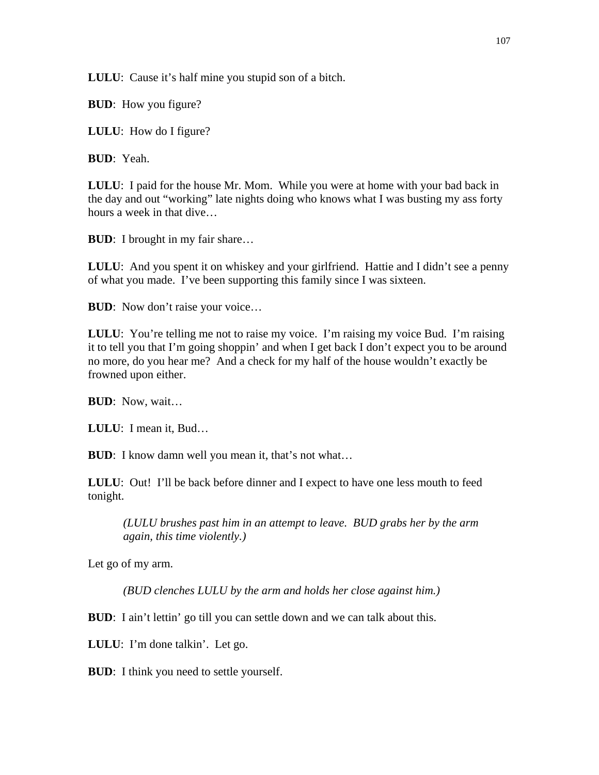**LULU**: Cause it's half mine you stupid son of a bitch.

**BUD**: How you figure?

**LULU**: How do I figure?

**BUD**: Yeah.

**LULU**: I paid for the house Mr. Mom. While you were at home with your bad back in the day and out "working" late nights doing who knows what I was busting my ass forty hours a week in that dive…

**BUD**: I brought in my fair share...

**LULU**: And you spent it on whiskey and your girlfriend. Hattie and I didn't see a penny of what you made. I've been supporting this family since I was sixteen.

**BUD**: Now don't raise your voice...

LULU: You're telling me not to raise my voice. I'm raising my voice Bud. I'm raising it to tell you that I'm going shoppin' and when I get back I don't expect you to be around no more, do you hear me? And a check for my half of the house wouldn't exactly be frowned upon either.

**BUD**: Now, wait…

**LULU**: I mean it, Bud…

**BUD**: I know damn well you mean it, that's not what...

**LULU**: Out! I'll be back before dinner and I expect to have one less mouth to feed tonight.

*(LULU brushes past him in an attempt to leave. BUD grabs her by the arm again, this time violently.)*

Let go of my arm.

*(BUD clenches LULU by the arm and holds her close against him.)* 

**BUD**: I ain't lettin' go till you can settle down and we can talk about this.

**LULU**: I'm done talkin'. Let go.

**BUD**: I think you need to settle yourself.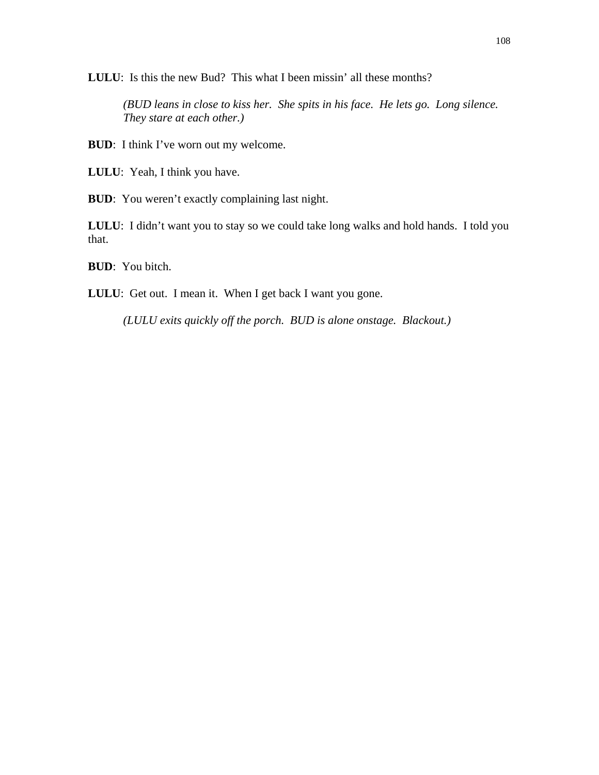**LULU**: Is this the new Bud? This what I been missin' all these months?

*(BUD leans in close to kiss her. She spits in his face. He lets go. Long silence. They stare at each other.)* 

**BUD**: I think I've worn out my welcome.

**LULU**: Yeah, I think you have.

**BUD**: You weren't exactly complaining last night.

**LULU**: I didn't want you to stay so we could take long walks and hold hands. I told you that.

**BUD**: You bitch.

**LULU**: Get out. I mean it. When I get back I want you gone.

*(LULU exits quickly off the porch. BUD is alone onstage. Blackout.)*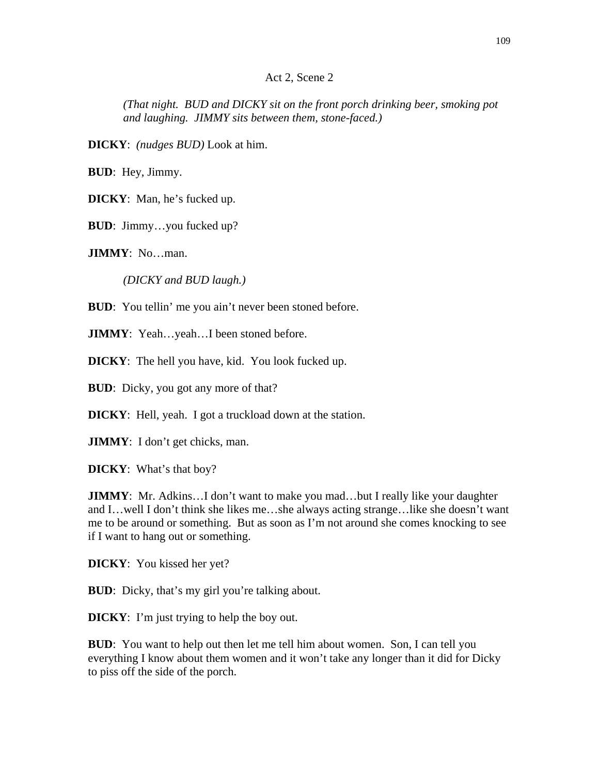#### Act 2, Scene 2

*(That night. BUD and DICKY sit on the front porch drinking beer, smoking pot and laughing. JIMMY sits between them, stone-faced.)* 

**DICKY**: *(nudges BUD)* Look at him.

**BUD**: Hey, Jimmy.

**DICKY**: Man, he's fucked up.

**BUD**: Jimmy…you fucked up?

**JIMMY**: No…man.

*(DICKY and BUD laugh.)* 

**BUD**: You tellin' me you ain't never been stoned before.

**JIMMY**: Yeah...yeah...I been stoned before.

**DICKY**: The hell you have, kid. You look fucked up.

**BUD**: Dicky, you got any more of that?

**DICKY**: Hell, yeah. I got a truckload down at the station.

**JIMMY**: I don't get chicks, man.

**DICKY**: What's that boy?

**JIMMY**: Mr. Adkins...I don't want to make you mad...but I really like your daughter and I…well I don't think she likes me…she always acting strange…like she doesn't want me to be around or something. But as soon as I'm not around she comes knocking to see if I want to hang out or something.

**DICKY**: You kissed her yet?

**BUD**: Dicky, that's my girl you're talking about.

**DICKY**: I'm just trying to help the boy out.

**BUD**: You want to help out then let me tell him about women. Son, I can tell you everything I know about them women and it won't take any longer than it did for Dicky to piss off the side of the porch.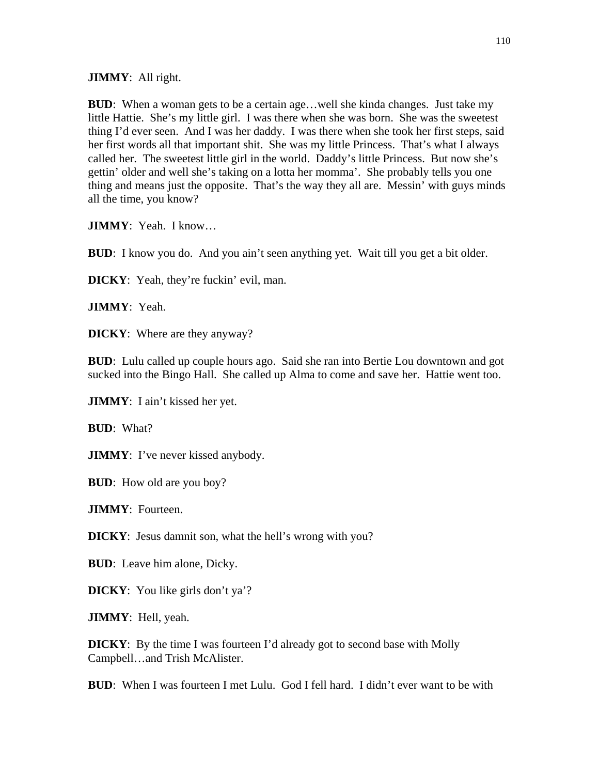**JIMMY**: All right.

**BUD**: When a woman gets to be a certain age…well she kinda changes. Just take my little Hattie. She's my little girl. I was there when she was born. She was the sweetest thing I'd ever seen. And I was her daddy. I was there when she took her first steps, said her first words all that important shit. She was my little Princess. That's what I always called her. The sweetest little girl in the world. Daddy's little Princess. But now she's gettin' older and well she's taking on a lotta her momma'. She probably tells you one thing and means just the opposite. That's the way they all are. Messin' with guys minds all the time, you know?

**JIMMY**: Yeah. I know…

**BUD**: I know you do. And you ain't seen anything yet. Wait till you get a bit older.

**DICKY**: Yeah, they're fuckin' evil, man.

**JIMMY**: Yeah.

**DICKY**: Where are they anyway?

**BUD**: Lulu called up couple hours ago. Said she ran into Bertie Lou downtown and got sucked into the Bingo Hall. She called up Alma to come and save her. Hattie went too.

**JIMMY**: I ain't kissed her yet.

**BUD**: What?

**JIMMY**: I've never kissed anybody.

**BUD**: How old are you boy?

**JIMMY**: Fourteen.

**DICKY**: Jesus damnit son, what the hell's wrong with you?

**BUD**: Leave him alone, Dicky.

**DICKY**: You like girls don't ya'?

**JIMMY**: Hell, yeah.

**DICKY**: By the time I was fourteen I'd already got to second base with Molly Campbell…and Trish McAlister.

**BUD**: When I was fourteen I met Lulu. God I fell hard. I didn't ever want to be with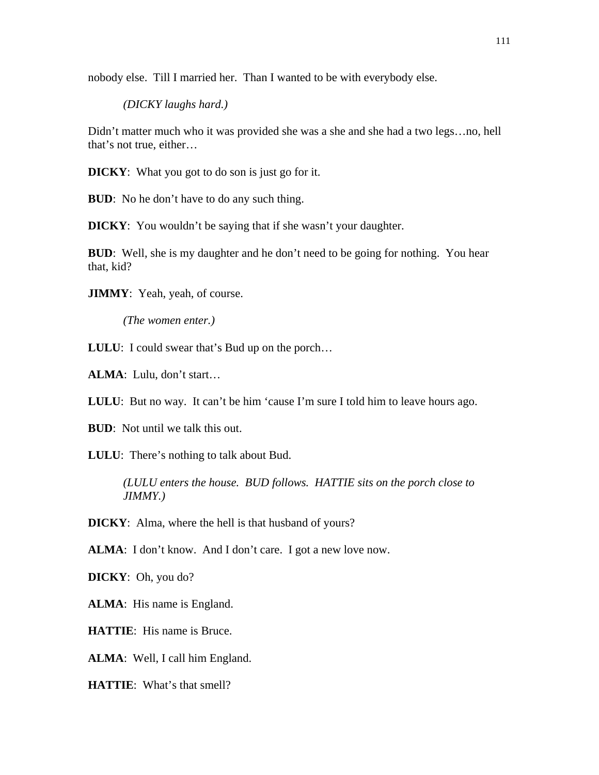nobody else. Till I married her. Than I wanted to be with everybody else.

*(DICKY laughs hard.)* 

Didn't matter much who it was provided she was a she and she had a two legs…no, hell that's not true, either…

**DICKY**: What you got to do son is just go for it.

**BUD**: No he don't have to do any such thing.

**DICKY**: You wouldn't be saying that if she wasn't your daughter.

**BUD**: Well, she is my daughter and he don't need to be going for nothing. You hear that, kid?

**JIMMY**: Yeah, yeah, of course.

*(The women enter.)* 

**LULU**: I could swear that's Bud up on the porch…

**ALMA**: Lulu, don't start…

**LULU**: But no way. It can't be him 'cause I'm sure I told him to leave hours ago.

**BUD**: Not until we talk this out.

**LULU**: There's nothing to talk about Bud.

*(LULU enters the house. BUD follows. HATTIE sits on the porch close to JIMMY.)* 

**DICKY**: Alma, where the hell is that husband of yours?

**ALMA**: I don't know. And I don't care. I got a new love now.

**DICKY**: Oh, you do?

**ALMA**: His name is England.

**HATTIE**: His name is Bruce.

**ALMA**: Well, I call him England.

**HATTIE**: What's that smell?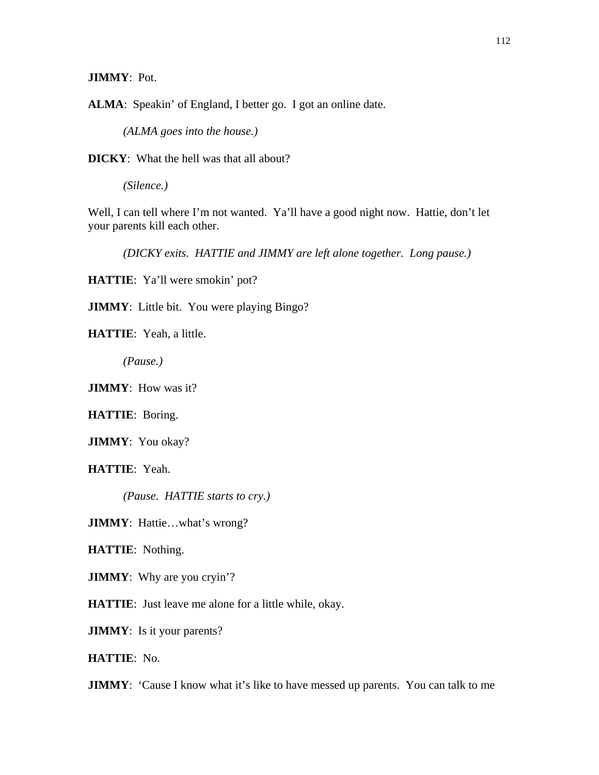**JIMMY**: Pot.

**ALMA**: Speakin' of England, I better go. I got an online date.

*(ALMA goes into the house.)* 

**DICKY**: What the hell was that all about?

*(Silence.)* 

Well, I can tell where I'm not wanted. Ya'll have a good night now. Hattie, don't let your parents kill each other.

*(DICKY exits. HATTIE and JIMMY are left alone together. Long pause.)* 

**HATTIE**: Ya'll were smokin' pot?

**JIMMY**: Little bit. You were playing Bingo?

**HATTIE**: Yeah, a little.

*(Pause.)* 

**JIMMY**: How was it?

**HATTIE**: Boring.

**JIMMY**: You okay?

**HATTIE**: Yeah.

*(Pause. HATTIE starts to cry.)* 

**JIMMY**: Hattie…what's wrong?

**HATTIE**: Nothing.

**JIMMY**: Why are you cryin'?

**HATTIE**: Just leave me alone for a little while, okay.

**JIMMY**: Is it your parents?

**HATTIE**: No.

**JIMMY**: 'Cause I know what it's like to have messed up parents. You can talk to me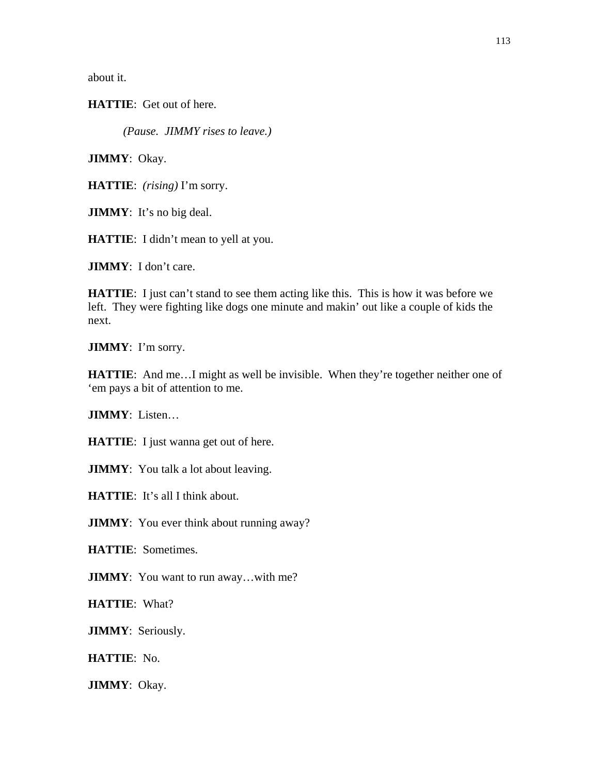about it.

**HATTIE**: Get out of here.

*(Pause. JIMMY rises to leave.)* 

**JIMMY**: Okay.

**HATTIE**: *(rising)* I'm sorry.

**JIMMY**: It's no big deal.

**HATTIE**: I didn't mean to yell at you.

**JIMMY**: I don't care.

**HATTIE**: I just can't stand to see them acting like this. This is how it was before we left. They were fighting like dogs one minute and makin' out like a couple of kids the next.

**JIMMY**: I'm sorry.

**HATTIE:** And me...I might as well be invisible. When they're together neither one of 'em pays a bit of attention to me.

**JIMMY**: Listen…

**HATTIE**: I just wanna get out of here.

**JIMMY**: You talk a lot about leaving.

**HATTIE**: It's all I think about.

**JIMMY**: You ever think about running away?

**HATTIE**: Sometimes.

**JIMMY**: You want to run away...with me?

**HATTIE**: What?

**JIMMY**: Seriously.

**HATTIE**: No.

**JIMMY**: Okay.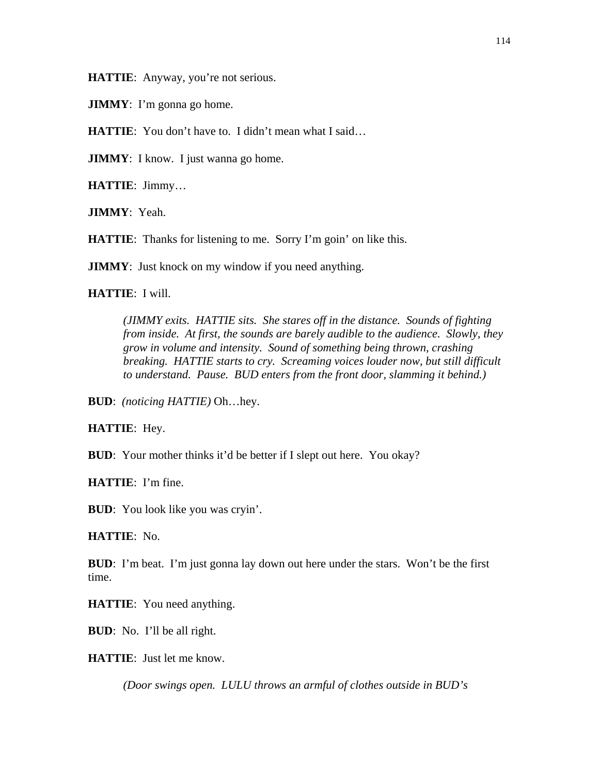**HATTIE**: Anyway, you're not serious.

**JIMMY**: I'm gonna go home.

**HATTIE:** You don't have to. I didn't mean what I said...

**JIMMY**: I know. I just wanna go home.

**HATTIE**: Jimmy…

**JIMMY**: Yeah.

**HATTIE:** Thanks for listening to me. Sorry I'm goin' on like this.

**JIMMY**: Just knock on my window if you need anything.

**HATTIE**: I will.

*(JIMMY exits. HATTIE sits. She stares off in the distance. Sounds of fighting from inside. At first, the sounds are barely audible to the audience. Slowly, they grow in volume and intensity. Sound of something being thrown, crashing breaking. HATTIE starts to cry. Screaming voices louder now, but still difficult to understand. Pause. BUD enters from the front door, slamming it behind.)*

**BUD**: *(noticing HATTIE)* Oh…hey.

**HATTIE**: Hey.

**BUD**: Your mother thinks it'd be better if I slept out here. You okay?

**HATTIE**: I'm fine.

**BUD**: You look like you was cryin'.

**HATTIE**: No.

**BUD**: I'm beat. I'm just gonna lay down out here under the stars. Won't be the first time.

**HATTIE**: You need anything.

**BUD**: No. I'll be all right.

**HATTIE**: Just let me know.

*(Door swings open. LULU throws an armful of clothes outside in BUD's*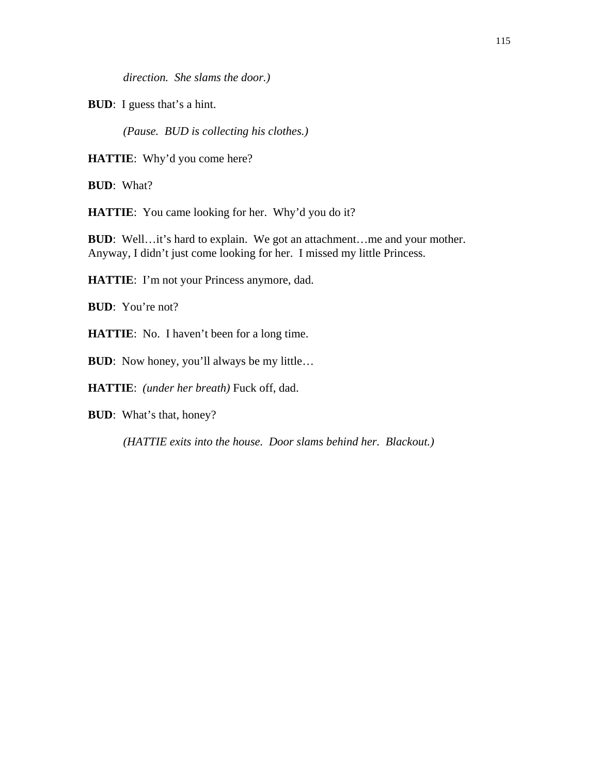*direction. She slams the door.)* 

**BUD**: I guess that's a hint.

*(Pause. BUD is collecting his clothes.)* 

**HATTIE**: Why'd you come here?

**BUD**: What?

**HATTIE**: You came looking for her. Why'd you do it?

**BUD**: Well…it's hard to explain. We got an attachment…me and your mother. Anyway, I didn't just come looking for her. I missed my little Princess.

**HATTIE**: I'm not your Princess anymore, dad.

**BUD**: You're not?

**HATTIE**: No. I haven't been for a long time.

**BUD**: Now honey, you'll always be my little...

**HATTIE**: *(under her breath)* Fuck off, dad.

**BUD**: What's that, honey?

*(HATTIE exits into the house. Door slams behind her. Blackout.)*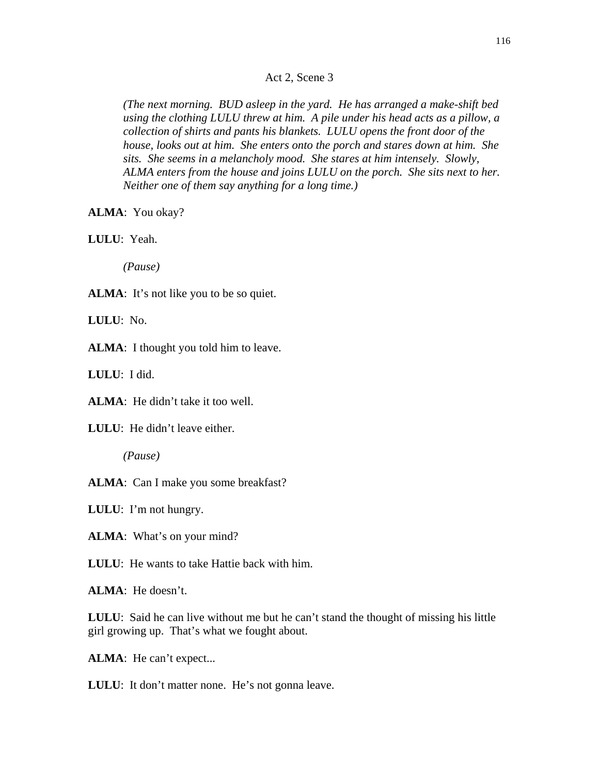Act 2, Scene 3

*(The next morning. BUD asleep in the yard. He has arranged a make-shift bed using the clothing LULU threw at him. A pile under his head acts as a pillow, a collection of shirts and pants his blankets. LULU opens the front door of the house, looks out at him. She enters onto the porch and stares down at him. She sits. She seems in a melancholy mood. She stares at him intensely. Slowly, ALMA enters from the house and joins LULU on the porch. She sits next to her. Neither one of them say anything for a long time.)* 

**ALMA**: You okay?

**LULU**: Yeah.

*(Pause)* 

ALMA: It's not like you to be so quiet.

**LULU**: No.

**ALMA**: I thought you told him to leave.

**LULU**: I did.

**ALMA**: He didn't take it too well.

**LULU**: He didn't leave either.

*(Pause)* 

**ALMA**: Can I make you some breakfast?

**LULU**: I'm not hungry.

**ALMA**: What's on your mind?

**LULU**: He wants to take Hattie back with him.

**ALMA**: He doesn't.

**LULU**: Said he can live without me but he can't stand the thought of missing his little girl growing up. That's what we fought about.

**ALMA**: He can't expect...

**LULU**: It don't matter none. He's not gonna leave.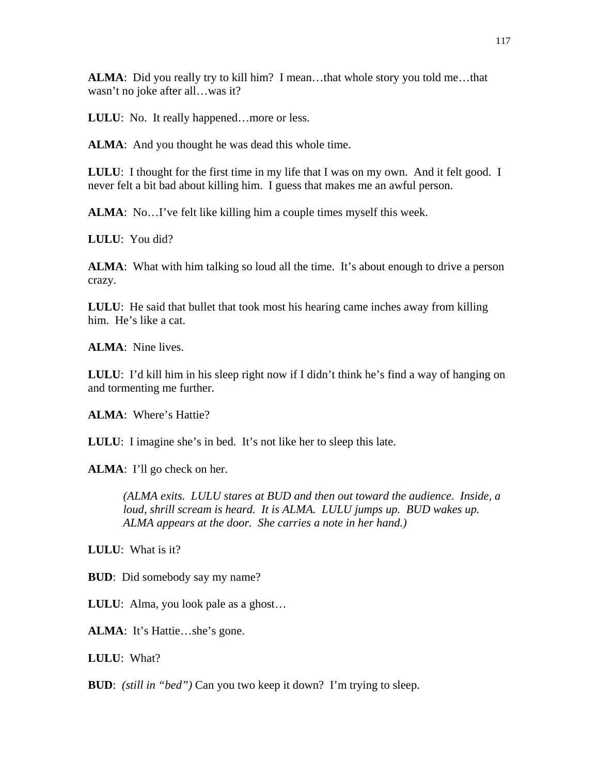**ALMA**: Did you really try to kill him? I mean…that whole story you told me…that wasn't no joke after all…was it?

**LULU**: No. It really happened…more or less.

**ALMA**: And you thought he was dead this whole time.

**LULU**: I thought for the first time in my life that I was on my own. And it felt good. I never felt a bit bad about killing him. I guess that makes me an awful person.

**ALMA**: No...I've felt like killing him a couple times myself this week.

**LULU**: You did?

**ALMA**: What with him talking so loud all the time. It's about enough to drive a person crazy.

**LULU**: He said that bullet that took most his hearing came inches away from killing him. He's like a cat.

**ALMA**: Nine lives.

**LULU**: I'd kill him in his sleep right now if I didn't think he's find a way of hanging on and tormenting me further.

**ALMA**: Where's Hattie?

**LULU**: I imagine she's in bed. It's not like her to sleep this late.

**ALMA**: I'll go check on her.

*(ALMA exits. LULU stares at BUD and then out toward the audience. Inside, a*  loud, shrill scream is heard. It is ALMA. LULU jumps up. BUD wakes up. *ALMA appears at the door. She carries a note in her hand.)* 

**LULU**: What is it?

**BUD**: Did somebody say my name?

**LULU**: Alma, you look pale as a ghost…

**ALMA**: It's Hattie…she's gone.

**LULU**: What?

**BUD**: *(still in "bed")* Can you two keep it down? I'm trying to sleep.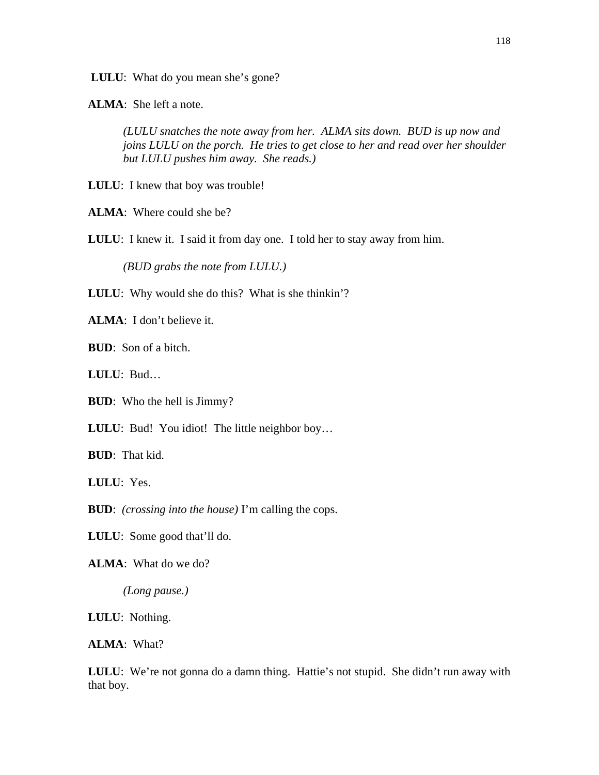**LULU**: What do you mean she's gone?

**ALMA**: She left a note.

*(LULU snatches the note away from her. ALMA sits down. BUD is up now and joins LULU on the porch. He tries to get close to her and read over her shoulder but LULU pushes him away. She reads.)* 

**LULU**: I knew that boy was trouble!

**ALMA**: Where could she be?

**LULU**: I knew it. I said it from day one. I told her to stay away from him.

*(BUD grabs the note from LULU.)* 

**LULU**: Why would she do this? What is she thinkin'?

**ALMA**: I don't believe it.

**BUD**: Son of a bitch.

**LULU**: Bud…

**BUD**: Who the hell is Jimmy?

**LULU**: Bud! You idiot! The little neighbor boy…

**BUD**: That kid.

**LULU**: Yes.

**BUD**: *(crossing into the house)* I'm calling the cops.

**LULU**: Some good that'll do.

**ALMA**: What do we do?

*(Long pause.)* 

**LULU**: Nothing.

**ALMA**: What?

LULU: We're not gonna do a damn thing. Hattie's not stupid. She didn't run away with that boy.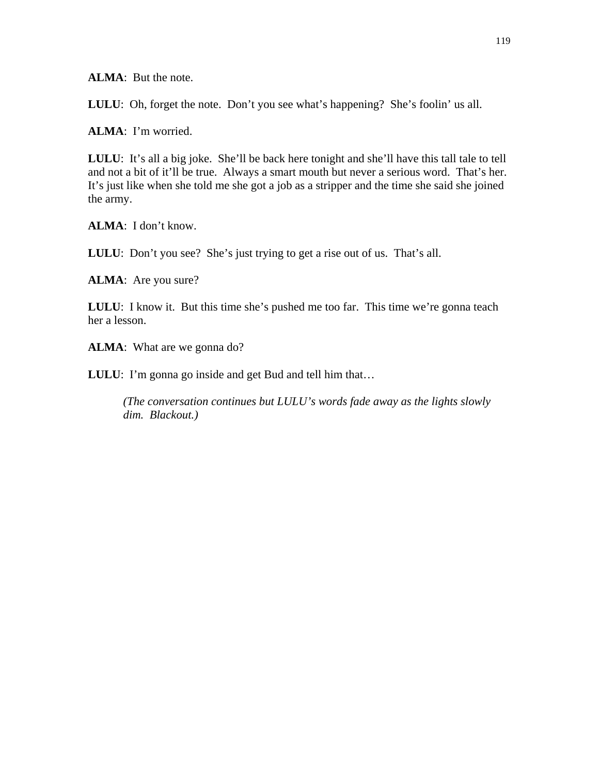**ALMA**: But the note.

**LULU**: Oh, forget the note. Don't you see what's happening? She's foolin' us all.

**ALMA**: I'm worried.

**LULU**: It's all a big joke. She'll be back here tonight and she'll have this tall tale to tell and not a bit of it'll be true. Always a smart mouth but never a serious word. That's her. It's just like when she told me she got a job as a stripper and the time she said she joined the army.

**ALMA**: I don't know.

**LULU**: Don't you see? She's just trying to get a rise out of us. That's all.

**ALMA**: Are you sure?

**LULU**: I know it. But this time she's pushed me too far. This time we're gonna teach her a lesson.

**ALMA**: What are we gonna do?

**LULU**: I'm gonna go inside and get Bud and tell him that…

*(The conversation continues but LULU's words fade away as the lights slowly dim. Blackout.)*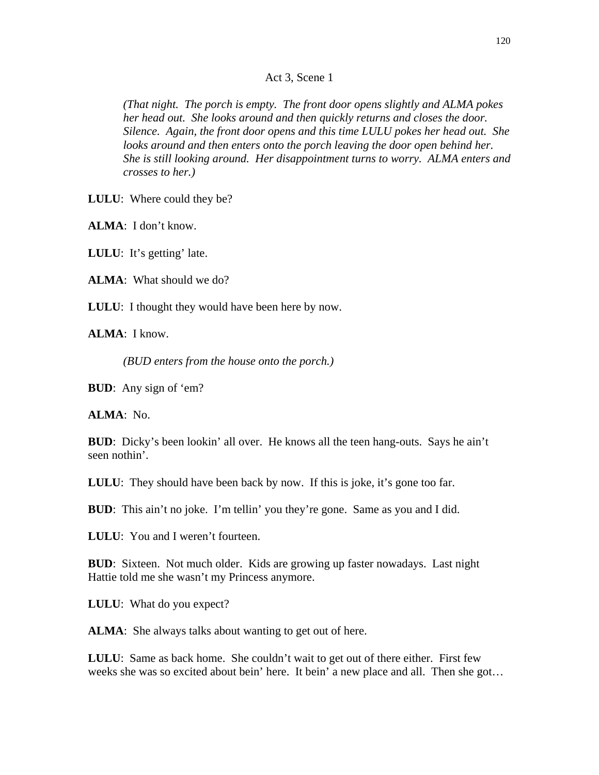Act 3, Scene 1

*(That night. The porch is empty. The front door opens slightly and ALMA pokes her head out. She looks around and then quickly returns and closes the door. Silence. Again, the front door opens and this time LULU pokes her head out. She looks around and then enters onto the porch leaving the door open behind her. She is still looking around. Her disappointment turns to worry. ALMA enters and crosses to her.)* 

**LULU**: Where could they be?

**ALMA**: I don't know.

**LULU**: It's getting' late.

**ALMA**: What should we do?

**LULU**: I thought they would have been here by now.

**ALMA**: I know.

*(BUD enters from the house onto the porch.)* 

**BUD**: Any sign of 'em?

**ALMA**: No.

**BUD**: Dicky's been lookin' all over. He knows all the teen hang-outs. Says he ain't seen nothin'.

**LULU**: They should have been back by now. If this is joke, it's gone too far.

**BUD**: This ain't no joke. I'm tellin' you they're gone. Same as you and I did.

**LULU**: You and I weren't fourteen.

**BUD**: Sixteen. Not much older. Kids are growing up faster nowadays. Last night Hattie told me she wasn't my Princess anymore.

**LULU**: What do you expect?

**ALMA**: She always talks about wanting to get out of here.

**LULU**: Same as back home. She couldn't wait to get out of there either. First few weeks she was so excited about bein' here. It bein' a new place and all. Then she got…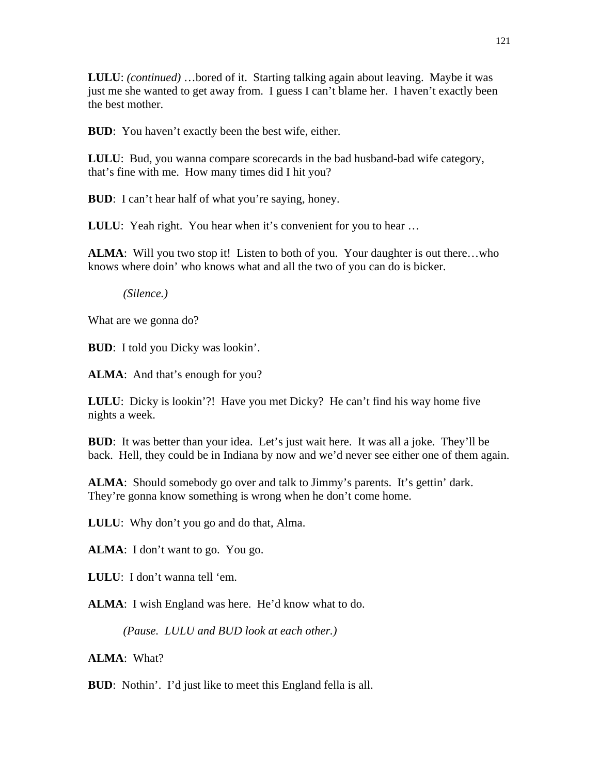**LULU**: *(continued)* …bored of it. Starting talking again about leaving. Maybe it was just me she wanted to get away from. I guess I can't blame her. I haven't exactly been the best mother.

**BUD**: You haven't exactly been the best wife, either.

**LULU**: Bud, you wanna compare scorecards in the bad husband-bad wife category, that's fine with me. How many times did I hit you?

**BUD**: I can't hear half of what you're saying, honey.

**LULU:** Yeah right. You hear when it's convenient for you to hear ...

**ALMA**: Will you two stop it! Listen to both of you. Your daughter is out there...who knows where doin' who knows what and all the two of you can do is bicker.

*(Silence.)* 

What are we gonna do?

**BUD**: I told you Dicky was lookin'.

**ALMA**: And that's enough for you?

**LULU**: Dicky is lookin'?! Have you met Dicky? He can't find his way home five nights a week.

**BUD**: It was better than your idea. Let's just wait here. It was all a joke. They'll be back. Hell, they could be in Indiana by now and we'd never see either one of them again.

**ALMA**: Should somebody go over and talk to Jimmy's parents. It's gettin' dark. They're gonna know something is wrong when he don't come home.

**LULU**: Why don't you go and do that, Alma.

**ALMA**: I don't want to go. You go.

**LULU**: I don't wanna tell 'em.

**ALMA**: I wish England was here. He'd know what to do.

*(Pause. LULU and BUD look at each other.)* 

**ALMA**: What?

**BUD**: Nothin'. I'd just like to meet this England fella is all.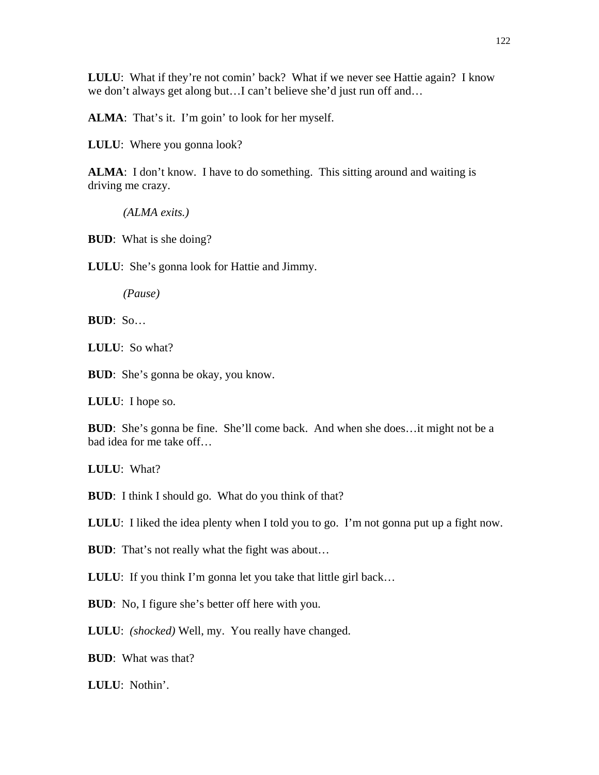**LULU**: What if they're not comin' back? What if we never see Hattie again? I know we don't always get along but…I can't believe she'd just run off and…

ALMA: That's it. I'm goin' to look for her myself.

**LULU**: Where you gonna look?

**ALMA**: I don't know. I have to do something. This sitting around and waiting is driving me crazy.

*(ALMA exits.)* 

**BUD**: What is she doing?

**LULU**: She's gonna look for Hattie and Jimmy.

*(Pause)* 

**BUD**: So…

**LULU**: So what?

**BUD**: She's gonna be okay, you know.

**LULU**: I hope so.

**BUD**: She's gonna be fine. She'll come back. And when she does...it might not be a bad idea for me take off…

**LULU**: What?

**BUD**: I think I should go. What do you think of that?

**LULU**: I liked the idea plenty when I told you to go. I'm not gonna put up a fight now.

**BUD**: That's not really what the fight was about...

**LULU:** If you think I'm gonna let you take that little girl back...

**BUD**: No, I figure she's better off here with you.

**LULU**: *(shocked)* Well, my. You really have changed.

**BUD**: What was that?

**LULU**: Nothin'.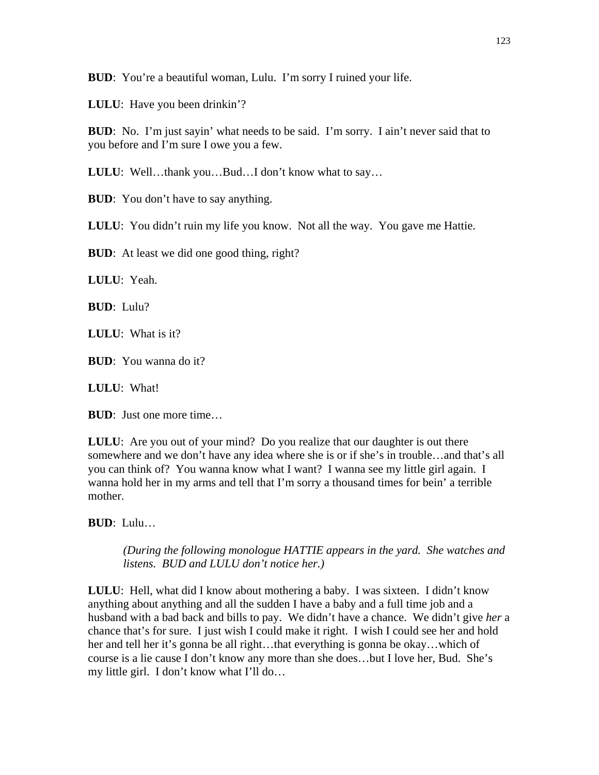**BUD**: You're a beautiful woman, Lulu. I'm sorry I ruined your life.

**LULU**: Have you been drinkin'?

**BUD**: No. I'm just sayin' what needs to be said. I'm sorry. I ain't never said that to you before and I'm sure I owe you a few.

**LULU**: Well…thank you…Bud…I don't know what to say…

**BUD**: You don't have to say anything.

**LULU**: You didn't ruin my life you know. Not all the way. You gave me Hattie.

**BUD**: At least we did one good thing, right?

**LULU**: Yeah.

**BUD**: Lulu?

**LULU**: What is it?

**BUD**: You wanna do it?

**LULU**: What!

**BUD**: Just one more time…

**LULU**: Are you out of your mind? Do you realize that our daughter is out there somewhere and we don't have any idea where she is or if she's in trouble…and that's all you can think of? You wanna know what I want? I wanna see my little girl again. I wanna hold her in my arms and tell that I'm sorry a thousand times for bein' a terrible mother.

**BUD**: Lulu…

*(During the following monologue HATTIE appears in the yard. She watches and listens. BUD and LULU don't notice her.)* 

**LULU**: Hell, what did I know about mothering a baby. I was sixteen. I didn't know anything about anything and all the sudden I have a baby and a full time job and a husband with a bad back and bills to pay. We didn't have a chance. We didn't give *her* a chance that's for sure. I just wish I could make it right. I wish I could see her and hold her and tell her it's gonna be all right…that everything is gonna be okay…which of course is a lie cause I don't know any more than she does…but I love her, Bud. She's my little girl. I don't know what I'll do…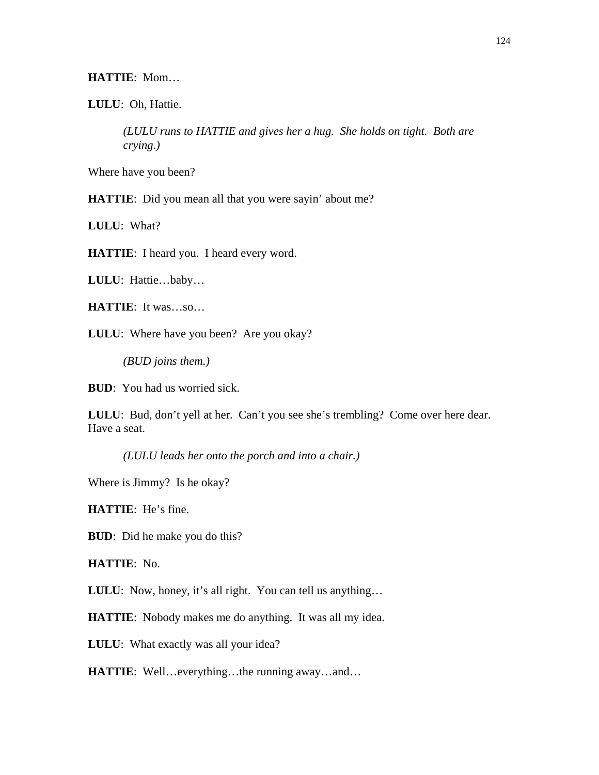### **HATTIE**: Mom…

**LULU**: Oh, Hattie.

*(LULU runs to HATTIE and gives her a hug. She holds on tight. Both are crying.)* 

Where have you been?

**HATTIE**: Did you mean all that you were sayin' about me?

**LULU**: What?

**HATTIE**: I heard you. I heard every word.

**LULU**: Hattie…baby…

**HATTIE**: It was…so…

**LULU**: Where have you been? Are you okay?

*(BUD joins them.)* 

**BUD**: You had us worried sick.

**LULU**: Bud, don't yell at her. Can't you see she's trembling? Come over here dear. Have a seat.

*(LULU leads her onto the porch and into a chair.)* 

Where is Jimmy? Is he okay?

**HATTIE**: He's fine.

**BUD**: Did he make you do this?

**HATTIE**: No.

**LULU**: Now, honey, it's all right. You can tell us anything…

**HATTIE**: Nobody makes me do anything. It was all my idea.

**LULU**: What exactly was all your idea?

**HATTIE**: Well…everything…the running away…and…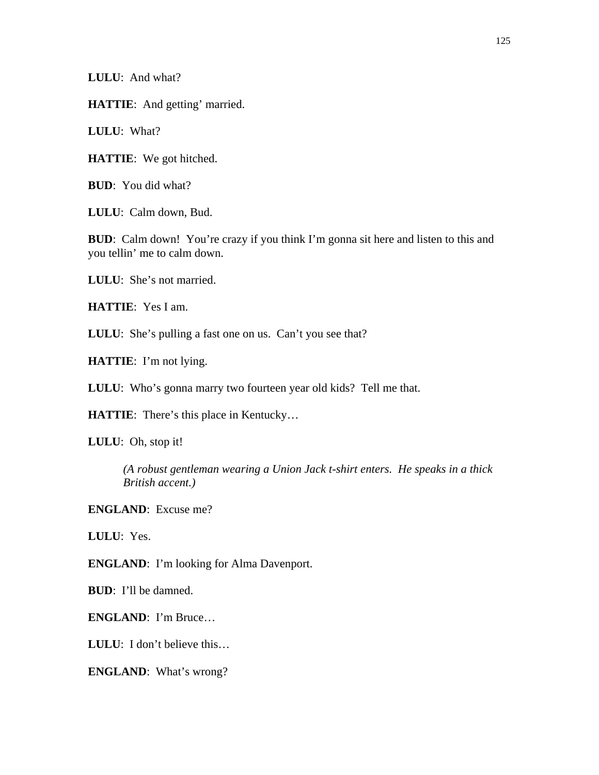**LULU**: And what?

**HATTIE**: And getting' married.

**LULU**: What?

**HATTIE**: We got hitched.

**BUD**: You did what?

**LULU**: Calm down, Bud.

**BUD**: Calm down! You're crazy if you think I'm gonna sit here and listen to this and you tellin' me to calm down.

**LULU**: She's not married.

**HATTIE**: Yes I am.

**LULU**: She's pulling a fast one on us. Can't you see that?

**HATTIE**: I'm not lying.

**LULU**: Who's gonna marry two fourteen year old kids? Tell me that.

**HATTIE**: There's this place in Kentucky…

**LULU**: Oh, stop it!

*(A robust gentleman wearing a Union Jack t-shirt enters. He speaks in a thick British accent.)* 

**ENGLAND**: Excuse me?

**LULU**: Yes.

**ENGLAND**: I'm looking for Alma Davenport.

**BUD**: I'll be damned.

**ENGLAND**: I'm Bruce…

**LULU**: I don't believe this…

**ENGLAND**: What's wrong?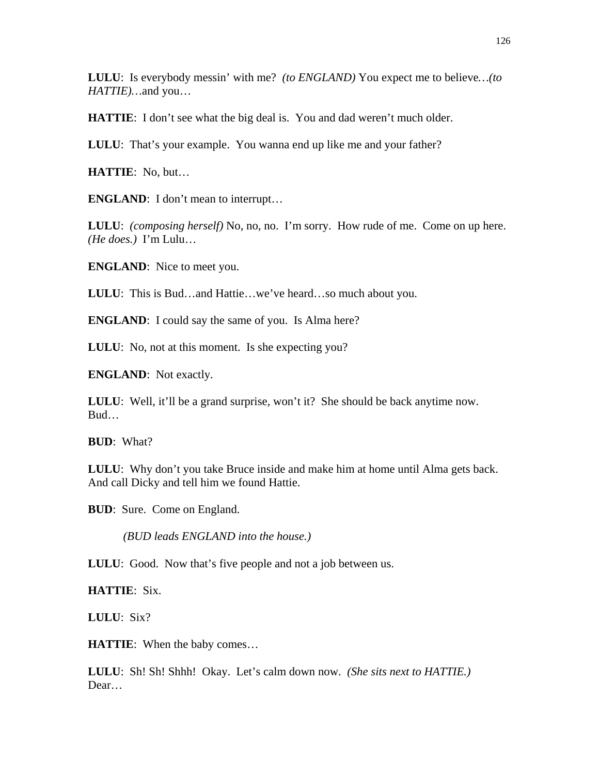**LULU**: Is everybody messin' with me? *(to ENGLAND)* You expect me to believe*…(to HATTIE)…*and you…

**HATTIE:** I don't see what the big deal is. You and dad weren't much older.

**LULU**: That's your example. You wanna end up like me and your father?

**HATTIE**: No, but…

**ENGLAND**: I don't mean to interrupt...

**LULU**: *(composing herself)* No, no, no. I'm sorry. How rude of me. Come on up here. *(He does.)* I'm Lulu…

**ENGLAND**: Nice to meet you.

**LULU**: This is Bud…and Hattie…we've heard…so much about you.

**ENGLAND**: I could say the same of you. Is Alma here?

**LULU**: No, not at this moment. Is she expecting you?

**ENGLAND**: Not exactly.

**LULU**: Well, it'll be a grand surprise, won't it? She should be back anytime now. Bud…

**BUD**: What?

**LULU**: Why don't you take Bruce inside and make him at home until Alma gets back. And call Dicky and tell him we found Hattie.

**BUD**: Sure. Come on England.

*(BUD leads ENGLAND into the house.)* 

**LULU:** Good. Now that's five people and not a job between us.

**HATTIE**: Six.

**LULU**: Six?

**HATTIE**: When the baby comes…

**LULU**: Sh! Sh! Shhh! Okay. Let's calm down now. *(She sits next to HATTIE.)* Dear…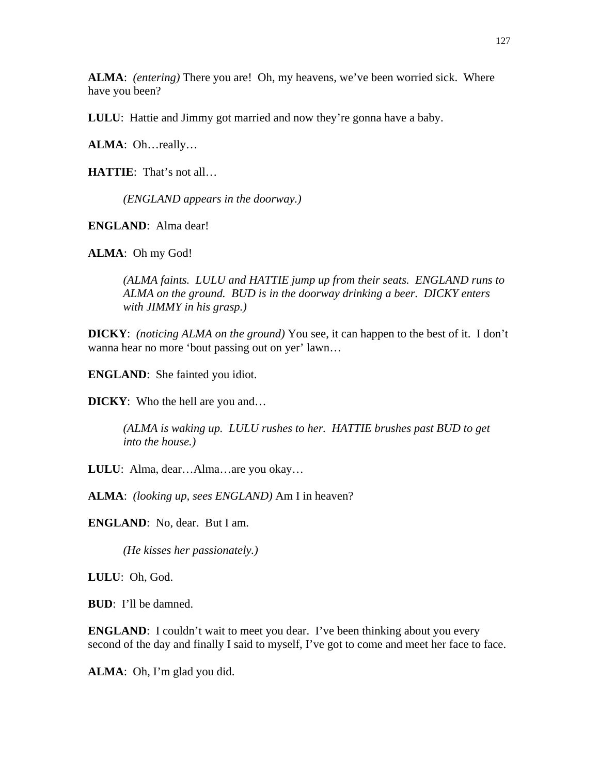**ALMA**: *(entering)* There you are! Oh, my heavens, we've been worried sick. Where have you been?

**LULU**: Hattie and Jimmy got married and now they're gonna have a baby.

**ALMA**: Oh…really…

**HATTIE**: That's not all…

*(ENGLAND appears in the doorway.)* 

**ENGLAND**: Alma dear!

**ALMA**: Oh my God!

*(ALMA faints. LULU and HATTIE jump up from their seats. ENGLAND runs to ALMA on the ground. BUD is in the doorway drinking a beer. DICKY enters with JIMMY in his grasp.)* 

**DICKY**: *(noticing ALMA on the ground)* You see, it can happen to the best of it. I don't wanna hear no more 'bout passing out on yer' lawn…

**ENGLAND**: She fainted you idiot.

**DICKY**: Who the hell are you and…

*(ALMA is waking up. LULU rushes to her. HATTIE brushes past BUD to get into the house.)* 

**LULU**: Alma, dear…Alma…are you okay…

**ALMA**: *(looking up, sees ENGLAND)* Am I in heaven?

**ENGLAND**: No, dear. But I am.

*(He kisses her passionately.)* 

**LULU**: Oh, God.

**BUD**: I'll be damned.

**ENGLAND**: I couldn't wait to meet you dear. I've been thinking about you every second of the day and finally I said to myself, I've got to come and meet her face to face.

**ALMA**: Oh, I'm glad you did.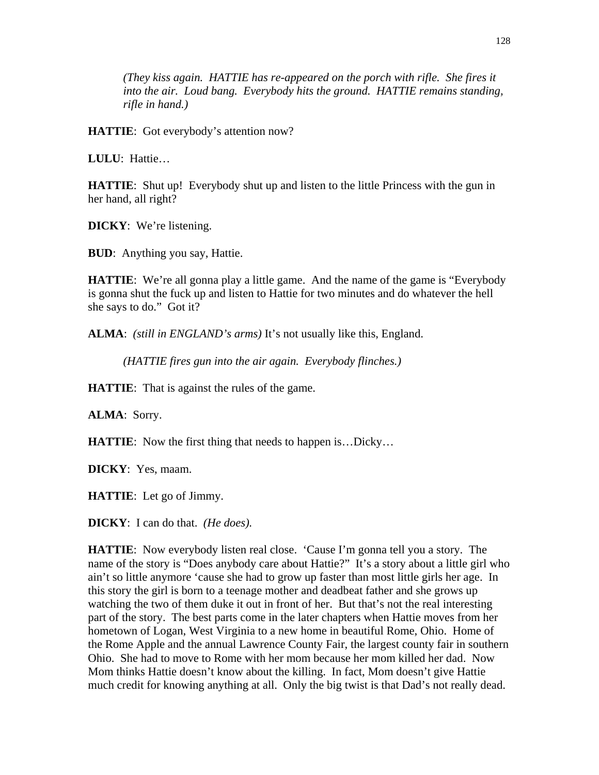*(They kiss again. HATTIE has re-appeared on the porch with rifle. She fires it into the air. Loud bang. Everybody hits the ground. HATTIE remains standing, rifle in hand.)* 

**HATTIE**: Got everybody's attention now?

**LULU**: Hattie…

**HATTIE**: Shut up! Everybody shut up and listen to the little Princess with the gun in her hand, all right?

**DICKY**: We're listening.

**BUD**: Anything you say, Hattie.

**HATTIE**: We're all gonna play a little game. And the name of the game is "Everybody" is gonna shut the fuck up and listen to Hattie for two minutes and do whatever the hell she says to do." Got it?

**ALMA**: *(still in ENGLAND's arms)* It's not usually like this, England.

*(HATTIE fires gun into the air again. Everybody flinches.)* 

**HATTIE**: That is against the rules of the game.

**ALMA**: Sorry.

**HATTIE:** Now the first thing that needs to happen is...Dicky...

**DICKY**: Yes, maam.

**HATTIE**: Let go of Jimmy.

**DICKY**: I can do that. *(He does).*

**HATTIE**: Now everybody listen real close. 'Cause I'm gonna tell you a story. The name of the story is "Does anybody care about Hattie?" It's a story about a little girl who ain't so little anymore 'cause she had to grow up faster than most little girls her age. In this story the girl is born to a teenage mother and deadbeat father and she grows up watching the two of them duke it out in front of her. But that's not the real interesting part of the story. The best parts come in the later chapters when Hattie moves from her hometown of Logan, West Virginia to a new home in beautiful Rome, Ohio. Home of the Rome Apple and the annual Lawrence County Fair, the largest county fair in southern Ohio. She had to move to Rome with her mom because her mom killed her dad. Now Mom thinks Hattie doesn't know about the killing. In fact, Mom doesn't give Hattie much credit for knowing anything at all. Only the big twist is that Dad's not really dead.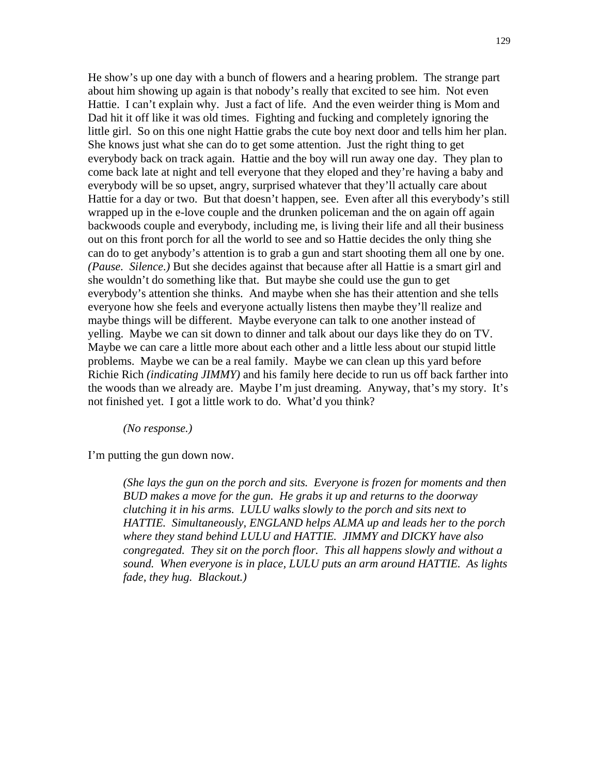He show's up one day with a bunch of flowers and a hearing problem. The strange part about him showing up again is that nobody's really that excited to see him. Not even Hattie. I can't explain why. Just a fact of life. And the even weirder thing is Mom and Dad hit it off like it was old times. Fighting and fucking and completely ignoring the little girl. So on this one night Hattie grabs the cute boy next door and tells him her plan. She knows just what she can do to get some attention. Just the right thing to get everybody back on track again. Hattie and the boy will run away one day. They plan to come back late at night and tell everyone that they eloped and they're having a baby and everybody will be so upset, angry, surprised whatever that they'll actually care about Hattie for a day or two. But that doesn't happen, see. Even after all this everybody's still wrapped up in the e-love couple and the drunken policeman and the on again off again backwoods couple and everybody, including me, is living their life and all their business out on this front porch for all the world to see and so Hattie decides the only thing she can do to get anybody's attention is to grab a gun and start shooting them all one by one. *(Pause. Silence.)* But she decides against that because after all Hattie is a smart girl and she wouldn't do something like that. But maybe she could use the gun to get everybody's attention she thinks. And maybe when she has their attention and she tells everyone how she feels and everyone actually listens then maybe they'll realize and maybe things will be different. Maybe everyone can talk to one another instead of yelling. Maybe we can sit down to dinner and talk about our days like they do on TV. Maybe we can care a little more about each other and a little less about our stupid little problems. Maybe we can be a real family. Maybe we can clean up this yard before Richie Rich *(indicating JIMMY)* and his family here decide to run us off back farther into the woods than we already are. Maybe I'm just dreaming. Anyway, that's my story. It's not finished yet. I got a little work to do. What'd you think?

### *(No response.)*

I'm putting the gun down now.

*(She lays the gun on the porch and sits. Everyone is frozen for moments and then BUD makes a move for the gun. He grabs it up and returns to the doorway clutching it in his arms. LULU walks slowly to the porch and sits next to HATTIE. Simultaneously, ENGLAND helps ALMA up and leads her to the porch where they stand behind LULU and HATTIE. JIMMY and DICKY have also congregated. They sit on the porch floor. This all happens slowly and without a sound. When everyone is in place, LULU puts an arm around HATTIE. As lights fade, they hug. Blackout.)*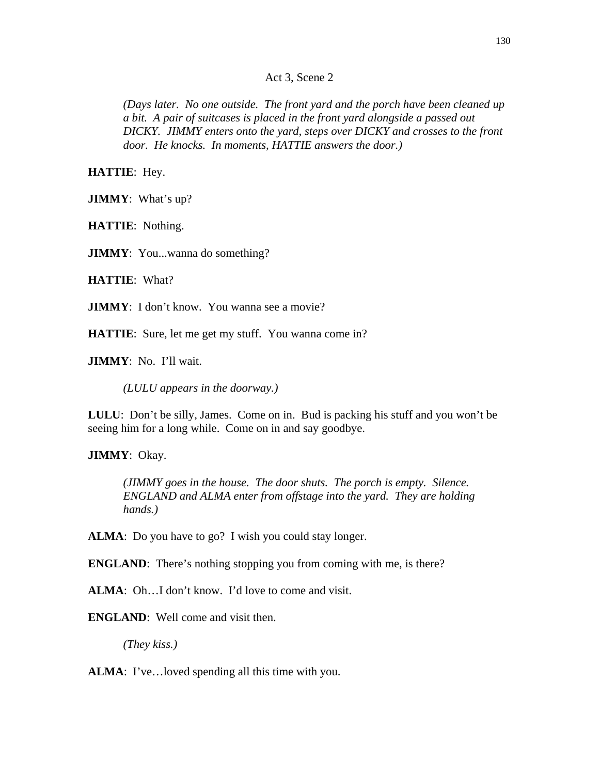### Act 3, Scene 2

*(Days later. No one outside. The front yard and the porch have been cleaned up a bit. A pair of suitcases is placed in the front yard alongside a passed out DICKY. JIMMY enters onto the yard, steps over DICKY and crosses to the front door. He knocks. In moments, HATTIE answers the door.)* 

**HATTIE**: Hey.

**JIMMY**: What's up?

**HATTIE**: Nothing.

**JIMMY**: You...wanna do something?

**HATTIE**: What?

**JIMMY**: I don't know. You wanna see a movie?

**HATTIE:** Sure, let me get my stuff. You wanna come in?

**JIMMY**: No. I'll wait.

*(LULU appears in the doorway.)* 

**LULU**: Don't be silly, James. Come on in. Bud is packing his stuff and you won't be seeing him for a long while. Come on in and say goodbye.

**JIMMY**: Okay.

*(JIMMY goes in the house. The door shuts. The porch is empty. Silence. ENGLAND and ALMA enter from offstage into the yard. They are holding hands.)* 

ALMA: Do you have to go? I wish you could stay longer.

**ENGLAND:** There's nothing stopping you from coming with me, is there?

**ALMA**: Oh…I don't know. I'd love to come and visit.

**ENGLAND**: Well come and visit then.

*(They kiss.)* 

**ALMA**: I've... loved spending all this time with you.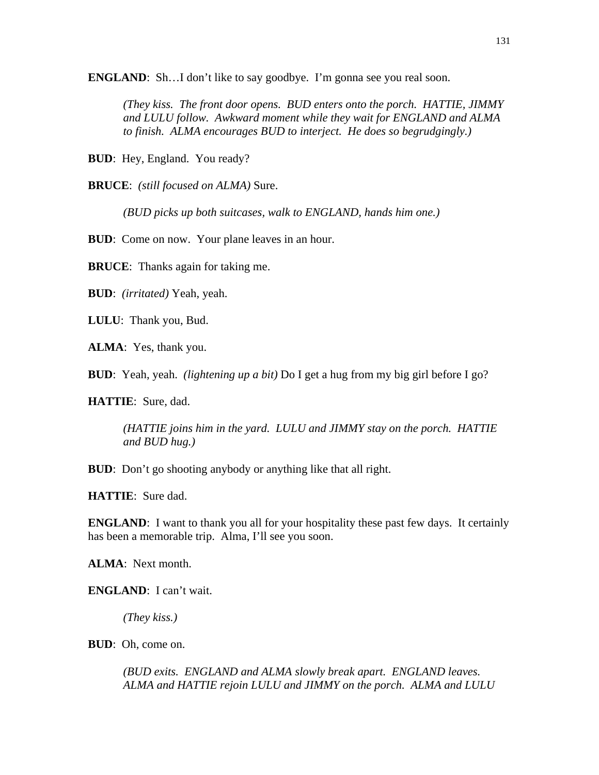**ENGLAND**: Sh...I don't like to say goodbye. I'm gonna see you real soon.

*(They kiss. The front door opens. BUD enters onto the porch. HATTIE, JIMMY and LULU follow. Awkward moment while they wait for ENGLAND and ALMA to finish. ALMA encourages BUD to interject. He does so begrudgingly.)*

**BUD**: Hey, England. You ready?

**BRUCE**: *(still focused on ALMA)* Sure.

*(BUD picks up both suitcases, walk to ENGLAND, hands him one.)* 

**BUD**: Come on now. Your plane leaves in an hour.

**BRUCE**: Thanks again for taking me.

**BUD**: *(irritated)* Yeah, yeah.

**LULU**: Thank you, Bud.

**ALMA**: Yes, thank you.

**BUD**: Yeah, yeah. *(lightening up a bit)* Do I get a hug from my big girl before I go?

**HATTIE**: Sure, dad.

*(HATTIE joins him in the yard. LULU and JIMMY stay on the porch. HATTIE and BUD hug.)* 

**BUD**: Don't go shooting anybody or anything like that all right.

**HATTIE**: Sure dad.

**ENGLAND**: I want to thank you all for your hospitality these past few days. It certainly has been a memorable trip. Alma, I'll see you soon.

**ALMA**: Next month.

**ENGLAND**: I can't wait.

*(They kiss.)* 

**BUD**: Oh, come on.

*(BUD exits. ENGLAND and ALMA slowly break apart. ENGLAND leaves. ALMA and HATTIE rejoin LULU and JIMMY on the porch. ALMA and LULU*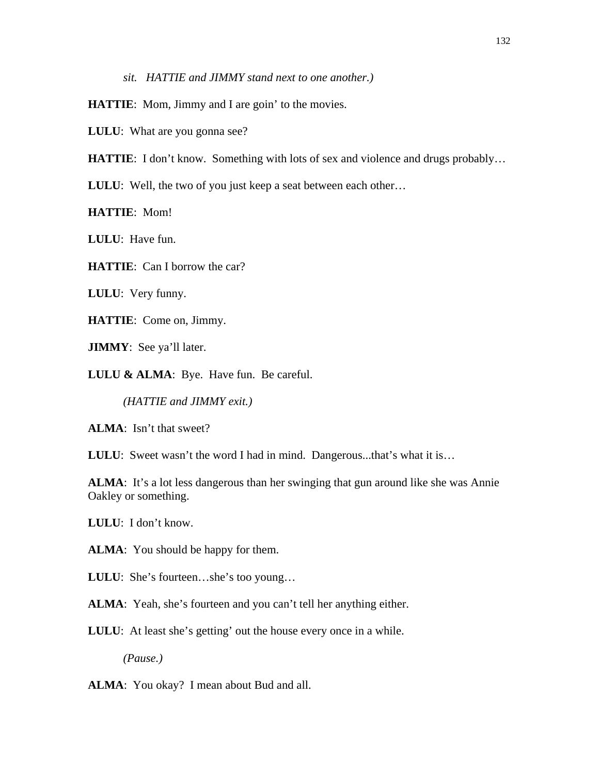*sit. HATTIE and JIMMY stand next to one another.)* 

**HATTIE**: Mom, Jimmy and I are goin' to the movies.

**LULU**: What are you gonna see?

**HATTIE:** I don't know. Something with lots of sex and violence and drugs probably...

**LULU:** Well, the two of you just keep a seat between each other...

**HATTIE**: Mom!

**LULU**: Have fun.

**HATTIE**: Can I borrow the car?

**LULU**: Very funny.

**HATTIE**: Come on, Jimmy.

**JIMMY**: See ya'll later.

**LULU & ALMA**: Bye. Have fun. Be careful.

*(HATTIE and JIMMY exit.)* 

**ALMA**: Isn't that sweet?

**LULU**: Sweet wasn't the word I had in mind. Dangerous...that's what it is...

ALMA: It's a lot less dangerous than her swinging that gun around like she was Annie Oakley or something.

**LULU**: I don't know.

**ALMA**: You should be happy for them.

**LULU**: She's fourteen…she's too young…

**ALMA**: Yeah, she's fourteen and you can't tell her anything either.

**LULU:** At least she's getting' out the house every once in a while.

*(Pause.)* 

**ALMA**: You okay? I mean about Bud and all.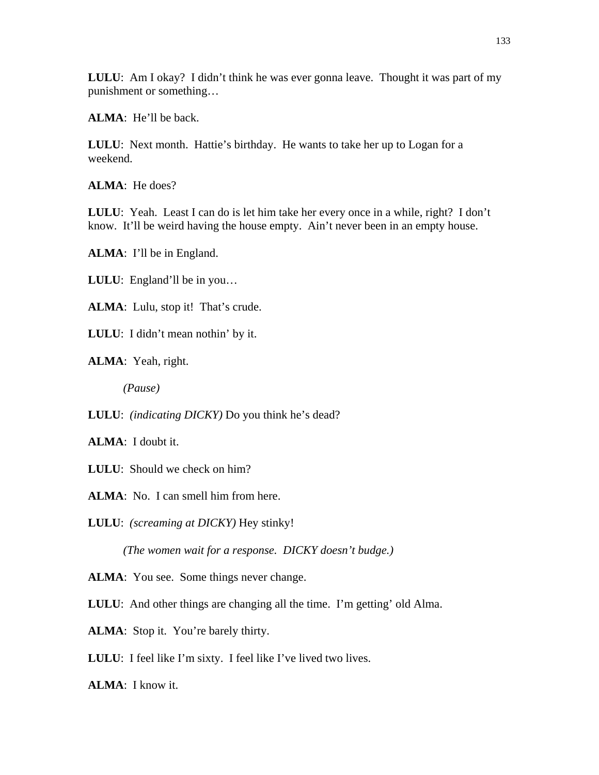**LULU**: Am I okay? I didn't think he was ever gonna leave. Thought it was part of my punishment or something…

**ALMA**: He'll be back.

**LULU**: Next month. Hattie's birthday. He wants to take her up to Logan for a weekend.

**ALMA**: He does?

**LULU**: Yeah. Least I can do is let him take her every once in a while, right? I don't know. It'll be weird having the house empty. Ain't never been in an empty house.

**ALMA**: I'll be in England.

**LULU**: England'll be in you…

ALMA: Lulu, stop it! That's crude.

**LULU**: I didn't mean nothin' by it.

**ALMA**: Yeah, right.

*(Pause)* 

**LULU**: *(indicating DICKY)* Do you think he's dead?

**ALMA**: I doubt it.

**LULU**: Should we check on him?

**ALMA**: No. I can smell him from here.

**LULU**: *(screaming at DICKY)* Hey stinky!

*(The women wait for a response. DICKY doesn't budge.)* 

**ALMA**: You see. Some things never change.

**LULU**: And other things are changing all the time. I'm getting' old Alma.

ALMA: Stop it. You're barely thirty.

**LULU**: I feel like I'm sixty. I feel like I've lived two lives.

**ALMA**: I know it.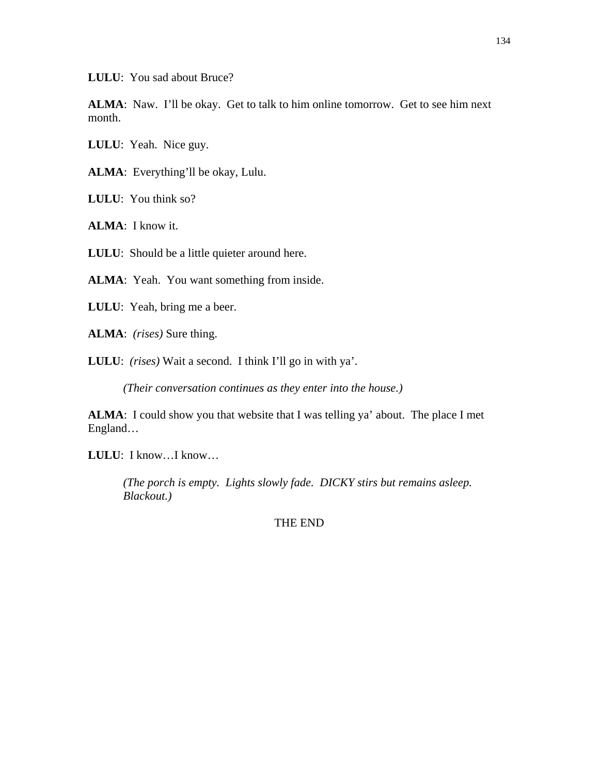**LULU**: You sad about Bruce?

**ALMA**: Naw. I'll be okay. Get to talk to him online tomorrow. Get to see him next month.

**LULU**: Yeah. Nice guy.

**ALMA**: Everything'll be okay, Lulu.

**LULU**: You think so?

**ALMA**: I know it.

**LULU:** Should be a little quieter around here.

**ALMA**: Yeah. You want something from inside.

**LULU**: Yeah, bring me a beer.

**ALMA**: *(rises)* Sure thing.

**LULU**: *(rises)* Wait a second. I think I'll go in with ya'.

*(Their conversation continues as they enter into the house.)* 

**ALMA**: I could show you that website that I was telling ya' about. The place I met England…

**LULU**: I know…I know…

*(The porch is empty. Lights slowly fade. DICKY stirs but remains asleep. Blackout.)* 

THE END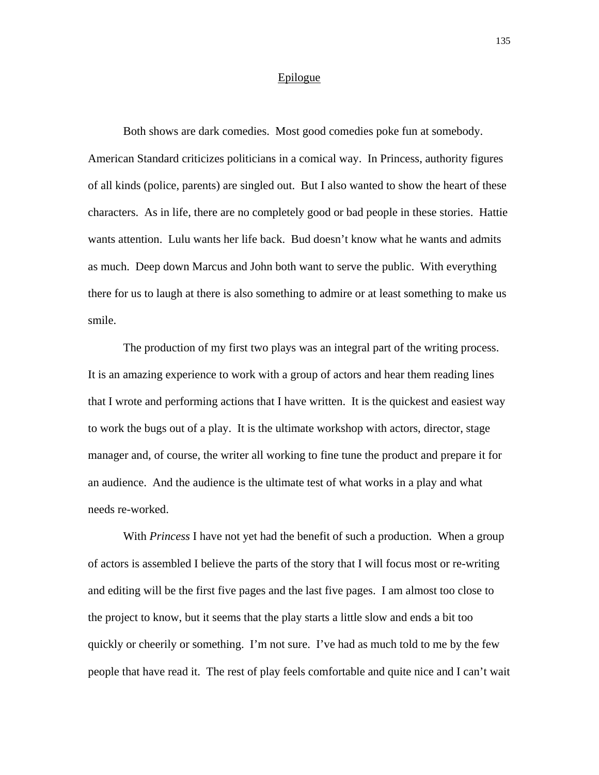#### Epilogue

Both shows are dark comedies. Most good comedies poke fun at somebody. American Standard criticizes politicians in a comical way. In Princess, authority figures of all kinds (police, parents) are singled out. But I also wanted to show the heart of these characters. As in life, there are no completely good or bad people in these stories. Hattie wants attention. Lulu wants her life back. Bud doesn't know what he wants and admits as much. Deep down Marcus and John both want to serve the public. With everything there for us to laugh at there is also something to admire or at least something to make us smile.

 The production of my first two plays was an integral part of the writing process. It is an amazing experience to work with a group of actors and hear them reading lines that I wrote and performing actions that I have written. It is the quickest and easiest way to work the bugs out of a play. It is the ultimate workshop with actors, director, stage manager and, of course, the writer all working to fine tune the product and prepare it for an audience. And the audience is the ultimate test of what works in a play and what needs re-worked.

 With *Princess* I have not yet had the benefit of such a production. When a group of actors is assembled I believe the parts of the story that I will focus most or re-writing and editing will be the first five pages and the last five pages. I am almost too close to the project to know, but it seems that the play starts a little slow and ends a bit too quickly or cheerily or something. I'm not sure. I've had as much told to me by the few people that have read it. The rest of play feels comfortable and quite nice and I can't wait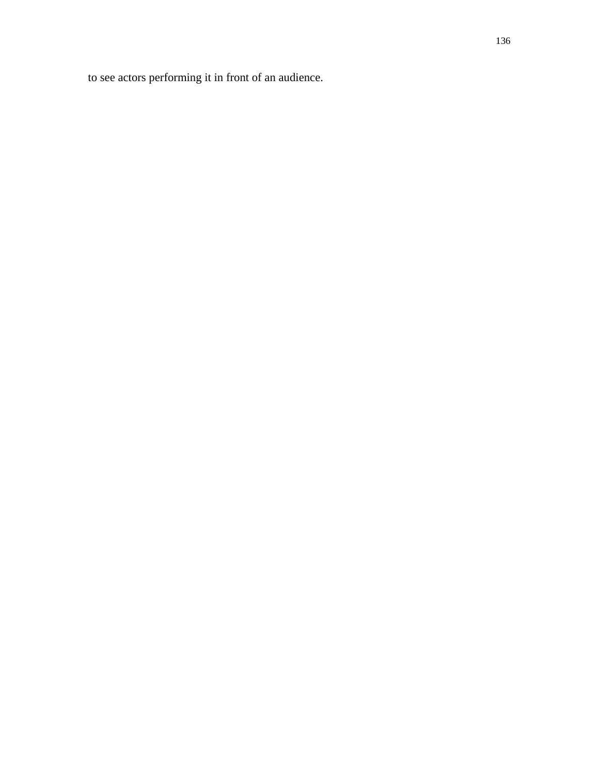to see actors performing it in front of an audience.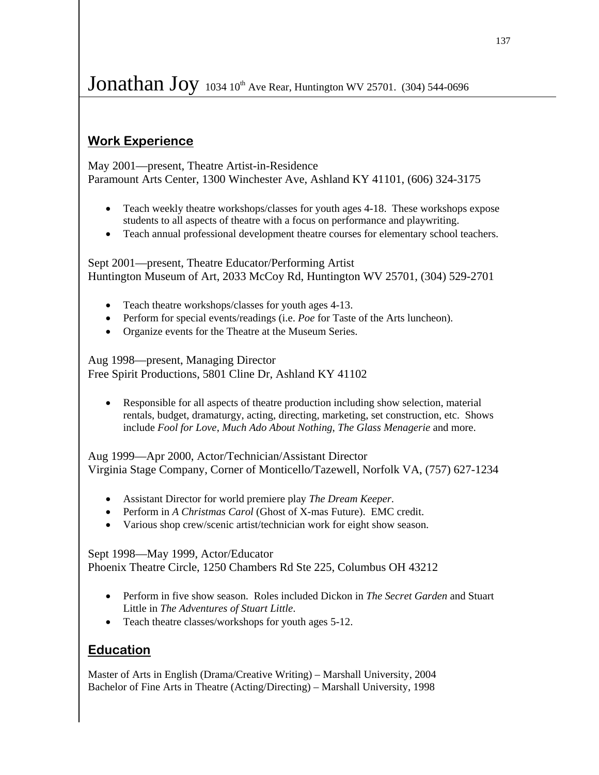# Jonathan Joy  $1034 10<sup>th</sup>$  Ave Rear, Huntington WV 25701. (304) 544-0696

## **Work Experience**

֡֡

May 2001—present, Theatre Artist-in-Residence Paramount Arts Center, 1300 Winchester Ave, Ashland KY 41101, (606) 324-3175

- Teach weekly theatre workshops/classes for youth ages 4-18. These workshops expose students to all aspects of theatre with a focus on performance and playwriting.
- Teach annual professional development theatre courses for elementary school teachers.

Sept 2001—present, Theatre Educator/Performing Artist Huntington Museum of Art, 2033 McCoy Rd, Huntington WV 25701, (304) 529-2701

- Teach theatre workshops/classes for youth ages 4-13.
- Perform for special events/readings (i.e. *Poe* for Taste of the Arts luncheon).
- Organize events for the Theatre at the Museum Series.

Aug 1998—present, Managing Director Free Spirit Productions, 5801 Cline Dr, Ashland KY 41102

• Responsible for all aspects of theatre production including show selection, material rentals, budget, dramaturgy, acting, directing, marketing, set construction, etc. Shows include *Fool for Love*, *Much Ado About Nothing*, *The Glass Menagerie* and more.

Aug 1999—Apr 2000, Actor/Technician/Assistant Director Virginia Stage Company, Corner of Monticello/Tazewell, Norfolk VA, (757) 627-1234

- Assistant Director for world premiere play *The Dream Keeper*.
- Perform in *A Christmas Carol* (Ghost of X-mas Future). EMC credit.
- Various shop crew/scenic artist/technician work for eight show season.

Sept 1998—May 1999, Actor/Educator Phoenix Theatre Circle, 1250 Chambers Rd Ste 225, Columbus OH 43212

- Perform in five show season. Roles included Dickon in *The Secret Garden* and Stuart Little in *The Adventures of Stuart Little*.
- Teach theatre classes/workshops for youth ages 5-12.

## **Education**

Master of Arts in English (Drama/Creative Writing) – Marshall University, 2004 Bachelor of Fine Arts in Theatre (Acting/Directing) – Marshall University, 1998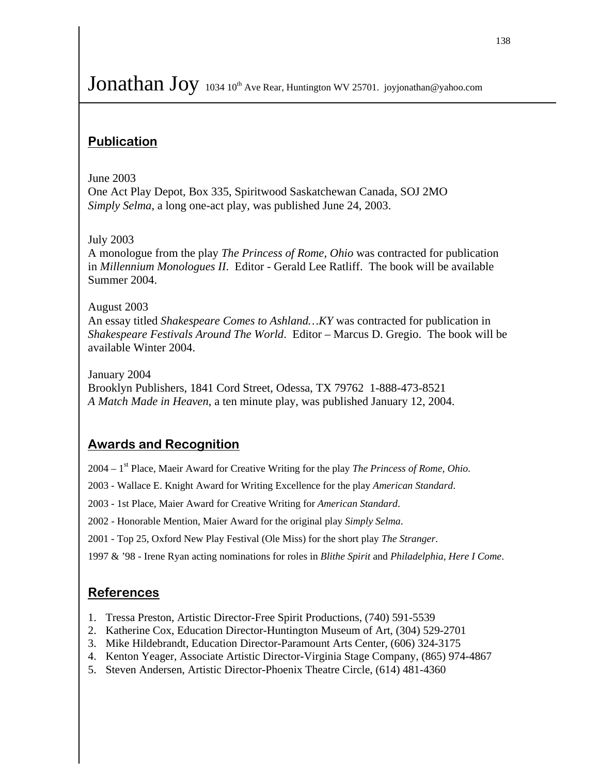# Jonathan Joy 1034 10<sup>th</sup> Ave Rear, Huntington WV 25701. joyjonathan@yahoo.com

## **Publication**

### June 2003

ֺ֝֡

One Act Play Depot, Box 335, Spiritwood Saskatchewan Canada, SOJ 2MO *Simply Selma*, a long one-act play, was published June 24, 2003.

## July 2003

A monologue from the play *The Princess of Rome, Ohio* was contracted for publication in *Millennium Monologues II*. Editor - Gerald Lee Ratliff. The book will be available Summer 2004.

### August 2003

An essay titled *Shakespeare Comes to Ashland…KY* was contracted for publication in *Shakespeare Festivals Around The World*. Editor – Marcus D. Gregio. The book will be available Winter 2004.

January 2004 Brooklyn Publishers, 1841 Cord Street, Odessa, TX 79762 1-888-473-8521 *A Match Made in Heaven*, a ten minute play, was published January 12, 2004.

## **Awards and Recognition**

2004 – 1st Place, Maeir Award for Creative Writing for the play *The Princess of Rome, Ohio*.

- 2003 Wallace E. Knight Award for Writing Excellence for the play *American Standard*.
- 2003 1st Place, Maier Award for Creative Writing for *American Standard*.

2002 - Honorable Mention, Maier Award for the original play *Simply Selma*.

2001 - Top 25, Oxford New Play Festival (Ole Miss) for the short play *The Stranger*.

1997 & '98 - Irene Ryan acting nominations for roles in *Blithe Spirit* and *Philadelphia, Here I Come*.

## **References**

- 1. Tressa Preston, Artistic Director-Free Spirit Productions, (740) 591-5539
- 2. Katherine Cox, Education Director-Huntington Museum of Art, (304) 529-2701
- 3. Mike Hildebrandt, Education Director-Paramount Arts Center, (606) 324-3175
- 4. Kenton Yeager, Associate Artistic Director-Virginia Stage Company, (865) 974-4867
- 5. Steven Andersen, Artistic Director-Phoenix Theatre Circle, (614) 481-4360